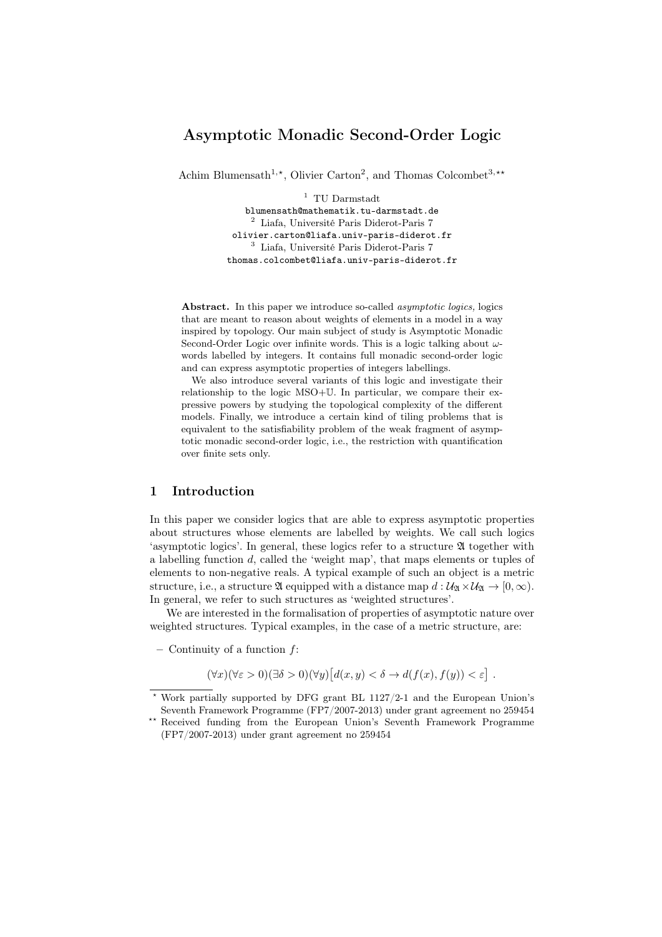# Asymptotic Monadic Second-Order Logic

Achim Blumensath<sup>1,\*</sup>, Olivier Carton<sup>2</sup>, and Thomas Colcombet<sup>3,\*\*</sup>

 $^{\rm 1}$  TU Darmstadt

blumensath@mathematik.tu-darmstadt.de <sup>2</sup> Liafa, Université Paris Diderot-Paris 7 olivier.carton@liafa.univ-paris-diderot.fr <sup>3</sup> Liafa, Université Paris Diderot-Paris 7 thomas.colcombet@liafa.univ-paris-diderot.fr

Abstract. In this paper we introduce so-called *asymptotic logics*, logics that are meant to reason about weights of elements in a model in a way inspired by topology. Our main subject of study is Asymptotic Monadic Second-Order Logic over infinite words. This is a logic talking about  $\omega$ words labelled by integers. It contains full monadic second-order logic and can express asymptotic properties of integers labellings.

We also introduce several variants of this logic and investigate their relationship to the logic MSO+U. In particular, we compare their expressive powers by studying the topological complexity of the different models. Finally, we introduce a certain kind of tiling problems that is equivalent to the satisfiability problem of the weak fragment of asymptotic monadic second-order logic, i.e., the restriction with quantification over finite sets only.

## 1 Introduction

In this paper we consider logics that are able to express asymptotic properties about structures whose elements are labelled by weights. We call such logics 'asymptotic logics'. In general, these logics refer to a structure  $\mathfrak A$  together with a labelling function d, called the 'weight map', that maps elements or tuples of elements to non-negative reals. A typical example of such an object is a metric structure, i.e., a structure  $\mathfrak A$  equipped with a distance map  $d : \mathcal U_{\mathfrak A} \times \mathcal U_{\mathfrak A} \to [0, \infty)$ . In general, we refer to such structures as 'weighted structures'.

We are interested in the formalisation of properties of asymptotic nature over weighted structures. Typical examples, in the case of a metric structure, are:

– Continuity of a function  $f$ :

 $(\forall x)(\forall \varepsilon > 0)(\exists \delta > 0)(\forall y)[d(x, y) < \delta \rightarrow d(f(x), f(y)) < \varepsilon].$ 

<sup>?</sup> Work partially supported by DFG grant BL 1127/2-1 and the European Union's Seventh Framework Programme (FP7/2007-2013) under grant agreement no 259454

<sup>\*\*</sup> Received funding from the European Union's Seventh Framework Programme (FP7/2007-2013) under grant agreement no 259454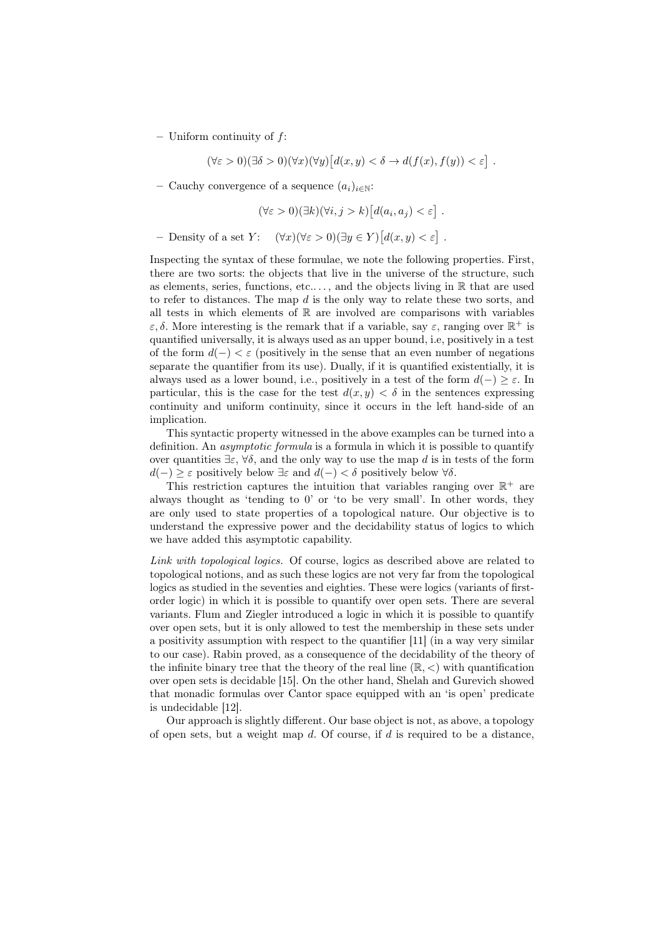– Uniform continuity of  $f$ :

$$
(\forall \varepsilon > 0)(\exists \delta > 0)(\forall x)(\forall y)[d(x, y) < \delta \rightarrow d(f(x), f(y)) < \varepsilon].
$$

– Cauchy convergence of a sequence  $(a_i)_{i\in\mathbb{N}}$ :

$$
(\forall \varepsilon > 0)(\exists k)(\forall i, j > k)[d(a_i, a_j) < \varepsilon].
$$

- Density of a set  $Y$ :  $(\forall x)(\forall \varepsilon > 0)(\exists y \in Y) [d(x, y) < \varepsilon].$ 

Inspecting the syntax of these formulae, we note the following properties. First, there are two sorts: the objects that live in the universe of the structure, such as elements, series, functions, etc...., and the objects living in  $\mathbb R$  that are used to refer to distances. The map  $d$  is the only way to relate these two sorts, and all tests in which elements of  $\mathbb R$  are involved are comparisons with variables  $\varepsilon, \delta$ . More interesting is the remark that if a variable, say  $\varepsilon$ , ranging over  $\mathbb{R}^+$  is quantified universally, it is always used as an upper bound, i.e, positively in a test of the form  $d(-) < \varepsilon$  (positively in the sense that an even number of negations separate the quantifier from its use). Dually, if it is quantified existentially, it is always used as a lower bound, i.e., positively in a test of the form  $d(-) \geq \varepsilon$ . In particular, this is the case for the test  $d(x, y) < \delta$  in the sentences expressing continuity and uniform continuity, since it occurs in the left hand-side of an implication.

This syntactic property witnessed in the above examples can be turned into a definition. An *asymptotic formula* is a formula in which it is possible to quantify over quantities  $\exists \varepsilon, \forall \delta$ , and the only way to use the map d is in tests of the form  $d(-) \geq \varepsilon$  positively below  $\exists \varepsilon$  and  $d(-) < \delta$  positively below  $\forall \delta$ .

This restriction captures the intuition that variables ranging over  $\mathbb{R}^+$  are always thought as 'tending to 0' or 'to be very small'. In other words, they are only used to state properties of a topological nature. Our objective is to understand the expressive power and the decidability status of logics to which we have added this asymptotic capability.

Link with topological logics. Of course, logics as described above are related to topological notions, and as such these logics are not very far from the topological logics as studied in the seventies and eighties. These were logics (variants of firstorder logic) in which it is possible to quantify over open sets. There are several variants. Flum and Ziegler introduced a logic in which it is possible to quantify over open sets, but it is only allowed to test the membership in these sets under a positivity assumption with respect to the quantifier [11] (in a way very similar to our case). Rabin proved, as a consequence of the decidability of the theory of the infinite binary tree that the theory of the real line  $(\mathbb{R}, \leq)$  with quantification over open sets is decidable [15]. On the other hand, Shelah and Gurevich showed that monadic formulas over Cantor space equipped with an 'is open' predicate is undecidable [12].

Our approach is slightly different. Our base object is not, as above, a topology of open sets, but a weight map  $d$ . Of course, if  $d$  is required to be a distance,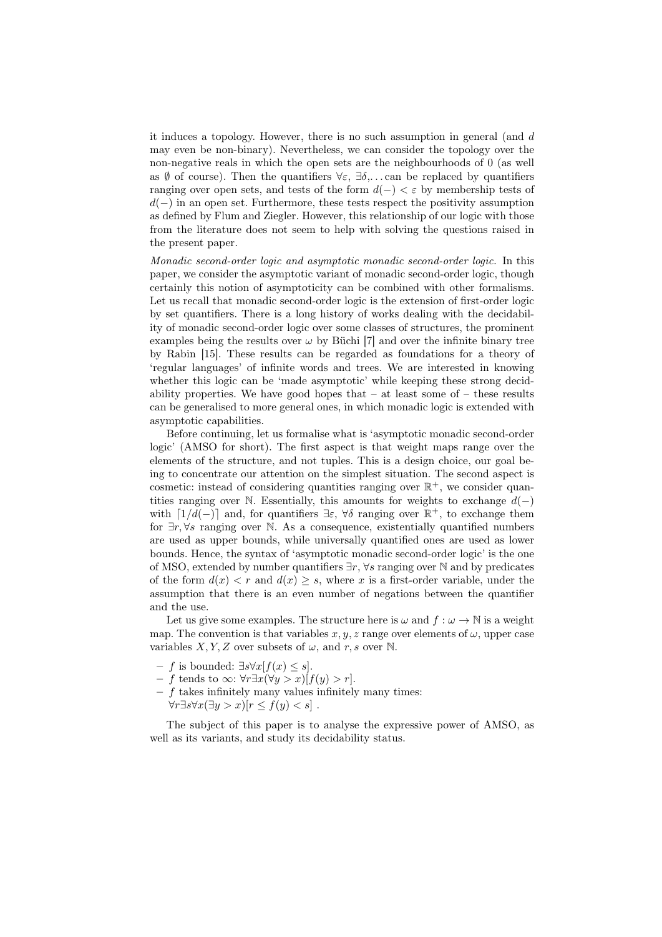it induces a topology. However, there is no such assumption in general (and d may even be non-binary). Nevertheless, we can consider the topology over the non-negative reals in which the open sets are the neighbourhoods of 0 (as well as  $\emptyset$  of course). Then the quantifiers  $\forall \varepsilon, \exists \delta, \dots$  can be replaced by quantifiers ranging over open sets, and tests of the form  $d(-) < \varepsilon$  by membership tests of  $d(-)$  in an open set. Furthermore, these tests respect the positivity assumption as defined by Flum and Ziegler. However, this relationship of our logic with those from the literature does not seem to help with solving the questions raised in the present paper.

Monadic second-order logic and asymptotic monadic second-order logic. In this paper, we consider the asymptotic variant of monadic second-order logic, though certainly this notion of asymptoticity can be combined with other formalisms. Let us recall that monadic second-order logic is the extension of first-order logic by set quantifiers. There is a long history of works dealing with the decidability of monadic second-order logic over some classes of structures, the prominent examples being the results over  $\omega$  by Büchi [7] and over the infinite binary tree by Rabin [15]. These results can be regarded as foundations for a theory of 'regular languages' of infinite words and trees. We are interested in knowing whether this logic can be 'made asymptotic' while keeping these strong decidability properties. We have good hopes that  $-$  at least some of  $-$  these results can be generalised to more general ones, in which monadic logic is extended with asymptotic capabilities.

Before continuing, let us formalise what is 'asymptotic monadic second-order logic' (AMSO for short). The first aspect is that weight maps range over the elements of the structure, and not tuples. This is a design choice, our goal being to concentrate our attention on the simplest situation. The second aspect is cosmetic: instead of considering quantities ranging over  $\mathbb{R}^+$ , we consider quantities ranging over N. Essentially, this amounts for weights to exchange  $d(-)$ with  $[1/d(-)]$  and, for quantifiers  $\exists \varepsilon, \forall \delta$  ranging over  $\mathbb{R}^+$ , to exchange them for  $\exists r, \forall s$  ranging over N. As a consequence, existentially quantified numbers are used as upper bounds, while universally quantified ones are used as lower bounds. Hence, the syntax of 'asymptotic monadic second-order logic' is the one of MSO, extended by number quantifiers  $\exists r, \forall s$  ranging over N and by predicates of the form  $d(x) < r$  and  $d(x) > s$ , where x is a first-order variable, under the assumption that there is an even number of negations between the quantifier and the use.

Let us give some examples. The structure here is  $\omega$  and  $f : \omega \to \mathbb{N}$  is a weight map. The convention is that variables  $x, y, z$  range over elements of  $\omega$ , upper case variables  $X, Y, Z$  over subsets of  $\omega$ , and  $r, s$  over N.

- $f$  is bounded: ∃s $\forall x [f(x) \leq s].$
- $f$  tends to ∞:  $\forall r \exists x (\forall y > x) [f(y) > r].$
- $-$  f takes infinitely many values infinitely many times:  $\forall r \exists s \forall x (\exists y > x)[r \leq f(y) < s].$

The subject of this paper is to analyse the expressive power of AMSO, as well as its variants, and study its decidability status.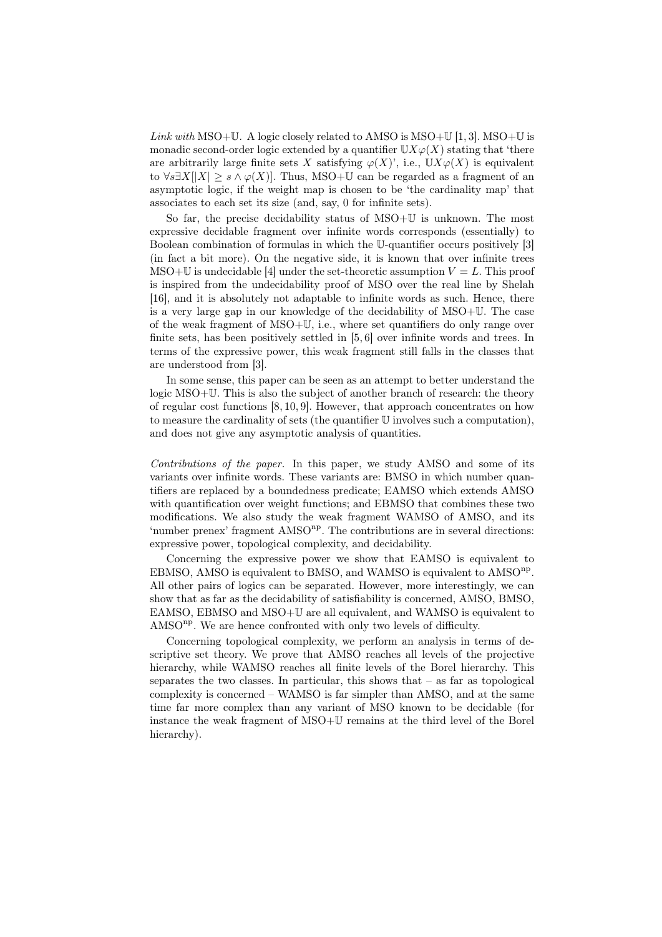Link with MSO+U. A logic closely related to AMSO is MSO+U [1, 3]. MSO+U is monadic second-order logic extended by a quantifier  $\mathbb{U}X\varphi(X)$  stating that 'there are arbitrarily large finite sets X satisfying  $\varphi(X)$ , i.e.,  $\mathbb{U} X \varphi(X)$  is equivalent to  $\forall s \exists X[|X| \geq s \land \varphi(X)]$ . Thus, MSO+U can be regarded as a fragment of an asymptotic logic, if the weight map is chosen to be 'the cardinality map' that associates to each set its size (and, say, 0 for infinite sets).

So far, the precise decidability status of MSO+U is unknown. The most expressive decidable fragment over infinite words corresponds (essentially) to Boolean combination of formulas in which the U-quantifier occurs positively [3] (in fact a bit more). On the negative side, it is known that over infinite trees MSO+U is undecidable [4] under the set-theoretic assumption  $V = L$ . This proof is inspired from the undecidability proof of MSO over the real line by Shelah [16], and it is absolutely not adaptable to infinite words as such. Hence, there is a very large gap in our knowledge of the decidability of MSO+U. The case of the weak fragment of MSO+U, i.e., where set quantifiers do only range over finite sets, has been positively settled in [5, 6] over infinite words and trees. In terms of the expressive power, this weak fragment still falls in the classes that are understood from [3].

In some sense, this paper can be seen as an attempt to better understand the logic MSO+U. This is also the subject of another branch of research: the theory of regular cost functions [8, 10, 9]. However, that approach concentrates on how to measure the cardinality of sets (the quantifier U involves such a computation), and does not give any asymptotic analysis of quantities.

Contributions of the paper. In this paper, we study AMSO and some of its variants over infinite words. These variants are: BMSO in which number quantifiers are replaced by a boundedness predicate; EAMSO which extends AMSO with quantification over weight functions; and EBMSO that combines these two modifications. We also study the weak fragment WAMSO of AMSO, and its 'number prenex' fragment  $AMSO<sup>np</sup>$ . The contributions are in several directions: expressive power, topological complexity, and decidability.

Concerning the expressive power we show that EAMSO is equivalent to EBMSO, AMSO is equivalent to BMSO, and WAMSO is equivalent to AMSO<sup>np</sup>. All other pairs of logics can be separated. However, more interestingly, we can show that as far as the decidability of satisfiability is concerned, AMSO, BMSO, EAMSO, EBMSO and MSO+U are all equivalent, and WAMSO is equivalent to AMSO<sup>np</sup>. We are hence confronted with only two levels of difficulty.

Concerning topological complexity, we perform an analysis in terms of descriptive set theory. We prove that AMSO reaches all levels of the projective hierarchy, while WAMSO reaches all finite levels of the Borel hierarchy. This separates the two classes. In particular, this shows that  $-$  as far as topological complexity is concerned – WAMSO is far simpler than AMSO, and at the same time far more complex than any variant of MSO known to be decidable (for instance the weak fragment of MSO+U remains at the third level of the Borel hierarchy).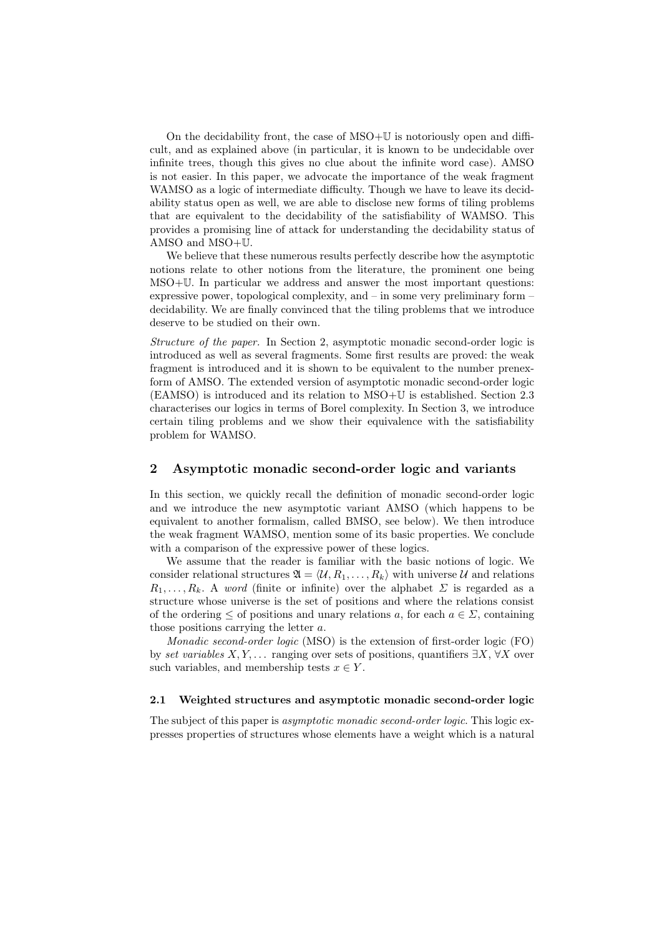On the decidability front, the case of  $MSO+U$  is notoriously open and difficult, and as explained above (in particular, it is known to be undecidable over infinite trees, though this gives no clue about the infinite word case). AMSO is not easier. In this paper, we advocate the importance of the weak fragment WAMSO as a logic of intermediate difficulty. Though we have to leave its decidability status open as well, we are able to disclose new forms of tiling problems that are equivalent to the decidability of the satisfiability of WAMSO. This provides a promising line of attack for understanding the decidability status of AMSO and MSO+U.

We believe that these numerous results perfectly describe how the asymptotic notions relate to other notions from the literature, the prominent one being MSO+U. In particular we address and answer the most important questions: expressive power, topological complexity, and – in some very preliminary form – decidability. We are finally convinced that the tiling problems that we introduce deserve to be studied on their own.

Structure of the paper. In Section 2, asymptotic monadic second-order logic is introduced as well as several fragments. Some first results are proved: the weak fragment is introduced and it is shown to be equivalent to the number prenexform of AMSO. The extended version of asymptotic monadic second-order logic (EAMSO) is introduced and its relation to MSO+U is established. Section 2.3 characterises our logics in terms of Borel complexity. In Section 3, we introduce certain tiling problems and we show their equivalence with the satisfiability problem for WAMSO.

## 2 Asymptotic monadic second-order logic and variants

In this section, we quickly recall the definition of monadic second-order logic and we introduce the new asymptotic variant AMSO (which happens to be equivalent to another formalism, called BMSO, see below). We then introduce the weak fragment WAMSO, mention some of its basic properties. We conclude with a comparison of the expressive power of these logics.

We assume that the reader is familiar with the basic notions of logic. We consider relational structures  $\mathfrak{A} = \langle U, R_1, \ldots, R_k \rangle$  with universe U and relations  $R_1, \ldots, R_k$ . A *word* (finite or infinite) over the alphabet  $\Sigma$  is regarded as a structure whose universe is the set of positions and where the relations consist of the ordering  $\leq$  of positions and unary relations a, for each  $a \in \Sigma$ , containing those positions carrying the letter a.

Monadic second-order logic (MSO) is the extension of first-order logic (FO) by set variables  $X, Y, \ldots$  ranging over sets of positions, quantifiers  $\exists X, \forall X$  over such variables, and membership tests  $x \in Y$ .

### 2.1 Weighted structures and asymptotic monadic second-order logic

The subject of this paper is *asymptotic monadic second-order logic*. This logic expresses properties of structures whose elements have a weight which is a natural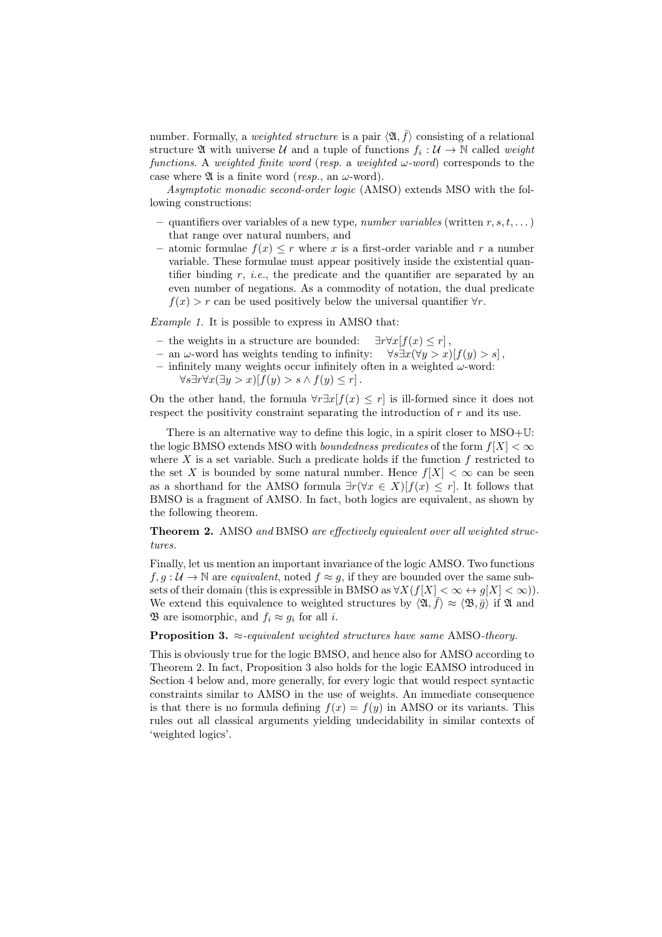number. Formally, a *weighted structure* is a pair  $\langle \mathfrak{A}, \bar{f} \rangle$  consisting of a relational structure  $\mathfrak A$  with universe  $\mathcal U$  and a tuple of functions  $f_i: \mathcal U \to \mathbb N$  called weight functions. A weighted finite word (resp. a weighted  $\omega$ -word) corresponds to the case where  $\mathfrak A$  is a finite word (resp., an  $\omega$ -word).

Asymptotic monadic second-order logic (AMSO) extends MSO with the following constructions:

- quantifiers over variables of a new type, *number variables* (written  $r, s, t, \dots$ ) that range over natural numbers, and
- atomic formulae  $f(x) \leq r$  where x is a first-order variable and r a number variable. These formulae must appear positively inside the existential quantifier binding  $r$ , *i.e.*, the predicate and the quantifier are separated by an even number of negations. As a commodity of notation, the dual predicate  $f(x) > r$  can be used positively below the universal quantifier  $\forall r$ .

Example 1. It is possible to express in AMSO that:

- the weights in a structure are bounded:  $\exists r \forall x [f(x) \leq r],$
- an ω-word has weights tending to infinity:  $\forall s \exists x (\forall y > x) [f(y) > s],$
- infinitely many weights occur infinitely often in a weighted  $\omega$ -word:  $\forall s \exists r \forall x (\exists y > x) [f(y) > s \land f(y) \le r].$

On the other hand, the formula  $\forall r \exists x [f(x) \leq r]$  is ill-formed since it does not respect the positivity constraint separating the introduction of r and its use.

There is an alternative way to define this logic, in a spirit closer to MSO+U: the logic BMSO extends MSO with *boundedness predicates* of the form  $f[X] < \infty$ where  $X$  is a set variable. Such a predicate holds if the function  $f$  restricted to the set X is bounded by some natural number. Hence  $f[X] < \infty$  can be seen as a shorthand for the AMSO formula  $\exists r(\forall x \in X)[f(x) \leq r]$ . It follows that BMSO is a fragment of AMSO. In fact, both logics are equivalent, as shown by the following theorem.

**Theorem 2.** AMSO and BMSO are effectively equivalent over all weighted structures.

Finally, let us mention an important invariance of the logic AMSO. Two functions  $f, g: \mathcal{U} \to \mathbb{N}$  are *equivalent*, noted  $f \approx g$ , if they are bounded over the same subsets of their domain (this is expressible in BMSO as  $\forall X(f[X] \leq \infty \leftrightarrow g[X] \leq \infty)$ ). We extend this equivalence to weighted structures by  $\langle \mathfrak{A}, \bar{f} \rangle \approx \langle \mathfrak{B}, \bar{g} \rangle$  if  $\mathfrak{A}$  and **B** are isomorphic, and  $f_i \approx g_i$  for all i.

**Proposition 3.**  $\approx$ -equivalent weighted structures have same AMSO-theory.

This is obviously true for the logic BMSO, and hence also for AMSO according to Theorem 2. In fact, Proposition 3 also holds for the logic EAMSO introduced in Section 4 below and, more generally, for every logic that would respect syntactic constraints similar to AMSO in the use of weights. An immediate consequence is that there is no formula defining  $f(x) = f(y)$  in AMSO or its variants. This rules out all classical arguments yielding undecidability in similar contexts of 'weighted logics'.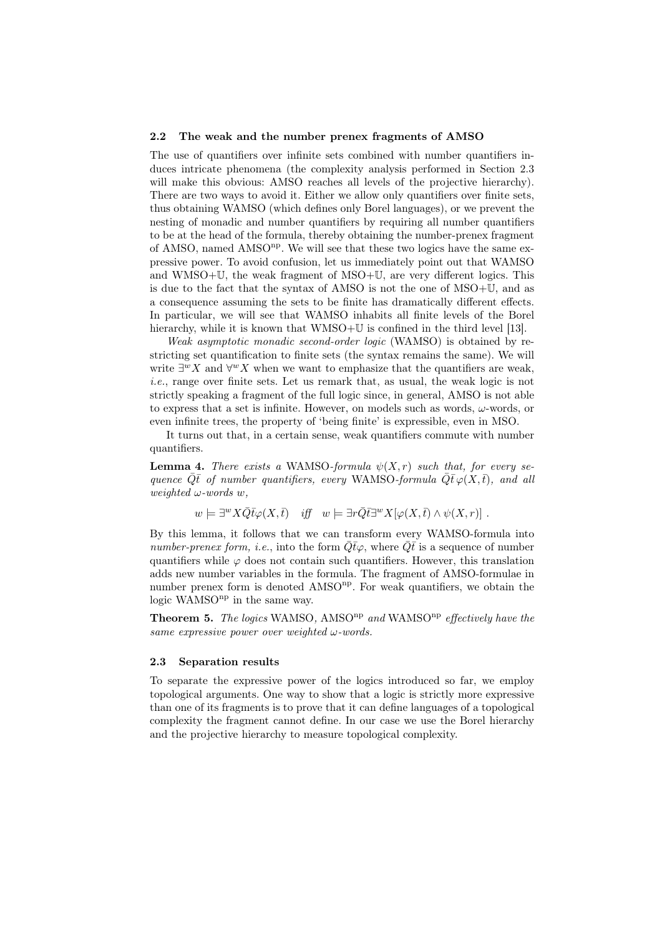#### 2.2 The weak and the number prenex fragments of AMSO

The use of quantifiers over infinite sets combined with number quantifiers induces intricate phenomena (the complexity analysis performed in Section 2.3 will make this obvious: AMSO reaches all levels of the projective hierarchy). There are two ways to avoid it. Either we allow only quantifiers over finite sets, thus obtaining WAMSO (which defines only Borel languages), or we prevent the nesting of monadic and number quantifiers by requiring all number quantifiers to be at the head of the formula, thereby obtaining the number-prenex fragment of AMSO, named  $AMSO<sup>np</sup>$ . We will see that these two logics have the same expressive power. To avoid confusion, let us immediately point out that WAMSO and WMSO+U, the weak fragment of MSO+U, are very different logics. This is due to the fact that the syntax of AMSO is not the one of MSO+U, and as a consequence assuming the sets to be finite has dramatically different effects. In particular, we will see that WAMSO inhabits all finite levels of the Borel hierarchy, while it is known that WMSO+U is confined in the third level [13].

Weak asymptotic monadic second-order logic (WAMSO) is obtained by restricting set quantification to finite sets (the syntax remains the same). We will write  $\exists^w X$  and  $\forall^w X$  when we want to emphasize that the quantifiers are weak, i.e., range over finite sets. Let us remark that, as usual, the weak logic is not strictly speaking a fragment of the full logic since, in general, AMSO is not able to express that a set is infinite. However, on models such as words,  $\omega$ -words, or even infinite trees, the property of 'being finite' is expressible, even in MSO.

It turns out that, in a certain sense, weak quantifiers commute with number quantifiers.

**Lemma 4.** There exists a WAMSO-formula  $\psi(X, r)$  such that, for every sequence  $\overline{Q}\overline{t}$  of number quantifiers, every WAMSO-formula  $\overline{Q}\overline{t} \varphi(X,\overline{t})$ , and all weighted  $\omega$ -words w,

$$
w \models \exists^w X \overline{Q} \overline{t} \varphi(X, \overline{t}) \quad \text{iff} \quad w \models \exists r \overline{Q} \overline{t} \exists^w X [\varphi(X, \overline{t}) \wedge \psi(X, r)]
$$
.

By this lemma, it follows that we can transform every WAMSO-formula into number-prenex form, i.e., into the form  $\overline{Q}t\varphi$ , where  $\overline{Q}t\overline{t}$  is a sequence of number quantifiers while  $\varphi$  does not contain such quantifiers. However, this translation adds new number variables in the formula. The fragment of AMSO-formulae in number prenex form is denoted AMSO<sup>np</sup>. For weak quantifiers, we obtain the logic WAMS $O^{np}$  in the same way.

**Theorem 5.** The logics WAMSO, AMSO<sup>np</sup> and WAMSO<sup>np</sup> effectively have the same expressive power over weighted ω-words.

### 2.3 Separation results

To separate the expressive power of the logics introduced so far, we employ topological arguments. One way to show that a logic is strictly more expressive than one of its fragments is to prove that it can define languages of a topological complexity the fragment cannot define. In our case we use the Borel hierarchy and the projective hierarchy to measure topological complexity.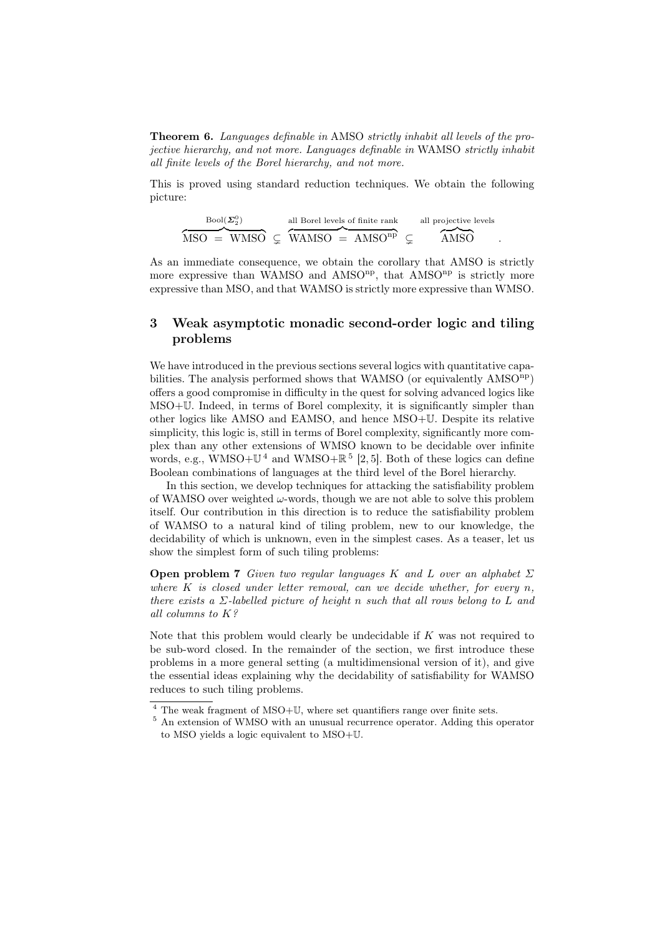Theorem 6. Languages definable in AMSO strictly inhabit all levels of the projective hierarchy, and not more. Languages definable in WAMSO strictly inhabit all finite levels of the Borel hierarchy, and not more.

This is proved using standard reduction techniques. We obtain the following picture:

$$
\overbrace{\text{MSO}\ =\ \text{WMSO}\ \subsetneq\ \overset{\text{all Borel levels of finite rank}}{\text{WAMSO}\ =\ \text{AMSO}^{\text{np}}\ \subsetneq\ \overset{\text{all projective levels}}{\text{AMSO}}\ .
$$

As an immediate consequence, we obtain the corollary that AMSO is strictly more expressive than WAMSO and AMSO<sup>np</sup>, that AMSO<sup>np</sup> is strictly more expressive than MSO, and that WAMSO is strictly more expressive than WMSO.

## 3 Weak asymptotic monadic second-order logic and tiling problems

We have introduced in the previous sections several logics with quantitative capabilities. The analysis performed shows that WAMSO (or equivalently  $AMSO<sup>np</sup>$ ) offers a good compromise in difficulty in the quest for solving advanced logics like MSO+U. Indeed, in terms of Borel complexity, it is significantly simpler than other logics like AMSO and EAMSO, and hence MSO+U. Despite its relative simplicity, this logic is, still in terms of Borel complexity, significantly more complex than any other extensions of WMSO known to be decidable over infinite words, e.g., WMSO+ $\mathbb{U}^4$  and WMSO+ $\mathbb{R}^5$  [2,5]. Both of these logics can define Boolean combinations of languages at the third level of the Borel hierarchy.

In this section, we develop techniques for attacking the satisfiability problem of WAMSO over weighted  $\omega$ -words, though we are not able to solve this problem itself. Our contribution in this direction is to reduce the satisfiability problem of WAMSO to a natural kind of tiling problem, new to our knowledge, the decidability of which is unknown, even in the simplest cases. As a teaser, let us show the simplest form of such tiling problems:

**Open problem 7** Given two regular languages K and L over an alphabet  $\Sigma$ where K is closed under letter removal, can we decide whether, for every n, there exists a  $\Sigma$ -labelled picture of height n such that all rows belong to L and all columns to K?

Note that this problem would clearly be undecidable if  $K$  was not required to be sub-word closed. In the remainder of the section, we first introduce these problems in a more general setting (a multidimensional version of it), and give the essential ideas explaining why the decidability of satisfiability for WAMSO reduces to such tiling problems.

 $\frac{4}{4}$  The weak fragment of MSO+U, where set quantifiers range over finite sets.

<sup>5</sup> An extension of WMSO with an unusual recurrence operator. Adding this operator to MSO yields a logic equivalent to MSO+U.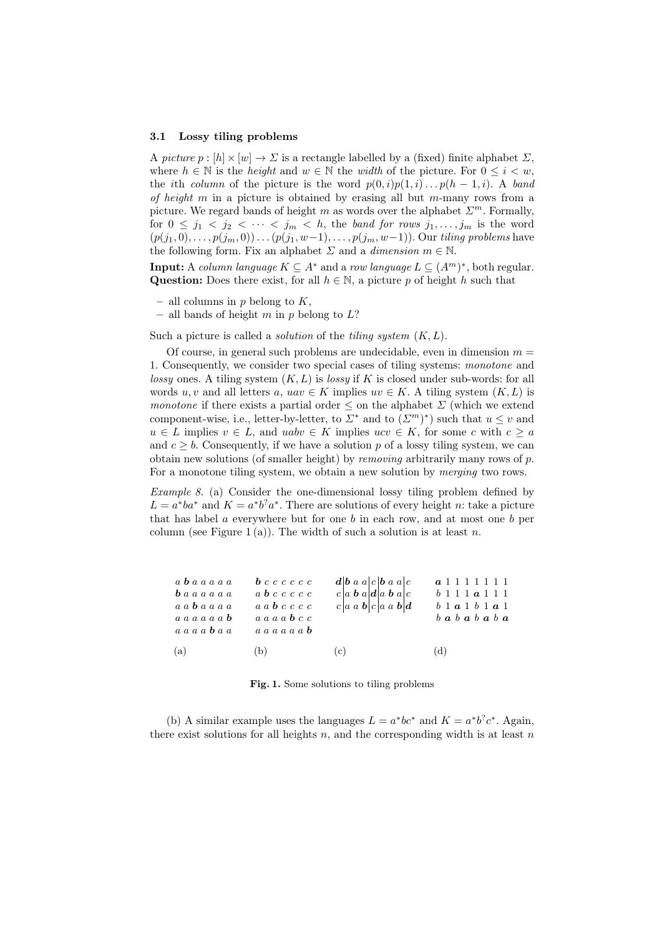#### 3.1 Lossy tiling problems

A picture  $p : [h] \times [w] \rightarrow \Sigma$  is a rectangle labelled by a (fixed) finite alphabet  $\Sigma$ , where  $h \in \mathbb{N}$  is the *height* and  $w \in \mathbb{N}$  the *width* of the picture. For  $0 \leq i \leq w$ , the *i*th *column* of the picture is the word  $p(0, i)p(1, i) \dots p(h - 1, i)$ . A band of height  $m$  in a picture is obtained by erasing all but  $m$ -many rows from a picture. We regard bands of height m as words over the alphabet  $\Sigma^m$ . Formally, for  $0 \leq j_1 < j_2 < \cdots < j_m < h$ , the band for rows  $j_1, \ldots, j_m$  is the word  $(p(j_1, 0), \ldots, p(j_m, 0)) \ldots (p(j_1, w-1), \ldots, p(j_m, w-1))$ . Our tiling problems have the following form. Fix an alphabet  $\Sigma$  and a dimension  $m \in \mathbb{N}$ .

**Input:** A column language  $K \subseteq A^*$  and a row language  $L \subseteq (A^m)^*$ , both regular. Question: Does there exist, for all  $h \in \mathbb{N}$ , a picture p of height h such that

- all columns in  $p$  belong to  $K$ ,
- all bands of height m in p belong to  $L$ ?

Such a picture is called a *solution* of the *tiling system*  $(K, L)$ .

Of course, in general such problems are undecidable, even in dimension  $m =$ 1. Consequently, we consider two special cases of tiling systems: monotone and lossy ones. A tiling system  $(K, L)$  is lossy if K is closed under sub-words: for all words u, v and all letters a, uav  $\in K$  implies  $uv \in K$ . A tiling system  $(K, L)$  is monotone if there exists a partial order  $\leq$  on the alphabet  $\Sigma$  (which we extend component-wise, i.e., letter-by-letter, to  $\Sigma^*$  and to  $(\Sigma^m)^*$ ) such that  $u \leq v$  and  $u \in L$  implies  $v \in L$ , and  $uabv \in K$  implies  $ucv \in K$ , for some c with  $c \ge a$ and  $c > b$ . Consequently, if we have a solution p of a lossy tiling system, we can obtain new solutions (of smaller height) by *removing* arbitrarily many rows of  $p$ . For a monotone tiling system, we obtain a new solution by *merging* two rows.

Example 8. (a) Consider the one-dimensional lossy tiling problem defined by  $L = a^*ba^*$  and  $K = a^*b^2a^*$ . There are solutions of every height n: take a picture that has label  $a$  everywhere but for one  $b$  in each row, and at most one  $b$  per column (see Figure 1(a)). The width of such a solution is at least n.

| $a\; b\; a\; a\; a\; a\; a$       | $\boldsymbol{b}$ c c c c c   | d b a c b a a c                 | a 1 1 1 1 1 1 1 |
|-----------------------------------|------------------------------|---------------------------------|-----------------|
| $\boldsymbol{b}$ a a a a a        | $a \ b \ c \ c \ c \ c \ c$  | $c a\;b\;a d a\;b\;a c$         | b111a111        |
| $a \, a \, b \, a \, a \, a \, a$ | $a \, a \, b \, c \, c \, c$ | $c a \, a \, b c a \, a \, b d$ | b a 1 b 1 a 1   |
| $a\ a\ a\ a\ a\ b$                | $a\ a\ a\ b\ c\ c$           |                                 | b a b a b a b a |
| $a\ a\ a\ b\ a\ a$                | $a\ a\ a\ a\ a\ b$           |                                 |                 |
| (a)                               | (b)                          | (c)                             | (d)             |

Fig. 1. Some solutions to tiling problems

(b) A similar example uses the languages  $L = a^*bc^*$  and  $K = a^*b^2c^*$ . Again, there exist solutions for all heights n, and the corresponding width is at least n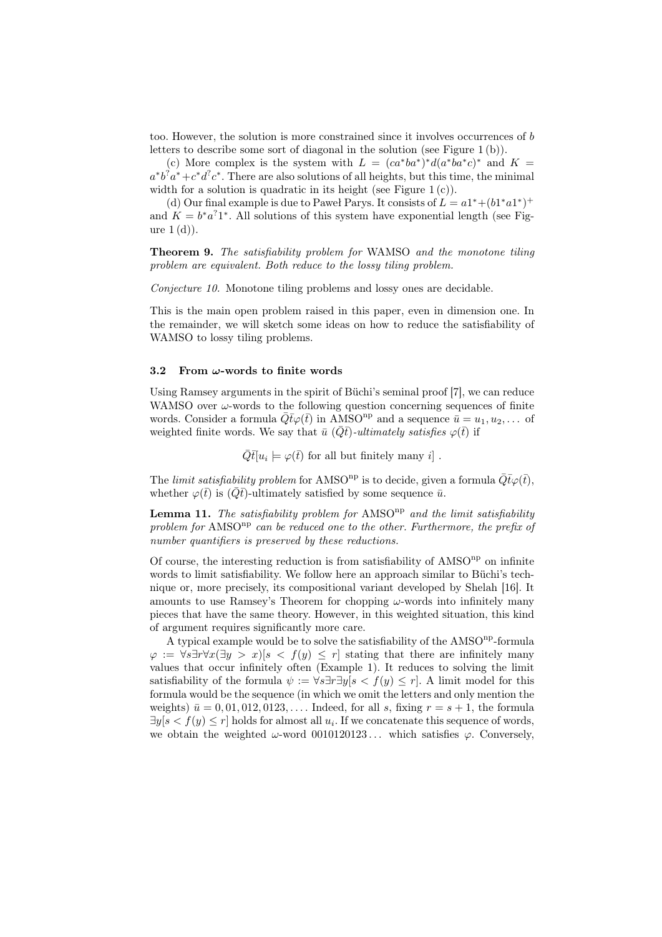too. However, the solution is more constrained since it involves occurrences of b letters to describe some sort of diagonal in the solution (see Figure 1 (b)).

(c) More complex is the system with  $L = (ca^*ba^*)^*d(a^*ba^*c)^*$  and  $K =$  $a^*b^2a^*+c^*d^2c^*$ . There are also solutions of all heights, but this time, the minimal width for a solution is quadratic in its height (see Figure  $1(c)$ ).

(d) Our final example is due to Paweł Parys. It consists of  $L = a1^* + (b1^* a1^*)^+$ and  $K = b^* a^2 1^*$ . All solutions of this system have exponential length (see Figure  $1(d)$ ).

Theorem 9. The satisfiability problem for WAMSO and the monotone tiling problem are equivalent. Both reduce to the lossy tiling problem.

Conjecture 10. Monotone tiling problems and lossy ones are decidable.

This is the main open problem raised in this paper, even in dimension one. In the remainder, we will sketch some ideas on how to reduce the satisfiability of WAMSO to lossy tiling problems.

#### 3.2 From  $\omega$ -words to finite words

Using Ramsey arguments in the spirit of Büchi's seminal proof [7], we can reduce WAMSO over  $\omega$ -words to the following question concerning sequences of finite words. Consider a formula  $\overline{Q}t\varphi(\overline{t})$  in AMSO<sup>np</sup> and a sequence  $\overline{u} = u_1, u_2, \dots$  of weighted finite words. We say that  $\bar{u}$  ( $\bar{Q}\bar{t}$ )-ultimately satisfies  $\varphi(\bar{t})$  if

 $\overline{Q}t[u_i \models \varphi(\overline{t})$  for all but finitely many  $i]$ .

The limit satisfiability problem for AMSO<sup>np</sup> is to decide, given a formula  $\overline{Q}t\varphi(\overline{t})$ , whether  $\varphi(\bar{t})$  is  $(\bar{Q}\bar{t})$ -ultimately satisfied by some sequence  $\bar{u}$ .

**Lemma 11.** The satisfiability problem for  $AMSO<sup>np</sup>$  and the limit satisfiability problem for  $AMSO^{np}$  can be reduced one to the other. Furthermore, the prefix of number quantifiers is preserved by these reductions.

Of course, the interesting reduction is from satisfiability of  $AMSO<sup>np</sup>$  on infinite words to limit satisfiability. We follow here an approach similar to Büchi's technique or, more precisely, its compositional variant developed by Shelah [16]. It amounts to use Ramsey's Theorem for chopping  $\omega$ -words into infinitely many pieces that have the same theory. However, in this weighted situation, this kind of argument requires significantly more care.

A typical example would be to solve the satisfiability of the AMSO<sup>np</sup>-formula  $\varphi := \forall s \exists r \forall x (\exists y > x)[s < f(y) \leq r]$  stating that there are infinitely many values that occur infinitely often (Example 1). It reduces to solving the limit satisfiability of the formula  $\psi := \forall s \exists r \exists y [s \leq f(y) \leq r]$ . A limit model for this formula would be the sequence (in which we omit the letters and only mention the weights)  $\bar{u} = 0.01, 012, 0123, \ldots$  Indeed, for all s, fixing  $r = s + 1$ , the formula  $\exists y[s < f(y) \leq r]$  holds for almost all  $u_i$ . If we concatenate this sequence of words, we obtain the weighted  $\omega$ -word 0010120123... which satisfies  $\varphi$ . Conversely,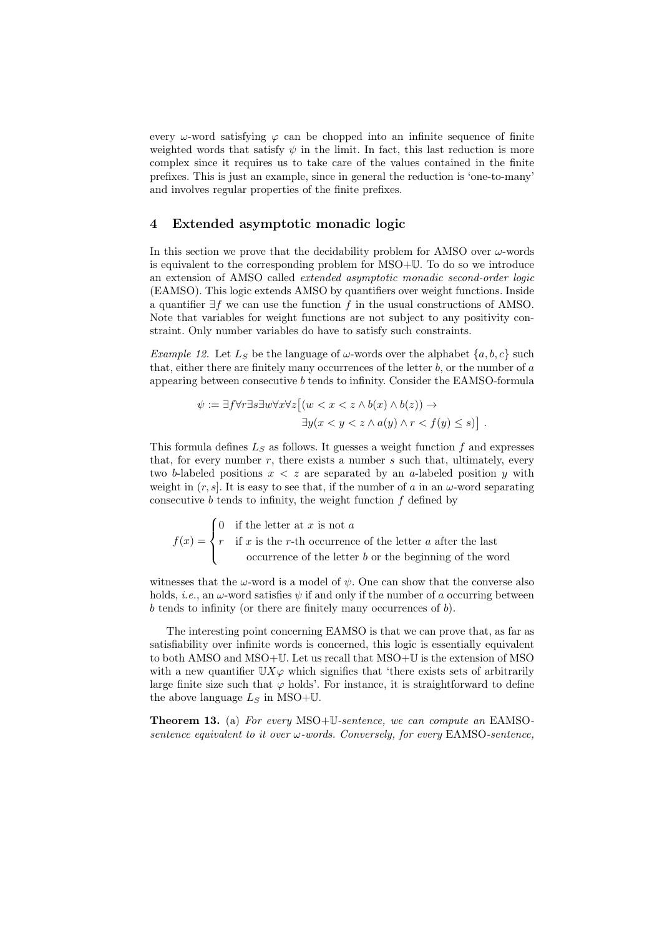every  $\omega$ -word satisfying  $\varphi$  can be chopped into an infinite sequence of finite weighted words that satisfy  $\psi$  in the limit. In fact, this last reduction is more complex since it requires us to take care of the values contained in the finite prefixes. This is just an example, since in general the reduction is 'one-to-many' and involves regular properties of the finite prefixes.

## 4 Extended asymptotic monadic logic

In this section we prove that the decidability problem for AMSO over  $\omega$ -words is equivalent to the corresponding problem for MSO+U. To do so we introduce an extension of AMSO called *extended asymptotic monadic second-order logic* (EAMSO). This logic extends AMSO by quantifiers over weight functions. Inside a quantifier  $\exists f$  we can use the function f in the usual constructions of AMSO. Note that variables for weight functions are not subject to any positivity constraint. Only number variables do have to satisfy such constraints.

Example 12. Let  $L_S$  be the language of  $\omega$ -words over the alphabet  $\{a, b, c\}$  such that, either there are finitely many occurrences of the letter  $b$ , or the number of  $a$ appearing between consecutive b tends to infinity. Consider the EAMSO-formula

$$
\psi := \exists f \forall r \exists s \exists w \forall x \forall z \big[ (w < x < z \land b(x) \land b(z)) \rightarrow
$$
\n
$$
\exists y (x < y < z \land a(y) \land r < f(y) \le s ) \big] .
$$

This formula defines  $L_S$  as follows. It guesses a weight function  $f$  and expresses that, for every number  $r$ , there exists a number  $s$  such that, ultimately, every two b-labeled positions  $x < z$  are separated by an a-labeled position y with weight in  $(r, s]$ . It is easy to see that, if the number of a in an  $\omega$ -word separating consecutive  $b$  tends to infinity, the weight function  $f$  defined by

 $f(x) =$  $\sqrt{ }$  $\int$  $\overline{\mathcal{L}}$ 0 if the letter at  $x$  is not  $a$ r if x is the r-th occurrence of the letter a after the last occurrence of the letter b or the beginning of the word

witnesses that the  $\omega$ -word is a model of  $\psi$ . One can show that the converse also holds, *i.e.*, an  $\omega$ -word satisfies  $\psi$  if and only if the number of a occurring between b tends to infinity (or there are finitely many occurrences of  $b$ ).

The interesting point concerning EAMSO is that we can prove that, as far as satisfiability over infinite words is concerned, this logic is essentially equivalent to both AMSO and MSO+U. Let us recall that MSO+U is the extension of MSO with a new quantifier  $\mathbb{U} X \varphi$  which signifies that 'there exists sets of arbitrarily large finite size such that  $\varphi$  holds'. For instance, it is straightforward to define the above language  $L_S$  in MSO+U.

Theorem 13. (a) For every MSO+U-sentence, we can compute an EAMSOsentence equivalent to it over  $\omega$ -words. Conversely, for every EAMSO-sentence,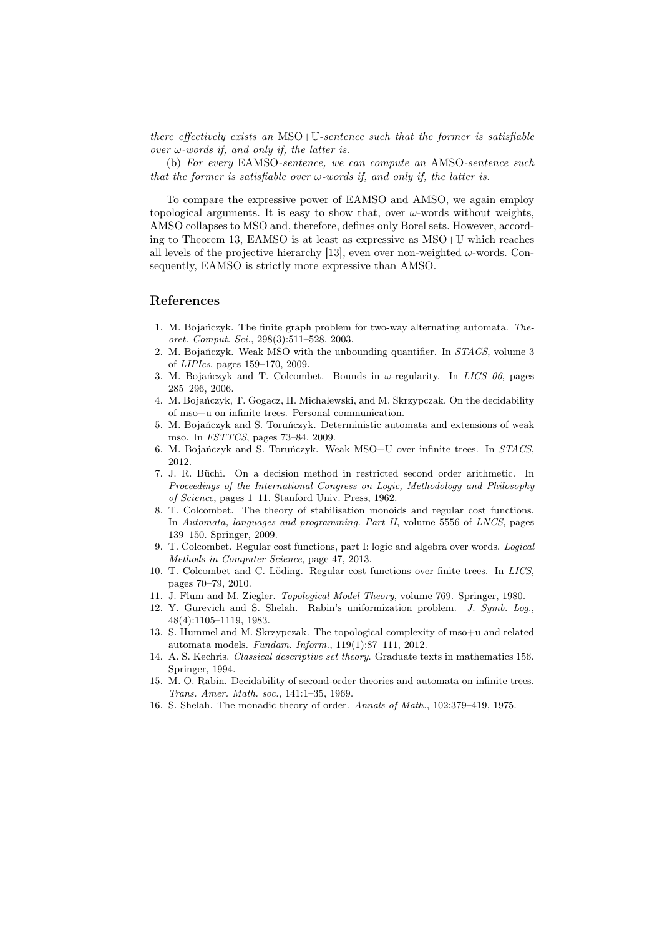there effectively exists an  $MSO+U$ -sentence such that the former is satisfiable over  $\omega$ -words if, and only if, the latter is.

(b) For every EAMSO-sentence, we can compute an AMSO-sentence such that the former is satisfiable over  $\omega$ -words if, and only if, the latter is.

To compare the expressive power of EAMSO and AMSO, we again employ topological arguments. It is easy to show that, over  $\omega$ -words without weights, AMSO collapses to MSO and, therefore, defines only Borel sets. However, according to Theorem 13, EAMSO is at least as expressive as MSO+U which reaches all levels of the projective hierarchy [13], even over non-weighted  $\omega$ -words. Consequently, EAMSO is strictly more expressive than AMSO.

## References

- 1. M. Bojańczyk. The finite graph problem for two-way alternating automata. Theoret. Comput. Sci., 298(3):511–528, 2003.
- 2. M. Bojańczyk. Weak MSO with the unbounding quantifier. In STACS, volume 3 of LIPIcs, pages 159–170, 2009.
- 3. M. Bojańczyk and T. Colcombet. Bounds in  $\omega$ -regularity. In *LICS 06*, pages 285–296, 2006.
- 4. M. Bojańczyk, T. Gogacz, H. Michalewski, and M. Skrzypczak. On the decidability of mso+u on infinite trees. Personal communication.
- 5. M. Bojańczyk and S. Toruńczyk. Deterministic automata and extensions of weak mso. In FSTTCS, pages 73–84, 2009.
- 6. M. Bojańczyk and S. Toruńczyk. Weak MSO+U over infinite trees. In STACS, 2012.
- 7. J. R. Büchi. On a decision method in restricted second order arithmetic. In Proceedings of the International Congress on Logic, Methodology and Philosophy of Science, pages 1–11. Stanford Univ. Press, 1962.
- 8. T. Colcombet. The theory of stabilisation monoids and regular cost functions. In Automata, languages and programming. Part II, volume 5556 of LNCS, pages 139–150. Springer, 2009.
- 9. T. Colcombet. Regular cost functions, part I: logic and algebra over words. Logical Methods in Computer Science, page 47, 2013.
- 10. T. Colcombet and C. Löding. Regular cost functions over finite trees. In LICS, pages 70–79, 2010.
- 11. J. Flum and M. Ziegler. Topological Model Theory, volume 769. Springer, 1980.
- 12. Y. Gurevich and S. Shelah. Rabin's uniformization problem. J. Symb. Log., 48(4):1105–1119, 1983.
- 13. S. Hummel and M. Skrzypczak. The topological complexity of mso+u and related automata models. Fundam. Inform., 119(1):87–111, 2012.
- 14. A. S. Kechris. Classical descriptive set theory. Graduate texts in mathematics 156. Springer, 1994.
- 15. M. O. Rabin. Decidability of second-order theories and automata on infinite trees. Trans. Amer. Math. soc., 141:1–35, 1969.
- 16. S. Shelah. The monadic theory of order. Annals of Math., 102:379–419, 1975.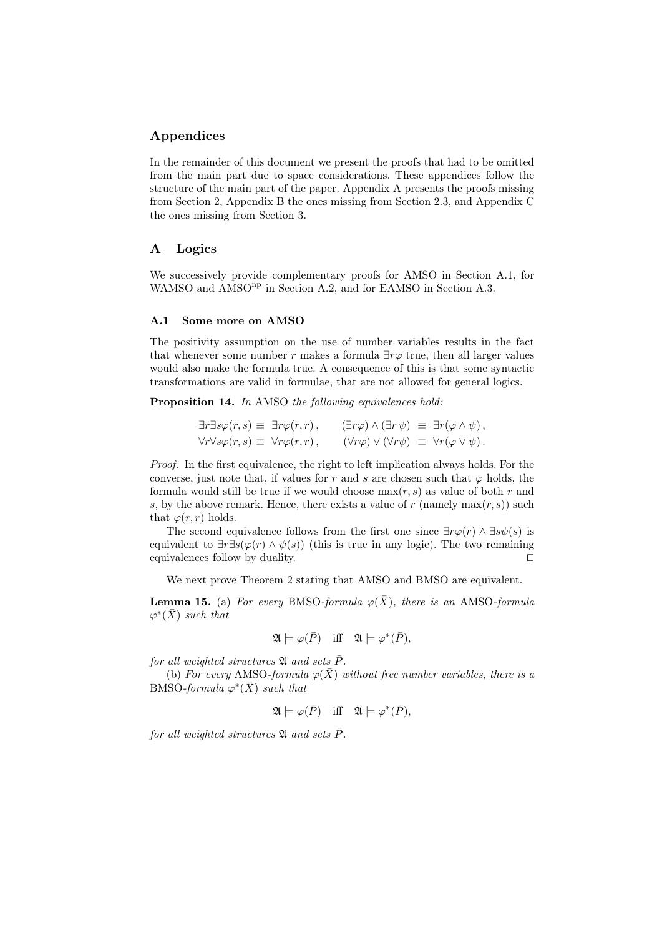## Appendices

In the remainder of this document we present the proofs that had to be omitted from the main part due to space considerations. These appendices follow the structure of the main part of the paper. Appendix A presents the proofs missing from Section 2, Appendix B the ones missing from Section 2.3, and Appendix C the ones missing from Section 3.

## A Logics

We successively provide complementary proofs for AMSO in Section A.1, for WAMSO and AMSO<sup>np</sup> in Section A.2, and for EAMSO in Section A.3.

#### A.1 Some more on AMSO

The positivity assumption on the use of number variables results in the fact that whenever some number r makes a formula  $\exists r \varphi$  true, then all larger values would also make the formula true. A consequence of this is that some syntactic transformations are valid in formulae, that are not allowed for general logics.

Proposition 14. In AMSO the following equivalences hold:

| $\exists r \exists s \varphi(r,s) \equiv \exists r \varphi(r,r),$ | $(\exists r \varphi) \wedge (\exists r \psi) \equiv \exists r (\varphi \wedge \psi),$ |  |
|-------------------------------------------------------------------|---------------------------------------------------------------------------------------|--|
| $\forall r \forall s \varphi(r,s) \equiv \forall r \varphi(r,r),$ | $(\forall r \varphi) \vee (\forall r \psi) \equiv \forall r (\varphi \vee \psi).$     |  |

Proof. In the first equivalence, the right to left implication always holds. For the converse, just note that, if values for r and s are chosen such that  $\varphi$  holds, the formula would still be true if we would choose  $max(r, s)$  as value of both r and s, by the above remark. Hence, there exists a value of r (namely  $\max(r, s)$ ) such that  $\varphi(r,r)$  holds.

The second equivalence follows from the first one since  $\exists r\varphi(r) \wedge \exists s\psi(s)$  is equivalent to  $\exists r \exists s (\varphi(r) \land \psi(s))$  (this is true in any logic). The two remaining equivalences follow by duality.  $\Box$ 

We next prove Theorem 2 stating that AMSO and BMSO are equivalent.

**Lemma 15.** (a) For every BMSO-formula  $\varphi(\bar{X})$ , there is an AMSO-formula  $\varphi^*(\bar{X})$  such that

$$
\mathfrak{A} \models \varphi(\bar{P}) \quad \text{iff} \quad \mathfrak{A} \models \varphi^*(\bar{P}),
$$

for all weighted structures  $\mathfrak A$  and sets  $\bar P$ .

(b) For every AMSO-formula  $\varphi(\bar{X})$  without free number variables, there is a BMSO-formula  $\varphi^*(\bar{X})$  such that

$$
\mathfrak{A} \models \varphi(\bar{P}) \quad \text{iff} \quad \mathfrak{A} \models \varphi^*(\bar{P}),
$$

for all weighted structures  $\mathfrak A$  and sets  $\bar P$ .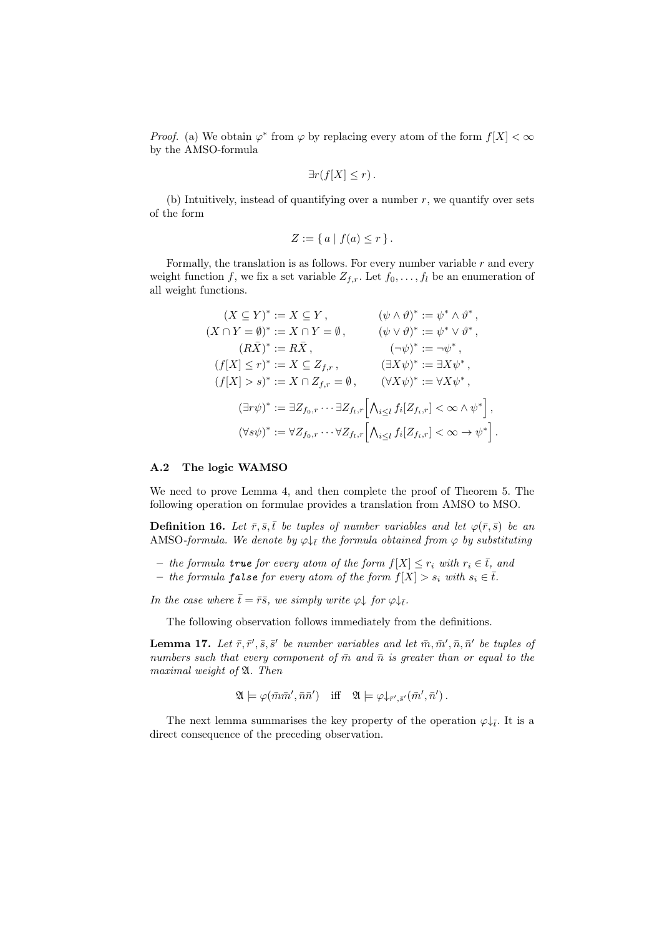*Proof.* (a) We obtain  $\varphi^*$  from  $\varphi$  by replacing every atom of the form  $f[X] < \infty$ by the AMSO-formula

$$
\exists r(f[X] \leq r).
$$

(b) Intuitively, instead of quantifying over a number  $r$ , we quantify over sets of the form

$$
Z := \{ a \mid f(a) \le r \}.
$$

Formally, the translation is as follows. For every number variable  $r$  and every weight function f, we fix a set variable  $Z_{f,r}$ . Let  $f_0, \ldots, f_l$  be an enumeration of all weight functions.

$$
(X \subseteq Y)^* := X \subseteq Y, \qquad (\psi \wedge \vartheta)^* := \psi^* \wedge \vartheta^*,
$$
  
\n
$$
(X \cap Y = \varnothing)^* := X \cap Y = \varnothing, \qquad (\psi \vee \vartheta)^* := \psi^* \vee \vartheta^*,
$$
  
\n
$$
(R\overline{X})^* := R\overline{X}, \qquad (\neg\psi)^* := \neg\psi^*,
$$
  
\n
$$
(f[X] \le r)^* := X \subseteq Z_{f,r}, \qquad (\exists X \psi)^* := \exists X \psi^*,
$$
  
\n
$$
(f[X] > s)^* := X \cap Z_{f,r} = \varnothing, \qquad (\forall X \psi)^* := \forall X \psi^*,
$$
  
\n
$$
(\exists r\psi)^* := \exists Z_{f_0,r} \cdots \exists Z_{f_l,r} \Big[\bigwedge_{i \le l} f_i[Z_{f_i,r}] < \infty \wedge \psi^*\Big],
$$
  
\n
$$
(\forall s\psi)^* := \forall Z_{f_0,r} \cdots \forall Z_{f_l,r} \Big[\bigwedge_{i \le l} f_i[Z_{f_i,r}] < \infty \rightarrow \psi^*\Big].
$$

## A.2 The logic WAMSO

We need to prove Lemma 4, and then complete the proof of Theorem 5. The following operation on formulae provides a translation from AMSO to MSO.

**Definition 16.** Let  $\bar{r}, \bar{s}, \bar{t}$  be tuples of number variables and let  $\varphi(\bar{r}, \bar{s})$  be an AMSO-formula. We denote by  $\varphi\downarrow_{\bar{t}}$  the formula obtained from  $\varphi$  by substituting

- the formula **true** for every atom of the form  $f[X] ≤ r_i$  with  $r_i ∈ \overline{t}$ , and
- the formula false for every atom of the form  $f[X] > s_i$  with  $s_i \in \overline{t}$ .

In the case where  $\bar{t}=\bar{r}\bar{s}$ , we simply write  $\varphi\downarrow$  for  $\varphi\downarrow_{\bar{t}}$ .

The following observation follows immediately from the definitions.

**Lemma 17.** Let  $\bar{r}, \bar{r}', \bar{s}, \bar{s}'$  be number variables and let  $\bar{m}, \bar{m}', \bar{n}, \bar{n}'$  be tuples of numbers such that every component of  $\bar{m}$  and  $\bar{n}$  is greater than or equal to the maximal weight of  $\mathfrak{A}$ . Then

 $\mathfrak{A} \models \varphi(\bar{m}\bar{m}', \bar{n}\bar{n}') \quad \text{iff} \quad \mathfrak{A} \models \varphi \downarrow_{\bar{r}', \bar{s}'} (\bar{m}', \bar{n}') \, .$ 

The next lemma summarises the key property of the operation  $\varphi\downarrow_{\bar{t}}$ . It is a direct consequence of the preceding observation.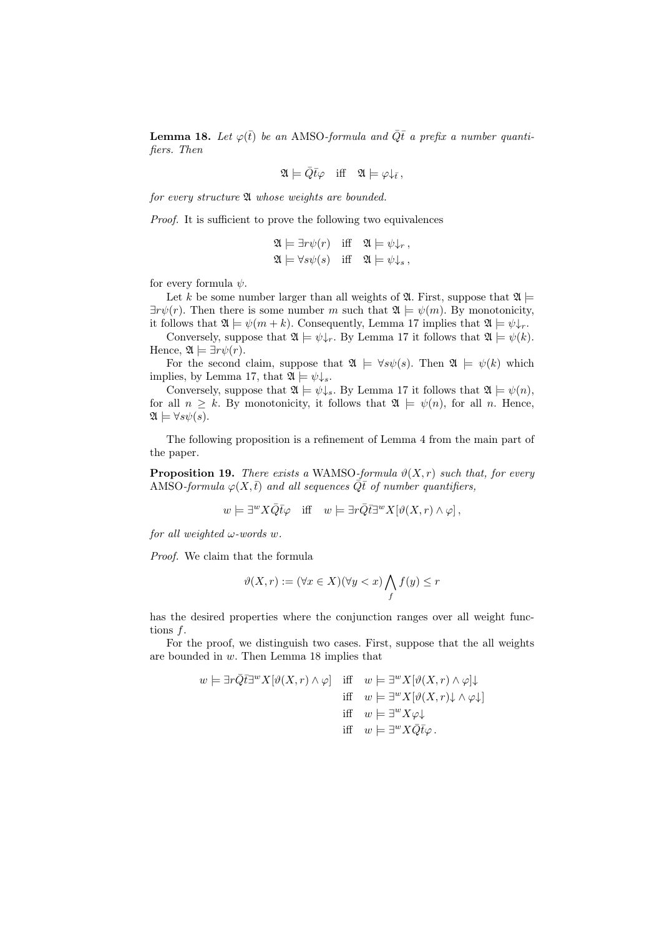**Lemma 18.** Let  $\varphi(\bar{t})$  be an AMSO-formula and  $\overline{Q}\overline{t}$  a prefix a number quantifiers. Then

$$
\mathfrak{A}\models \bar{Q}\bar{t}\varphi \quad \text{iff} \quad \mathfrak{A}\models \varphi\downarrow_{\bar{t}} ,
$$

for every structure A whose weights are bounded.

Proof. It is sufficient to prove the following two equivalences

$$
\mathfrak{A} \models \exists r \psi(r) \quad \text{iff} \quad \mathfrak{A} \models \psi \downarrow_r,
$$
  

$$
\mathfrak{A} \models \forall s \psi(s) \quad \text{iff} \quad \mathfrak{A} \models \psi \downarrow_s,
$$

for every formula  $\psi$ .

Let k be some number larger than all weights of  $\mathfrak{A}$ . First, suppose that  $\mathfrak{A} \models$  $\exists r\psi(r)$ . Then there is some number m such that  $\mathfrak{A} \models \psi(m)$ . By monotonicity, it follows that  $\mathfrak{A} \models \psi(m+k)$ . Consequently, Lemma 17 implies that  $\mathfrak{A} \models \psi\downarrow_r$ .

Conversely, suppose that  $\mathfrak{A} \models \psi \downarrow_r$ . By Lemma 17 it follows that  $\mathfrak{A} \models \psi(k)$ . Hence,  $\mathfrak{A} \models \exists r \psi(r)$ .

For the second claim, suppose that  $\mathfrak{A} \models \forall s \psi(s)$ . Then  $\mathfrak{A} \models \psi(k)$  which implies, by Lemma 17, that  $\mathfrak{A} \models \psi \downarrow_s$ .

Conversely, suppose that  $\mathfrak{A} \models \psi \downarrow_s$ . By Lemma 17 it follows that  $\mathfrak{A} \models \psi(n)$ , for all  $n \geq k$ . By monotonicity, it follows that  $\mathfrak{A} \models \psi(n)$ , for all n. Hence,  $\mathfrak{A} \models \forall s \psi(s).$ 

The following proposition is a refinement of Lemma 4 from the main part of the paper.

**Proposition 19.** There exists a WAMSO-formula  $\vartheta(X, r)$  such that, for every AMSO-formula  $\varphi(X,\bar{t})$  and all sequences  $\overline{Q}\overline{t}$  of number quantifiers,

$$
w \models \exists^w X \overline{Q} \overline{t} \varphi \quad \text{iff} \quad w \models \exists r \overline{Q} \overline{t} \exists^w X [\vartheta(X, r) \land \varphi],
$$

for all weighted  $\omega$ -words w.

Proof. We claim that the formula

$$
\vartheta(X,r) := (\forall x \in X)(\forall y < x) \bigwedge_f f(y) \le r
$$

has the desired properties where the conjunction ranges over all weight functions f.

For the proof, we distinguish two cases. First, suppose that the all weights are bounded in w. Then Lemma 18 implies that

$$
w \models \exists r \bar{Q} \bar{t} \exists^w X [\vartheta(X, r) \land \varphi] \quad \text{iff} \quad w \models \exists^w X [\vartheta(X, r) \land \varphi] \downarrow
$$
  
iff 
$$
w \models \exists^w X [\vartheta(X, r) \land \varphi \downarrow]
$$
  
iff 
$$
w \models \exists^w X \varphi \downarrow
$$
  
iff 
$$
w \models \exists^w X \bar{Q} \bar{t} \varphi.
$$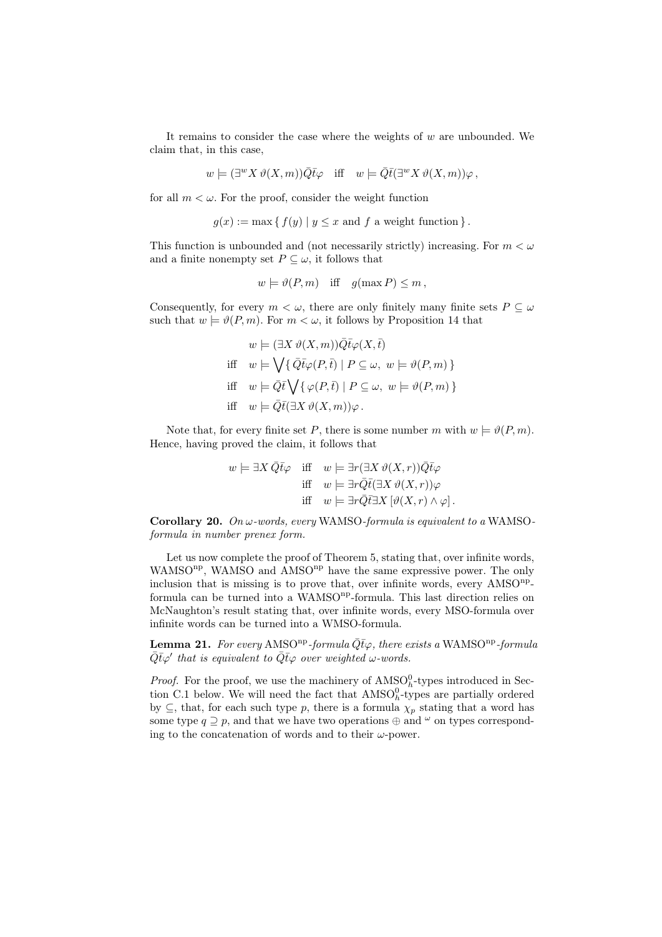It remains to consider the case where the weights of  $w$  are unbounded. We claim that, in this case,

$$
w \models (\exists^w X \vartheta(X, m)) \overline{Q} \overline{t} \varphi \text{ iff } w \models \overline{Q} \overline{t} (\exists^w X \vartheta(X, m)) \varphi,
$$

for all  $m < \omega$ . For the proof, consider the weight function

$$
g(x) := \max \{ f(y) | y \leq x \text{ and } f \text{ a weight function } \}.
$$

This function is unbounded and (not necessarily strictly) increasing. For  $m < \omega$ and a finite nonempty set  $P \subseteq \omega$ , it follows that

$$
w \models \vartheta(P, m)
$$
 iff  $g(\max P) \leq m$ ,

Consequently, for every  $m < \omega$ , there are only finitely many finite sets  $P \subset \omega$ such that  $w \models \vartheta(P, m)$ . For  $m < \omega$ , it follows by Proposition 14 that

$$
w \models (\exists X \vartheta(X, m))\overline{Q}\overline{t}\varphi(X, \overline{t})
$$
  
iff 
$$
w \models \bigvee \{ \overline{Q}\overline{t}\varphi(P, \overline{t}) \mid P \subseteq \omega, w \models \vartheta(P, m) \}
$$
  
iff 
$$
w \models \overline{Q}\overline{t}\bigvee \{ \varphi(P, \overline{t}) \mid P \subseteq \omega, w \models \vartheta(P, m) \}
$$
  
iff 
$$
w \models \overline{Q}\overline{t}(\exists X \vartheta(X, m))\varphi.
$$

Note that, for every finite set P, there is some number m with  $w \models \vartheta(P, m)$ . Hence, having proved the claim, it follows that

$$
w \models \exists X \, \bar{Q} \bar{t} \varphi \quad \text{iff} \quad w \models \exists r (\exists X \, \vartheta(X, r)) \bar{Q} \bar{t} \varphi
$$
\n
$$
\text{iff} \quad w \models \exists r \bar{Q} \bar{t} (\exists X \, \vartheta(X, r)) \varphi
$$
\n
$$
\text{iff} \quad w \models \exists r \bar{Q} \bar{t} \exists X \, [\vartheta(X, r) \land \varphi].
$$

Corollary 20. On  $\omega$ -words, every WAMSO-formula is equivalent to a WAMSOformula in number prenex form.

Let us now complete the proof of Theorem 5, stating that, over infinite words, WAMSO<sup>np</sup>, WAMSO and AMSO<sup>np</sup> have the same expressive power. The only inclusion that is missing is to prove that, over infinite words, every  $AMSO<sup>np</sup>$ . formula can be turned into a WAMSO<sup>np</sup>-formula. This last direction relies on McNaughton's result stating that, over infinite words, every MSO-formula over infinite words can be turned into a WMSO-formula.

**Lemma 21.** For every AMSO<sup>np</sup>-formula  $\overline{Q}t\varphi$ , there exists a WAMSO<sup>np</sup>-formula  $\bar{Q}t\varphi'$  that is equivalent to  $\bar{Q}t\varphi$  over weighted  $\omega$ -words.

*Proof.* For the proof, we use the machinery of  $AMSO<sub>h</sub><sup>0</sup>$ -types introduced in Section C.1 below. We will need the fact that  $AMSO<sub>h</sub><sup>0</sup>$ -types are partially ordered by  $\subseteq$ , that, for each such type p, there is a formula  $\chi_p$  stating that a word has some type  $q \supset p$ , and that we have two operations  $\oplus$  and  $\omega$  on types corresponding to the concatenation of words and to their  $\omega$ -power.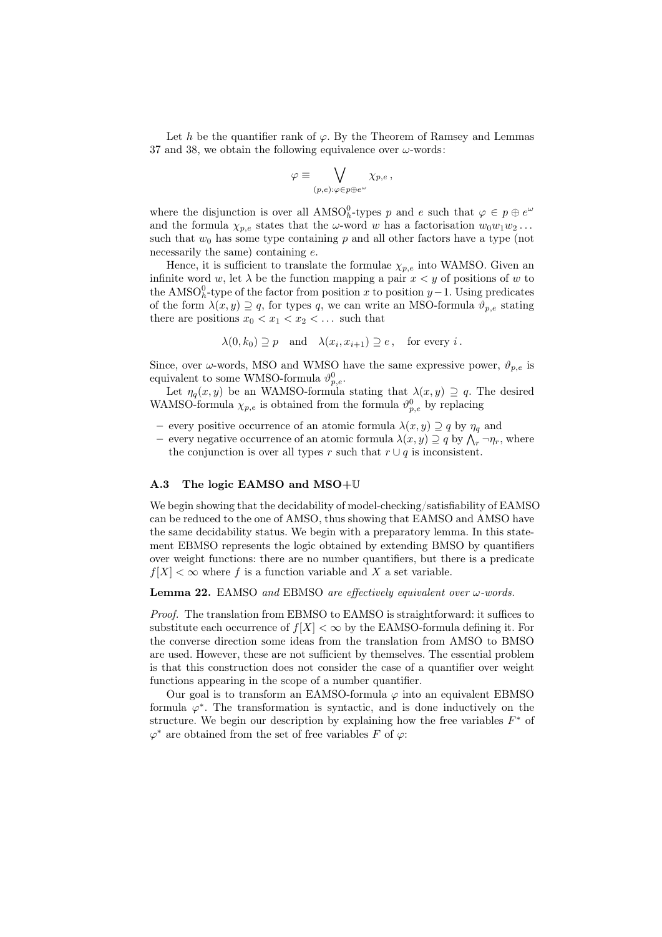Let h be the quantifier rank of  $\varphi$ . By the Theorem of Ramsey and Lemmas 37 and 38, we obtain the following equivalence over  $\omega$ -words:

$$
\varphi \equiv \bigvee_{(p,e):\varphi \in p \oplus e^{\omega}} \chi_{p,e} ,
$$

where the disjunction is over all  $AMSO<sub>h</sub><sup>0</sup>$ -types p and e such that  $\varphi \in p \oplus e^{\omega}$ and the formula  $\chi_{p,e}$  states that the  $\omega$ -word w has a factorisation  $w_0w_1w_2 \ldots$ such that  $w_0$  has some type containing p and all other factors have a type (not necessarily the same) containing e.

Hence, it is sufficient to translate the formulae  $\chi_{p,e}$  into WAMSO. Given an infinite word w, let  $\lambda$  be the function mapping a pair  $x < y$  of positions of w to the AMSO $_h^0$ -type of the factor from position x to position y – 1. Using predicates of the form  $\lambda(x, y) \supseteq q$ , for types q, we can write an MSO-formula  $\vartheta_{p,e}$  stating there are positions  $x_0 < x_1 < x_2 < \dots$  such that

$$
\lambda(0, k_0) \supseteq p
$$
 and  $\lambda(x_i, x_{i+1}) \supseteq e$ , for every *i*.

Since, over  $\omega$ -words, MSO and WMSO have the same expressive power,  $\vartheta_{p,e}$  is equivalent to some WMSO-formula  $\vartheta_{p,e}^0$ .

Let  $\eta_q(x, y)$  be an WAMSO-formula stating that  $\lambda(x, y) \supseteq q$ . The desired WAMSO-formula  $\chi_{p,e}$  is obtained from the formula  $\vartheta_{p,e}^0$  by replacing

- every positive occurrence of an atomic formula  $\lambda(x, y) \supseteq q$  by  $\eta_q$  and
- every negative occurrence of an atomic formula  $\lambda(x, y) \supseteq q$  by  $\bigwedge_r \neg \eta_r$ , where the conjunction is over all types r such that  $r \cup q$  is inconsistent.

## A.3 The logic EAMSO and MSO+U

We begin showing that the decidability of model-checking/satisfiability of EAMSO can be reduced to the one of AMSO, thus showing that EAMSO and AMSO have the same decidability status. We begin with a preparatory lemma. In this statement EBMSO represents the logic obtained by extending BMSO by quantifiers over weight functions: there are no number quantifiers, but there is a predicate  $f[X] < \infty$  where f is a function variable and X a set variable.

**Lemma 22.** EAMSO and EBMSO are effectively equivalent over  $\omega$ -words.

Proof. The translation from EBMSO to EAMSO is straightforward: it suffices to substitute each occurrence of  $f[X] < \infty$  by the EAMSO-formula defining it. For the converse direction some ideas from the translation from AMSO to BMSO are used. However, these are not sufficient by themselves. The essential problem is that this construction does not consider the case of a quantifier over weight functions appearing in the scope of a number quantifier.

Our goal is to transform an EAMSO-formula  $\varphi$  into an equivalent EBMSO formula  $\varphi^*$ . The transformation is syntactic, and is done inductively on the structure. We begin our description by explaining how the free variables  $F^*$  of  $\varphi^*$  are obtained from the set of free variables F of  $\varphi$ :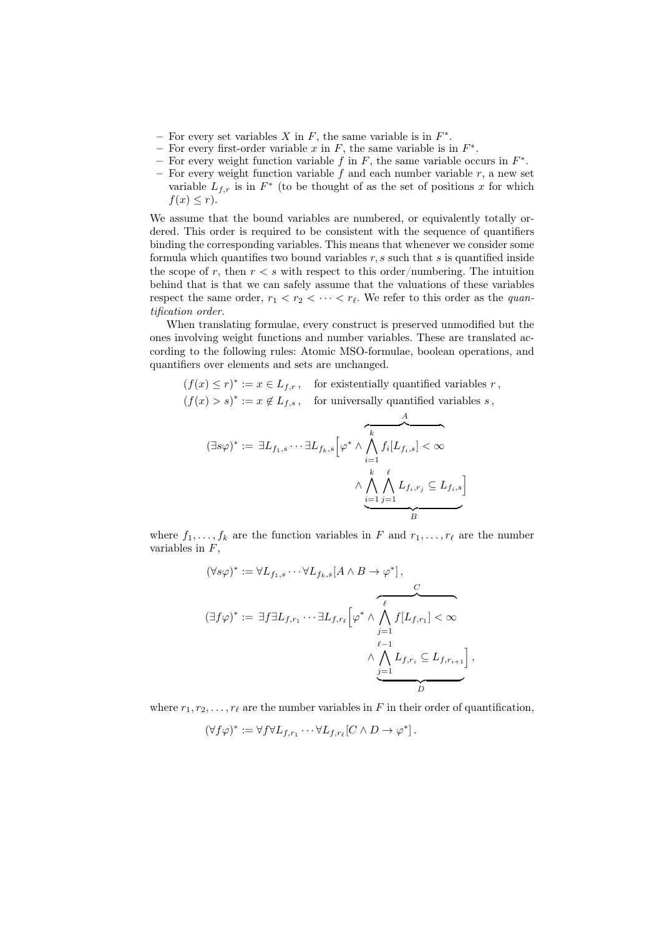- $-$  For every set variables X in F, the same variable is in  $F^*$ .
- For every first-order variable x in F, the same variable is in  $F^*$ .
- For every weight function variable f in F, the same variable occurs in  $F^*$ .
- For every weight function variable  $f$  and each number variable  $r$ , a new set variable  $L_{f,r}$  is in  $F^*$  (to be thought of as the set of positions x for which  $f(x) \leq r$ .

We assume that the bound variables are numbered, or equivalently totally ordered. This order is required to be consistent with the sequence of quantifiers binding the corresponding variables. This means that whenever we consider some formula which quantifies two bound variables  $r, s$  such that s is quantified inside the scope of r, then  $r < s$  with respect to this order/numbering. The intuition behind that is that we can safely assume that the valuations of these variables respect the same order,  $r_1 < r_2 < \cdots < r_\ell$ . We refer to this order as the *quan*tification order.

When translating formulae, every construct is preserved unmodified but the ones involving weight functions and number variables. These are translated according to the following rules: Atomic MSO-formulae, boolean operations, and quantifiers over elements and sets are unchanged.

$$
(f(x) \le r)^* := x \in L_{f,r}, \text{ for existentially quantified variables } r,
$$
  
\n
$$
(f(x) > s)^* := x \notin L_{f,s}, \text{ for universally quantified variables } s,
$$
  
\n
$$
(\exists s\varphi)^* := \exists L_{f_1,s} \cdots \exists L_{f_k,s} \Big[ \varphi^* \wedge \bigwedge_{i=1}^k f_i[L_{f_i,s}] < \infty
$$
  
\n
$$
\wedge \bigwedge_{i=1}^k \bigwedge_{j=1}^{\ell} L_{f_i,r_j} \subseteq L_{f_i,s} \Big]
$$
  
\n
$$
\xrightarrow{i=1}^k \underbrace{\bigwedge_{j=1}^k L_{f_i,r_j} \subseteq L_{f_i,s}}_{B}
$$

where  $f_1, \ldots, f_k$  are the function variables in F and  $r_1, \ldots, r_\ell$  are the number variables in  $F$ ,

$$
(\forall s\varphi)^* := \forall L_{f_1,s} \cdots \forall L_{f_k,s}[A \wedge B \to \varphi^*],
$$
  

$$
(\exists f\varphi)^* := \exists f \exists L_{f,r_1} \cdots \exists L_{f,r_\ell} \left[ \varphi^* \wedge \bigwedge_{\substack{j=1 \ \ell-1}}^{\ell} f[L_{f,r_1}] < \infty
$$
  

$$
\wedge \bigwedge_{\substack{j=1 \ \ell-1}}^{\ell-1} L_{f,r_i} \subseteq L_{f,r_{i+1}} \right]
$$

where  $r_1, r_2, \ldots, r_\ell$  are the number variables in F in their order of quantification,

,

$$
(\forall f \varphi)^* := \forall f \forall L_{f,r_1} \cdots \forall L_{f,r_\ell} [C \wedge D \to \varphi^*].
$$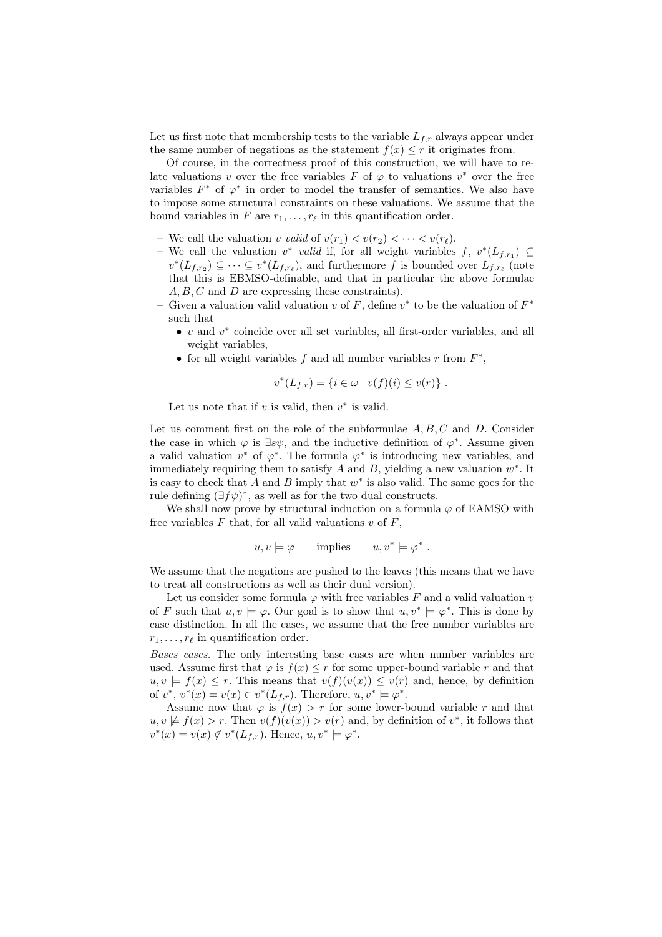Let us first note that membership tests to the variable  $L_{f,r}$  always appear under the same number of negations as the statement  $f(x) \leq r$  it originates from.

Of course, in the correctness proof of this construction, we will have to relate valuations v over the free variables F of  $\varphi$  to valuations v<sup>\*</sup> over the free variables  $F^*$  of  $\varphi^*$  in order to model the transfer of semantics. We also have to impose some structural constraints on these valuations. We assume that the bound variables in F are  $r_1, \ldots, r_\ell$  in this quantification order.

- We call the valuation v valid of  $v(r_1) < v(r_2) < \cdots < v(r_\ell)$ .
- We call the valuation  $v^*$  valid if, for all weight variables f,  $v^*(L_{f,r_1})$  ⊆  $v^*(L_{f,r_2}) \subseteq \cdots \subseteq v^*(L_{f,r_\ell})$ , and furthermore f is bounded over  $L_{f,r_\ell}$  (note that this is EBMSO-definable, and that in particular the above formulae  $A, B, C$  and D are expressing these constraints).
- Given a valuation valid valuation v of F, define  $v^*$  to be the valuation of  $F^*$ such that
	- $v$  and  $v^*$  coincide over all set variables, all first-order variables, and all weight variables,
	- for all weight variables f and all number variables r from  $F^*$ ,

$$
v^*(L_{f,r}) = \{ i \in \omega \mid v(f)(i) \le v(r) \} .
$$

Let us note that if  $v$  is valid, then  $v^*$  is valid.

Let us comment first on the role of the subformulae  $A, B, C$  and D. Consider the case in which  $\varphi$  is  $\exists s\psi$ , and the inductive definition of  $\varphi^*$ . Assume given a valid valuation  $v^*$  of  $\varphi^*$ . The formula  $\varphi^*$  is introducing new variables, and immediately requiring them to satisfy  $A$  and  $B$ , yielding a new valuation  $w^*$ . It is easy to check that  $A$  and  $B$  imply that  $w^*$  is also valid. The same goes for the rule defining  $(\exists f \psi)^*$ , as well as for the two dual constructs.

We shall now prove by structural induction on a formula  $\varphi$  of EAMSO with free variables  $F$  that, for all valuations  $v$  of  $F$ ,

$$
u, v \models \varphi
$$
 implies  $u, v^* \models \varphi^*$ .

We assume that the negations are pushed to the leaves (this means that we have to treat all constructions as well as their dual version).

Let us consider some formula  $\varphi$  with free variables F and a valid valuation v of F such that  $u, v \models \varphi$ . Our goal is to show that  $u, v^* \models \varphi^*$ . This is done by case distinction. In all the cases, we assume that the free number variables are  $r_1, \ldots, r_\ell$  in quantification order.

Bases cases. The only interesting base cases are when number variables are used. Assume first that  $\varphi$  is  $f(x) \leq r$  for some upper-bound variable r and that  $u, v \models f(x) \leq r$ . This means that  $v(f)(v(x)) \leq v(r)$  and, hence, by definition of  $v^*, v^*(x) = v(x) \in v^*(L_{f,r}).$  Therefore,  $u, v^* \models \varphi^*$ .

Assume now that  $\varphi$  is  $f(x) > r$  for some lower-bound variable r and that  $u, v \not\models f(x) > r$ . Then  $v(f)(v(x)) > v(r)$  and, by definition of  $v^*$ , it follows that  $v^*(x) = v(x) \notin v^*(L_{f,r})$ . Hence,  $u, v^* \models \varphi^*$ .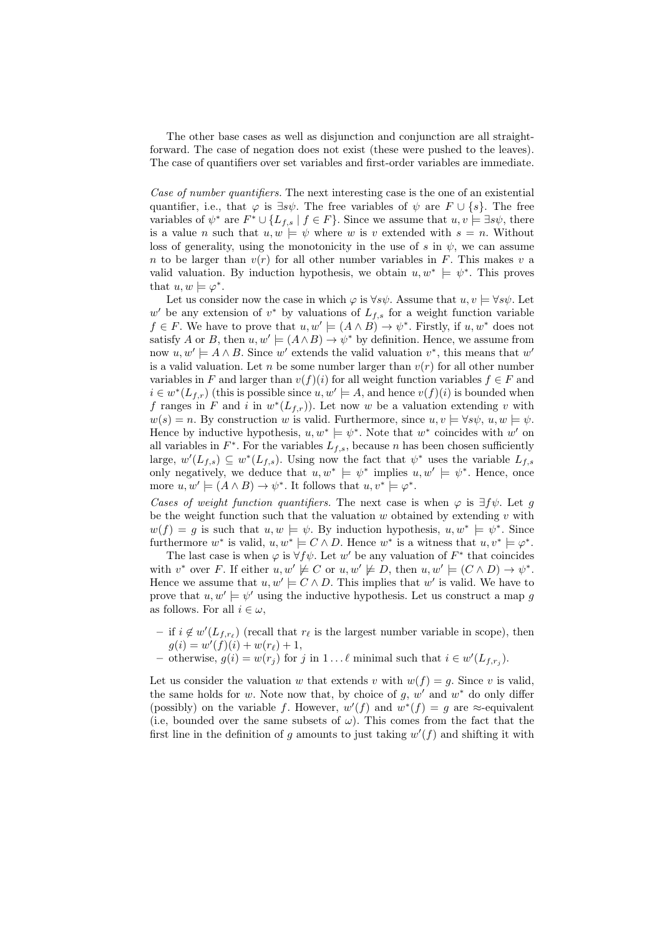The other base cases as well as disjunction and conjunction are all straightforward. The case of negation does not exist (these were pushed to the leaves). The case of quantifiers over set variables and first-order variables are immediate.

Case of number quantifiers. The next interesting case is the one of an existential quantifier, i.e., that  $\varphi$  is  $\exists s\psi$ . The free variables of  $\psi$  are  $F \cup \{s\}$ . The free variables of  $\psi^*$  are  $F^* \cup \{L_{f,s} \mid f \in F\}$ . Since we assume that  $u, v \models \exists s \psi$ , there is a value n such that  $u, w \models \psi$  where w is v extended with  $s = n$ . Without loss of generality, using the monotonicity in the use of s in  $\psi$ , we can assume n to be larger than  $v(r)$  for all other number variables in F. This makes v a valid valuation. By induction hypothesis, we obtain  $u, w^* \models \psi^*$ . This proves that  $u, w \models \varphi^*$ .

Let us consider now the case in which  $\varphi$  is  $\forall s\psi$ . Assume that  $u, v \models \forall s\psi$ . Let  $w'$  be any extension of  $v^*$  by valuations of  $L_{f,s}$  for a weight function variable  $f \in F$ . We have to prove that  $u, w' \models (A \land B) \rightarrow \psi^*$ . Firstly, if  $u, w^*$  does not satisfy A or B, then  $u, w' \models (A \land B) \rightarrow \psi^*$  by definition. Hence, we assume from now  $u, w' \models A \land B$ . Since w' extends the valid valuation  $v^*$ , this means that w' is a valid valuation. Let n be some number larger than  $v(r)$  for all other number variables in F and larger than  $v(f)(i)$  for all weight function variables  $f \in F$  and  $i \in w^*(L_{f,r})$  (this is possible since  $u, w' \models A$ , and hence  $v(f)(i)$  is bounded when f ranges in F and i in  $w^*(L_{f,r})$ . Let now w be a valuation extending v with  $w(s) = n$ . By construction w is valid. Furthermore, since  $u, v \models \forall s \psi, u, w \models \psi$ . Hence by inductive hypothesis,  $u, w^* \models \psi^*$ . Note that  $w^*$  coincides with  $w'$  on all variables in  $F^*$ . For the variables  $L_{f,s}$ , because n has been chosen sufficiently large,  $w'(L_{f,s}) \subseteq w^*(L_{f,s})$ . Using now the fact that  $\psi^*$  uses the variable  $L_{f,s}$ only negatively, we deduce that  $u, w^* \models \psi^*$  implies  $u, w' \models \psi^*$ . Hence, once more  $u, w' \models (A \land B) \rightarrow \psi^*$ . It follows that  $u, v^* \models \varphi^*$ .

Cases of weight function quantifiers. The next case is when  $\varphi$  is  $\exists f\psi$ . Let g be the weight function such that the valuation  $w$  obtained by extending  $v$  with  $w(f) = g$  is such that  $u, w \models \psi$ . By induction hypothesis,  $u, w^* \models \psi^*$ . Since furthermore  $w^*$  is valid,  $u, w^* \models C \land D$ . Hence  $w^*$  is a witness that  $u, v^* \models \varphi^*$ .

The last case is when  $\varphi$  is  $\forall f \psi$ . Let w' be any valuation of  $F^*$  that coincides with  $v^*$  over F. If either  $u, w' \not\models C$  or  $u, w' \not\models D$ , then  $u, w' \models (C \wedge D) \rightarrow \psi^*$ . Hence we assume that  $u, w' \models C \land D$ . This implies that w' is valid. We have to prove that  $u, w' \models \psi'$  using the inductive hypothesis. Let us construct a map g as follows. For all  $i \in \omega$ ,

– if  $i \notin w'(L_{f,r_{\ell}})$  (recall that  $r_{\ell}$  is the largest number variable in scope), then  $g(i) = w'(f)(i) + w(r_{\ell}) + 1,$ 

− otherwise,  $g(i) = w(r_j)$  for j in 1...  $\ell$  minimal such that  $i \in w'(L_{f,r_j})$ .

Let us consider the valuation w that extends v with  $w(f) = g$ . Since v is valid, the same holds for w. Note now that, by choice of  $g, w'$  and  $w^*$  do only differ (possibly) on the variable f. However,  $w'(f)$  and  $w^*(f) = g$  are  $\approx$ -equivalent (i.e, bounded over the same subsets of  $\omega$ ). This comes from the fact that the first line in the definition of g amounts to just taking  $w'(f)$  and shifting it with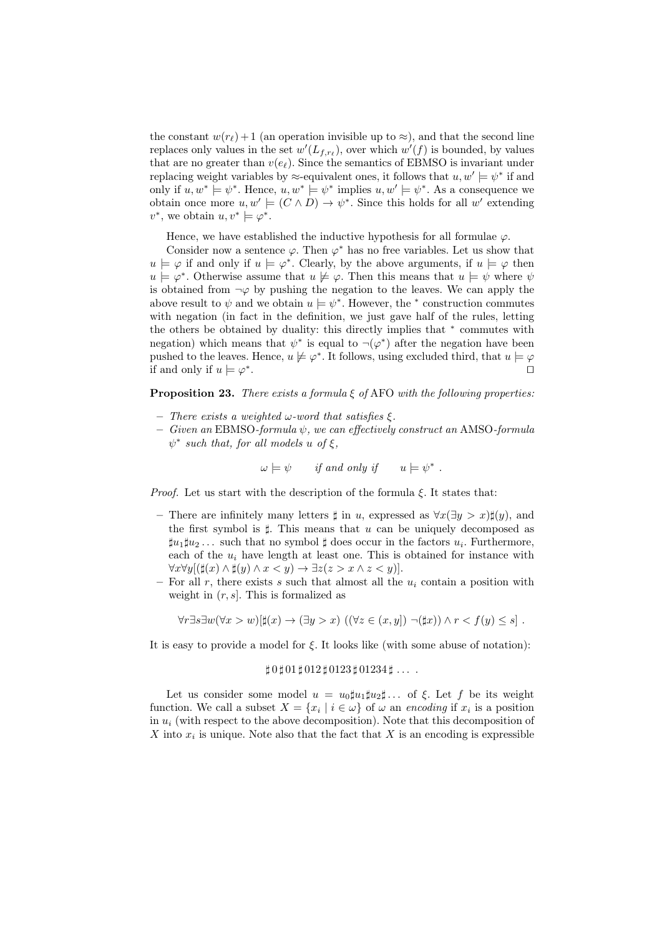the constant  $w(r_\ell) + 1$  (an operation invisible up to  $\approx$ ), and that the second line replaces only values in the set  $w'(L_{f,r_{\ell}})$ , over which  $w'(f)$  is bounded, by values that are no greater than  $v(e_\ell)$ . Since the semantics of EBMSO is invariant under replacing weight variables by  $\approx$ -equivalent ones, it follows that  $u, w' \models \psi^*$  if and only if  $u, w^* \models \psi^*$ . Hence,  $u, w^* \models \psi^*$  implies  $u, w' \models \psi^*$ . As a consequence we obtain once more  $u, w' \models (C \land D) \rightarrow \psi^*$ . Since this holds for all w' extending  $v^*$ , we obtain  $u, v^* \models \varphi^*$ .

Hence, we have established the inductive hypothesis for all formulae  $\varphi$ .

Consider now a sentence  $\varphi$ . Then  $\varphi^*$  has no free variables. Let us show that  $u \models \varphi$  if and only if  $u \models \varphi^*$ . Clearly, by the above arguments, if  $u \models \varphi$  then  $u \models \varphi^*$ . Otherwise assume that  $u \not\models \varphi$ . Then this means that  $u \models \psi$  where  $\psi$ is obtained from  $\neg \varphi$  by pushing the negation to the leaves. We can apply the above result to  $\psi$  and we obtain  $u \models \psi^*$ . However, the  $^*$  construction commutes with negation (in fact in the definition, we just gave half of the rules, letting the others be obtained by duality: this directly implies that <sup>∗</sup> commutes with negation) which means that  $\psi^*$  is equal to  $\neg(\varphi^*)$  after the negation have been pushed to the leaves. Hence,  $u \not\models \varphi^*$ . It follows, using excluded third, that  $u \models \varphi$ if and only if  $u \models \varphi^*$ . The contract of the contract of the contract of  $\Box$ 

**Proposition 23.** There exists a formula  $\xi$  of AFO with the following properties:

- There exists a weighted  $\omega$ -word that satisfies  $\xi$ .
- $-$  Given an EBMSO-formula  $\psi$ , we can effectively construct an AMSO-formula  $\psi^*$  such that, for all models u of  $\xi$ ,

$$
\omega \models \psi \qquad \text{if and only if} \qquad u \models \psi^*
$$

.

*Proof.* Let us start with the description of the formula  $\xi$ . It states that:

- There are infinitely many letters  $\sharp$  in u, expressed as  $\forall x(\exists y > x)\sharp(y)$ , and the first symbol is  $\sharp$ . This means that u can be uniquely decomposed as  $\sharp u_1 \sharp u_2 \dots$  such that no symbol  $\sharp$  does occur in the factors  $u_i$ . Furthermore, each of the  $u_i$  have length at least one. This is obtained for instance with  $\forall x \forall y [(\sharp(x) \land \sharp(y) \land x < y) \rightarrow \exists z(z > x \land z < y)].$
- For all r, there exists s such that almost all the  $u_i$  contain a position with weight in  $(r, s]$ . This is formalized as

 $\forall r \exists s \exists w (\forall x > w)[\sharp(x) \rightarrow (\exists y > x) ((\forall z \in (x, y]) \neg (\sharp x)) \land r < f(y) \le s].$ 

It is easy to provide a model for  $\xi$ . It looks like (with some abuse of notation):

## $\sharp 0 \sharp 01 \sharp 012 \sharp 0123 \sharp 01234 \sharp ...$

Let us consider some model  $u = u_0 \sharp u_1 \sharp u_2 \sharp \ldots$  of  $\xi$ . Let f be its weight function. We call a subset  $X = \{x_i \mid i \in \omega\}$  of  $\omega$  an encoding if  $x_i$  is a position in  $u_i$  (with respect to the above decomposition). Note that this decomposition of X into  $x_i$  is unique. Note also that the fact that X is an encoding is expressible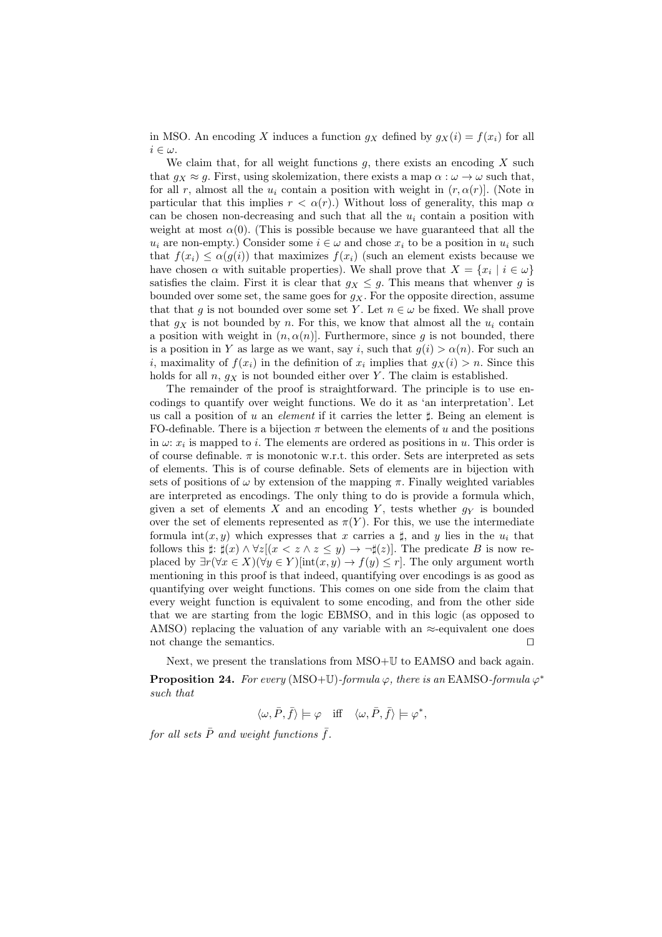in MSO. An encoding X induces a function  $g_X$  defined by  $g_X(i) = f(x_i)$  for all  $i \in \omega$ .

We claim that, for all weight functions  $g$ , there exists an encoding  $X$  such that  $g_X \approx g$ . First, using skolemization, there exists a map  $\alpha : \omega \to \omega$  such that, for all r, almost all the  $u_i$  contain a position with weight in  $(r, \alpha(r))$ . (Note in particular that this implies  $r < \alpha(r)$ .) Without loss of generality, this map  $\alpha$ can be chosen non-decreasing and such that all the  $u_i$  contain a position with weight at most  $\alpha(0)$ . (This is possible because we have guaranteed that all the  $u_i$  are non-empty.) Consider some  $i \in \omega$  and chose  $x_i$  to be a position in  $u_i$  such that  $f(x_i) \leq \alpha(g(i))$  that maximizes  $f(x_i)$  (such an element exists because we have chosen  $\alpha$  with suitable properties). We shall prove that  $X = \{x_i \mid i \in \omega\}$ satisfies the claim. First it is clear that  $g_X \leq g$ . This means that whenver g is bounded over some set, the same goes for  $g_X$ . For the opposite direction, assume that that g is not bounded over some set Y. Let  $n \in \omega$  be fixed. We shall prove that  $g_X$  is not bounded by n. For this, we know that almost all the  $u_i$  contain a position with weight in  $(n, \alpha(n))$ . Furthermore, since g is not bounded, there is a position in Y as large as we want, say i, such that  $g(i) > \alpha(n)$ . For such an *i*, maximality of  $f(x_i)$  in the definition of  $x_i$  implies that  $g_X(i) > n$ . Since this holds for all  $n$ ,  $q_X$  is not bounded either over Y. The claim is established.

The remainder of the proof is straightforward. The principle is to use encodings to quantify over weight functions. We do it as 'an interpretation'. Let us call a position of u an *element* if it carries the letter  $\sharp$ . Being an element is FO-definable. There is a bijection  $\pi$  between the elements of u and the positions in  $\omega: x_i$  is mapped to *i*. The elements are ordered as positions in *u*. This order is of course definable.  $\pi$  is monotonic w.r.t. this order. Sets are interpreted as sets of elements. This is of course definable. Sets of elements are in bijection with sets of positions of  $\omega$  by extension of the mapping  $\pi$ . Finally weighted variables are interpreted as encodings. The only thing to do is provide a formula which, given a set of elements X and an encoding Y, tests whether  $q<sub>Y</sub>$  is bounded over the set of elements represented as  $\pi(Y)$ . For this, we use the intermediate formula int $(x, y)$  which expresses that x carries a  $\sharp$ , and y lies in the  $u_i$  that follows this  $\sharp: \sharp(x) \wedge \forall z [(x \leq z \wedge z \leq y) \rightarrow \neg \sharp(z)].$  The predicate B is now replaced by  $\exists r(\forall x \in X)(\forall y \in Y)[\text{int}(x, y) \to f(y) \leq r]$ . The only argument worth mentioning in this proof is that indeed, quantifying over encodings is as good as quantifying over weight functions. This comes on one side from the claim that every weight function is equivalent to some encoding, and from the other side that we are starting from the logic EBMSO, and in this logic (as opposed to AMSO) replacing the valuation of any variable with an  $\approx$ -equivalent one does not change the semantics.  $\Box$ 

Next, we present the translations from MSO+U to EAMSO and back again.

**Proposition 24.** For every (MSO+U)-formula  $\varphi$ , there is an EAMSO-formula  $\varphi^*$ such that

 $\langle \omega, \bar{P}, \bar{f} \rangle \models \varphi \quad \text{iff} \quad \langle \omega, \bar{P}, \bar{f} \rangle \models \varphi^*,$ 

for all sets  $\bar{P}$  and weight functions  $\bar{f}$ .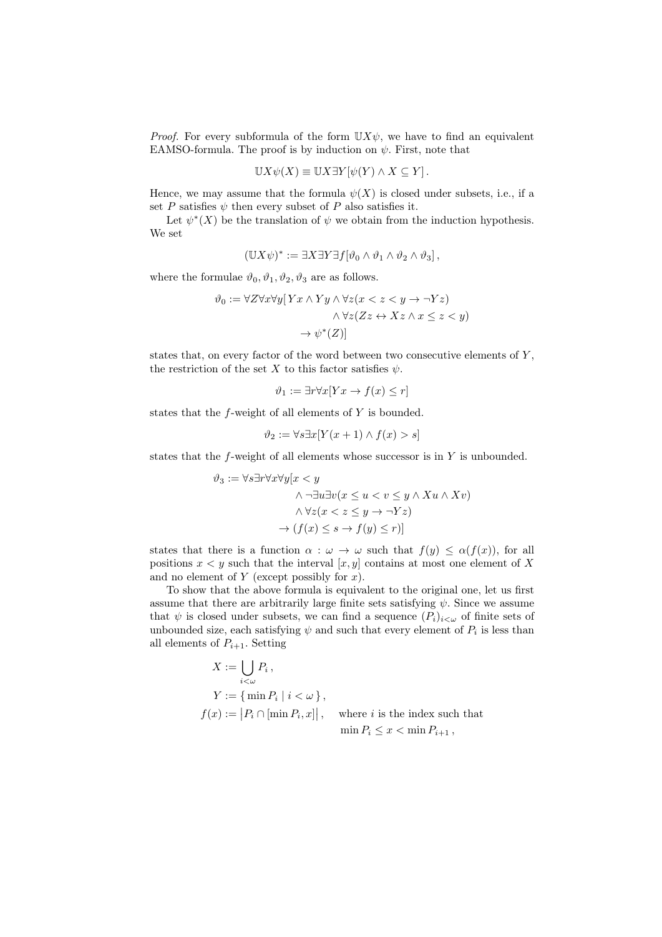*Proof.* For every subformula of the form  $\mathbb{U}X\psi$ , we have to find an equivalent EAMSO-formula. The proof is by induction on  $\psi$ . First, note that

$$
\mathbb{U}X\psi(X)\equiv \mathbb{U}X\exists Y[\psi(Y)\wedge X\subseteq Y].
$$

Hence, we may assume that the formula  $\psi(X)$  is closed under subsets, i.e., if a set P satisfies  $\psi$  then every subset of P also satisfies it.

Let  $\psi^*(X)$  be the translation of  $\psi$  we obtain from the induction hypothesis. We set

$$
(\mathbb{U}X\psi)^* := \exists X \exists Y \exists f [\vartheta_0 \wedge \vartheta_1 \wedge \vartheta_2 \wedge \vartheta_3],
$$

where the formulae  $\vartheta_0, \vartheta_1, \vartheta_2, \vartheta_3$  are as follows.

$$
\vartheta_0 := \forall Z \forall x \forall y [Yx \land Yy \land \forall z (x < z < y \to \neg Yz) \land \forall z (Zz \leftrightarrow Xz \land x \le z < y) \to \psi^*(Z)]
$$

states that, on every factor of the word between two consecutive elements of  $Y$ , the restriction of the set X to this factor satisfies  $\psi$ .

$$
\vartheta_1 := \exists r \forall x [Yx \to f(x) \le r]
$$

states that the f-weight of all elements of Y is bounded.

$$
\vartheta_2 := \forall s \exists x [Y(x+1) \land f(x) > s]
$$

states that the  $f$ -weight of all elements whose successor is in  $Y$  is unbounded.

$$
\vartheta_3 := \forall s \exists r \forall x \forall y [x < y
$$
  

$$
\land \neg \exists u \exists v (x \le u < v \le y \land Xu \land Xv)
$$
  

$$
\land \forall z (x < z \le y \to \neg Yz)
$$
  

$$
\to (f(x) \le s \to f(y) \le r)]
$$

states that there is a function  $\alpha : \omega \to \omega$  such that  $f(y) \leq \alpha(f(x))$ , for all positions  $x < y$  such that the interval  $[x, y]$  contains at most one element of X and no element of  $Y$  (except possibly for  $x$ ).

To show that the above formula is equivalent to the original one, let us first assume that there are arbitrarily large finite sets satisfying  $\psi$ . Since we assume that  $\psi$  is closed under subsets, we can find a sequence  $(P_i)_{i \leq \omega}$  of finite sets of unbounded size, each satisfying  $\psi$  and such that every element of  $P_i$  is less than all elements of  $P_{i+1}$ . Setting

$$
X := \bigcup_{i < \omega} P_i,
$$
  
\n
$$
Y := \{ \min P_i \mid i < \omega \},
$$
  
\n
$$
f(x) := |P_i \cap [\min P_i, x]|, \text{ where } i \text{ is the index such that}
$$
  
\n
$$
\min P_i \le x < \min P_{i+1},
$$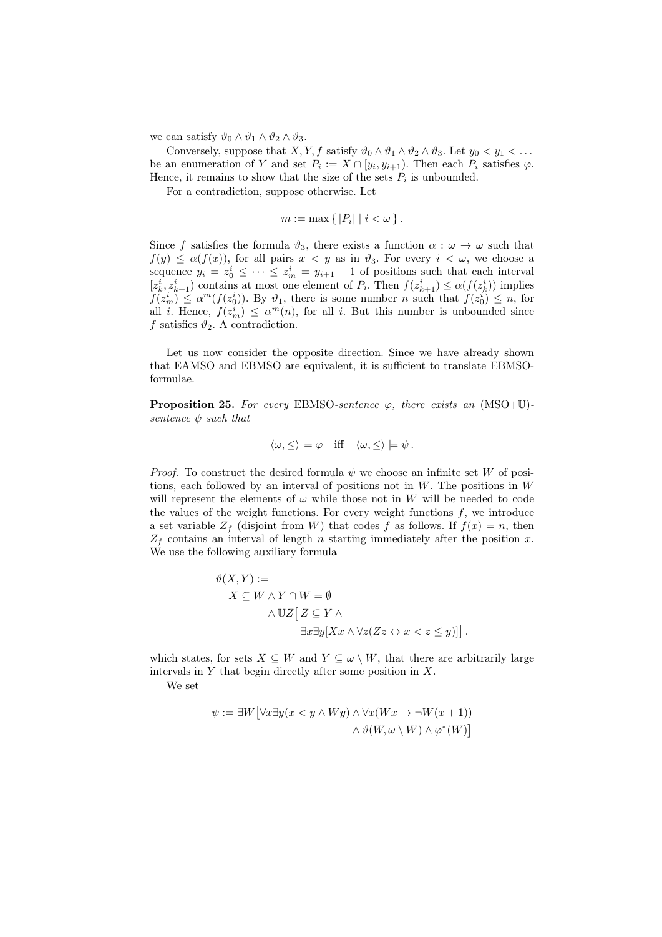we can satisfy  $\vartheta_0 \wedge \vartheta_1 \wedge \vartheta_2 \wedge \vartheta_3$ .

Conversely, suppose that  $X, Y, f$  satisfy  $\vartheta_0 \wedge \vartheta_1 \wedge \vartheta_2 \wedge \vartheta_3$ . Let  $y_0 < y_1 < \dots$ be an enumeration of Y and set  $P_i := X \cap [y_i, y_{i+1})$ . Then each  $P_i$  satisfies  $\varphi$ . Hence, it remains to show that the size of the sets  $P_i$  is unbounded.

For a contradiction, suppose otherwise. Let

$$
m := \max\{|P_i| \mid i < \omega\}.
$$

Since f satisfies the formula  $\vartheta_3$ , there exists a function  $\alpha : \omega \to \omega$  such that  $f(y) \leq \alpha(f(x))$ , for all pairs  $x < y$  as in  $\vartheta_3$ . For every  $i < \omega$ , we choose a sequence  $y_i = z_0^i \leq \cdots \leq z_m^i = y_{i+1} - 1$  of positions such that each interval  $[z_k^i, z_{k+1}^i]$  contains at most one element of  $P_i$ . Then  $f(z_{k+1}^i) \leq \alpha(f(z_k^i))$  implies  $f(z_m^i) \le \alpha^m(f(z_0^i))$ . By  $\vartheta_1$ , there is some number n such that  $f(z_0^i) \le n$ , for all *i*. Hence,  $f(z_m^i) \leq \alpha^m(n)$ , for all *i*. But this number is unbounded since f satisfies  $\vartheta_2$ . A contradiction.

Let us now consider the opposite direction. Since we have already shown that EAMSO and EBMSO are equivalent, it is sufficient to translate EBMSOformulae.

**Proposition 25.** For every EBMSO-sentence  $\varphi$ , there exists an (MSO+U)sentence  $\psi$  such that

$$
\langle \omega, \leq \rangle \models \varphi \quad \text{iff} \quad \langle \omega, \leq \rangle \models \psi.
$$

*Proof.* To construct the desired formula  $\psi$  we choose an infinite set W of positions, each followed by an interval of positions not in  $W$ . The positions in  $W$ will represent the elements of  $\omega$  while those not in W will be needed to code the values of the weight functions. For every weight functions  $f$ , we introduce a set variable  $Z_f$  (disjoint from W) that codes f as follows. If  $f(x) = n$ , then  $Z_f$  contains an interval of length n starting immediately after the position x. We use the following auxiliary formula

$$
\vartheta(X, Y) :=
$$
  
\n
$$
X \subseteq W \land Y \cap W = \emptyset
$$
  
\n
$$
\land UZ \big[ Z \subseteq Y \land
$$
  
\n
$$
\exists x \exists y [Xx \land \forall z (Zz \leftrightarrow x < z \le y)] \big].
$$

which states, for sets  $X \subseteq W$  and  $Y \subseteq \omega \setminus W$ , that there are arbitrarily large intervals in  $Y$  that begin directly after some position in  $X$ .

We set

$$
\psi := \exists W \left[ \forall x \exists y (x < y \land Wy) \land \forall x (Wx \to \neg W(x+1))
$$
\n
$$
\land \vartheta(W, \omega \setminus W) \land \varphi^*(W) \right]
$$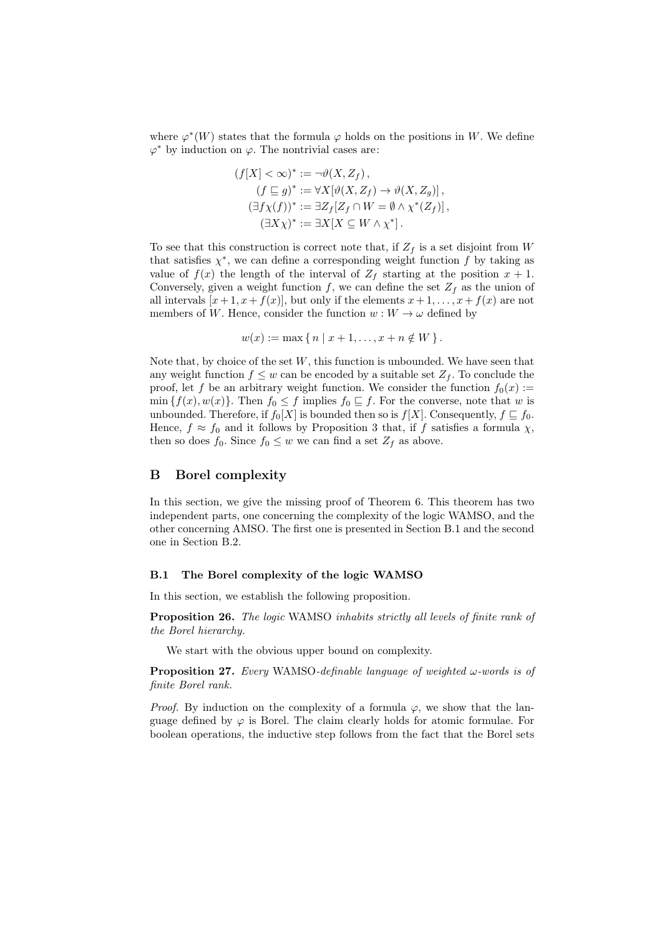where  $\varphi^*(W)$  states that the formula  $\varphi$  holds on the positions in W. We define  $\varphi^*$  by induction on  $\varphi$ . The nontrivial cases are:

$$
(f[X] < \infty)^* := \neg \vartheta(X, Z_f),
$$
\n
$$
(f \sqsubseteq g)^* := \forall X[\vartheta(X, Z_f) \to \vartheta(X, Z_g)],
$$
\n
$$
(\exists f \chi(f))^* := \exists Z_f[Z_f \cap W = \emptyset \land \chi^*(Z_f)],
$$
\n
$$
(\exists X \chi)^* := \exists X[X \subseteq W \land \chi^*].
$$

To see that this construction is correct note that, if  $Z_f$  is a set disjoint from  $W$ that satisfies  $\chi^*$ , we can define a corresponding weight function f by taking as value of  $f(x)$  the length of the interval of  $Z_f$  starting at the position  $x + 1$ . Conversely, given a weight function f, we can define the set  $Z_f$  as the union of all intervals  $[x+1, x+f(x)]$ , but only if the elements  $x+1, \ldots, x+f(x)$  are not members of W. Hence, consider the function  $w: W \to \omega$  defined by

 $w(x) := \max \{ n \mid x + 1, \ldots, x + n \notin W \}.$ 

Note that, by choice of the set  $W$ , this function is unbounded. We have seen that any weight function  $f \leq w$  can be encoded by a suitable set  $Z_f$ . To conclude the proof, let f be an arbitrary weight function. We consider the function  $f_0(x) :=$  $\min \{f(x), w(x)\}.$  Then  $f_0 \leq f$  implies  $f_0 \subseteq f$ . For the converse, note that w is unbounded. Therefore, if  $f_0[X]$  is bounded then so is  $f[X]$ . Consequently,  $f \subseteq f_0$ . Hence,  $f \approx f_0$  and it follows by Proposition 3 that, if f satisfies a formula  $\chi$ , then so does  $f_0$ . Since  $f_0 \leq w$  we can find a set  $Z_f$  as above.

## B Borel complexity

In this section, we give the missing proof of Theorem 6. This theorem has two independent parts, one concerning the complexity of the logic WAMSO, and the other concerning AMSO. The first one is presented in Section B.1 and the second one in Section B.2.

#### B.1 The Borel complexity of the logic WAMSO

In this section, we establish the following proposition.

**Proposition 26.** The logic WAMSO inhabits strictly all levels of finite rank of the Borel hierarchy.

We start with the obvious upper bound on complexity.

**Proposition 27.** Every WAMSO-definable language of weighted  $\omega$ -words is of finite Borel rank.

*Proof.* By induction on the complexity of a formula  $\varphi$ , we show that the language defined by  $\varphi$  is Borel. The claim clearly holds for atomic formulae. For boolean operations, the inductive step follows from the fact that the Borel sets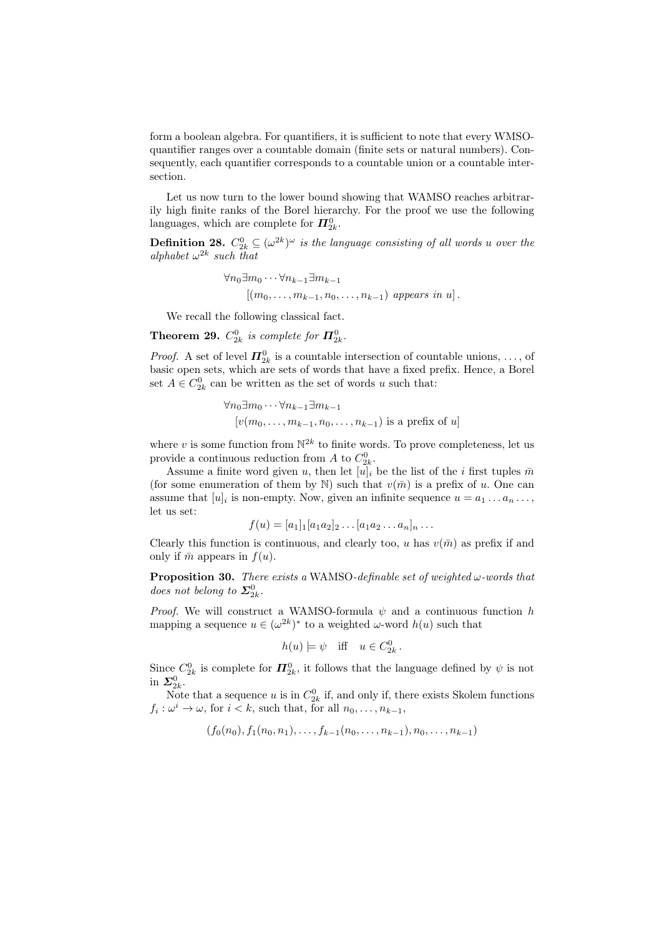form a boolean algebra. For quantifiers, it is sufficient to note that every WMSOquantifier ranges over a countable domain (finite sets or natural numbers). Consequently, each quantifier corresponds to a countable union or a countable intersection.

Let us now turn to the lower bound showing that WAMSO reaches arbitrarily high finite ranks of the Borel hierarchy. For the proof we use the following languages, which are complete for  $\mathbf{\Pi}^0_{2k}$ .

**Definition 28.**  $C_{2k}^0 \subseteq (\omega^{2k})^\omega$  is the language consisting of all words u over the alphabet  $\omega^{2k}$  such that

$$
\forall n_0 \exists m_0 \cdots \forall n_{k-1} \exists m_{k-1}
$$
  
 
$$
[(m_0, \ldots, m_{k-1}, n_0, \ldots, n_{k-1}) \text{ appears in } u].
$$

We recall the following classical fact.

**Theorem 29.**  $C_{2k}^0$  is complete for  $\mathbf{\Pi}_{2k}^0$ .

*Proof.* A set of level  $\mathbf{\Pi}_{2k}^0$  is a countable intersection of countable unions, ..., of basic open sets, which are sets of words that have a fixed prefix. Hence, a Borel set  $A \in C_{2k}^0$  can be written as the set of words u such that:

$$
\forall n_0 \exists m_0 \cdots \forall n_{k-1} \exists m_{k-1}
$$
  
[ $v(m_0, \ldots, m_{k-1}, n_0, \ldots, n_{k-1})$  is a prefix of  $u$ ]

where v is some function from  $\mathbb{N}^{2k}$  to finite words. To prove completeness, let us provide a continuous reduction from A to  $C_{2k}^0$ .

Assume a finite word given u, then let  $[u]_i$  be the list of the i first tuples  $\bar{m}$ (for some enumeration of them by N) such that  $v(\bar{m})$  is a prefix of u. One can assume that  $[u]_i$  is non-empty. Now, given an infinite sequence  $u = a_1 \dots a_n \dots$ , let us set:

 $f(u) = [a_1]_1 [a_1 a_2]_2 \dots [a_1 a_2 \dots a_n]_n \dots$ 

Clearly this function is continuous, and clearly too, u has  $v(\bar{m})$  as prefix if and only if  $\bar{m}$  appears in  $f(u)$ .

**Proposition 30.** There exists a WAMSO-definable set of weighted  $\omega$ -words that does not belong to  $\Sigma^0_{2k}$ .

*Proof.* We will construct a WAMSO-formula  $\psi$  and a continuous function h mapping a sequence  $u \in (\omega^{2k})^*$  to a weighted  $\omega$ -word  $h(u)$  such that

$$
h(u) \models \psi \quad \text{iff} \quad u \in C_{2k}^0 \, .
$$

Since  $C_{2k}^0$  is complete for  $\mathbf{\Pi}_{2k}^0$ , it follows that the language defined by  $\psi$  is not in  $\mathbf{\Sigma}_{2k}^0$ .

Note that a sequence u is in  $C_{2k}^0$  if, and only if, there exists Skolem functions  $f_i: \omega^i \to \omega$ , for  $i < k$ , such that, for all  $n_0, \ldots, n_{k-1}$ ,

$$
(f_0(n_0), f_1(n_0, n_1), \ldots, f_{k-1}(n_0, \ldots, n_{k-1}), n_0, \ldots, n_{k-1})
$$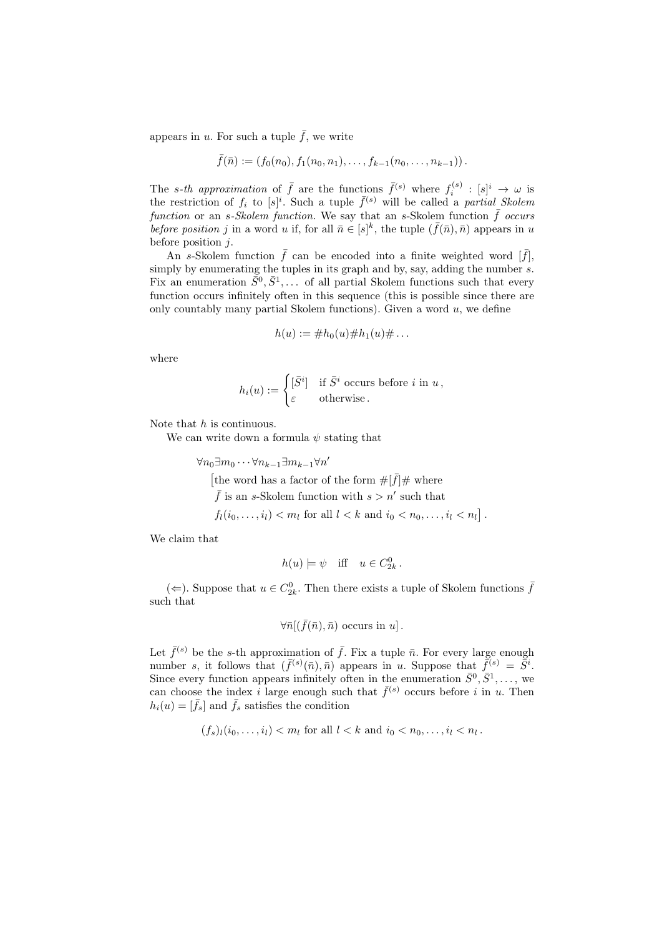appears in u. For such a tuple  $\bar{f}$ , we write

$$
\bar{f}(\bar{n}) := (f_0(n_0), f_1(n_0, n_1), \dots, f_{k-1}(n_0, \dots, n_{k-1})).
$$

The s-th approximation of  $\bar{f}$  are the functions  $\bar{f}^{(s)}$  where  $f_i^{(s)} : [s]^i \to \omega$  is the restriction of  $f_i$  to  $[s]^i$ . Such a tuple  $\bar{f}^{(s)}$  will be called a partial Skolem function or an s-Skolem function. We say that an s-Skolem function  $\bar{f}$  occurs before position j in a word u if, for all  $\bar{n} \in [s]^k$ , the tuple  $(\bar{f}(\bar{n}), \bar{n})$  appears in u before position  $i$ .

An s-Skolem function  $\bar{f}$  can be encoded into a finite weighted word  $[\bar{f}]$ , simply by enumerating the tuples in its graph and by, say, adding the number s. Fix an enumeration  $\bar{S}^0, \bar{S}^1, \ldots$  of all partial Skolem functions such that every function occurs infinitely often in this sequence (this is possible since there are only countably many partial Skolem functions). Given a word  $u$ , we define

$$
h(u) := \#h_0(u)\#h_1(u)\#...
$$

where

$$
h_i(u) := \begin{cases} [\bar{S}^i] & \text{if } \bar{S}^i \text{ occurs before } i \text{ in } u, \\ \varepsilon & \text{otherwise.} \end{cases}
$$

Note that  $h$  is continuous.

We can write down a formula  $\psi$  stating that

 $\forall n_0 \exists m_0 \cdots \forall n_{k-1} \exists m_{k-1} \forall n'$ 

[the word has a factor of the form  $#[\bar{f}]\#$  where  $\bar{f}$  is an s-Skolem function with  $s > n'$  such that  $f_l(i_0,...,i_l) < m_l$  for all  $l < k$  and  $i_0 < n_0,...,i_l < n_l$ .

We claim that

$$
h(u) \models \psi \quad \text{iff} \quad u \in C_{2k}^0 \, .
$$

(←). Suppose that  $u\in C^0_{2k}.$  Then there exists a tuple of Skolem functions  $\bar{f}$ such that

$$
\forall \bar{n}[(\bar{f}(\bar{n}),\bar{n}) \text{ occurs in } u].
$$

Let  $\bar{f}^{(s)}$  be the s-th approximation of  $\bar{f}$ . Fix a tuple  $\bar{n}$ . For every large enough number s, it follows that  $(\bar{f}^{(s)}(\bar{n}), \bar{n})$  appears in u. Suppose that  $\bar{f}^{(s)} = \bar{S}^i$ . Since every function appears infinitely often in the enumeration  $\bar{S}^0, \bar{S}^1, \ldots$ , we can choose the index i large enough such that  $\bar{f}^{(s)}$  occurs before i in u. Then  $h_i(u) = [\bar{f}_s]$  and  $\bar{f}_s$  satisfies the condition

$$
(f_s)_l(i_0,\ldots,i_l) < m_l
$$
 for all  $l < k$  and  $i_0 < n_0,\ldots,i_l < n_l$ .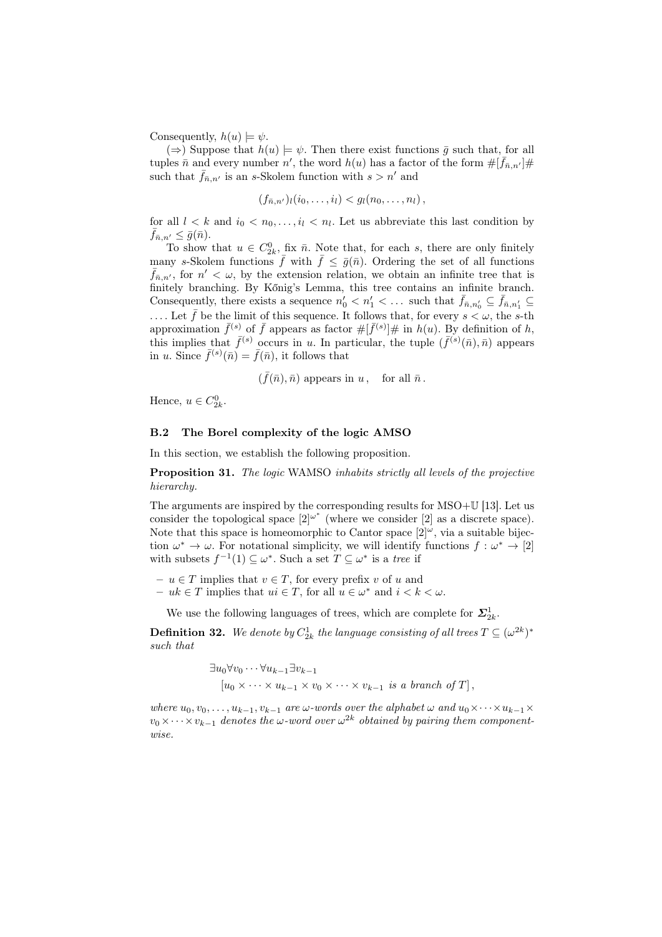Consequently,  $h(u) \models \psi$ .

 $(\Rightarrow)$  Suppose that  $h(u) \models \psi$ . Then there exist functions  $\bar{g}$  such that, for all tuples  $\bar{n}$  and every number n', the word  $h(u)$  has a factor of the form  $\#[\bar{f}_{\bar{n},n'}]\#$ such that  $\bar{f}_{\bar{n},n'}$  is an s-Skolem function with  $s > n'$  and

$$
(f_{\bar{n},n'})_l(i_0,\ldots,i_l) < g_l(n_0,\ldots,n_l)\,,
$$

for all  $l < k$  and  $i_0 < n_0, \ldots, i_l < n_l$ . Let us abbreviate this last condition by  $\bar{f}_{\bar{n},n'} \leq \bar{g}(\bar{n}).$ 

To show that  $u \in C_{2k}^0$ , fix  $\bar{n}$ . Note that, for each s, there are only finitely many s-Skolem functions  $\bar{f}$  with  $\bar{f} \leq \bar{g}(\bar{n})$ . Ordering the set of all functions  $\bar{f}_{\bar{n},n'}$ , for  $n' < \omega$ , by the extension relation, we obtain an infinite tree that is finitely branching. By Kőnig's Lemma, this tree contains an infinite branch. Consequently, there exists a sequence  $n'_0 < n'_1 < \dots$  such that  $\bar{f}_{\bar{n},n'_0} \subseteq \bar{f}_{\bar{n},n'_1} \subseteq$ .... Let  $\bar{f}$  be the limit of this sequence. It follows that, for every  $s < \omega$ , the s-th approximation  $\bar{f}^{(s)}$  of  $\bar{f}$  appears as factor  $\#\bar{f}^{(s)}\#$  in  $h(u)$ . By definition of h, this implies that  $\bar{f}^{(s)}$  occurs in u. In particular, the tuple  $(\bar{f}^{(s)}(\bar{n}), \bar{n})$  appears in u. Since  $\bar{f}^{(s)}(\bar{n}) = \bar{f}(\bar{n})$ , it follows that

$$
(\bar{f}(\bar{n}), \bar{n})
$$
 appears in u, for all  $\bar{n}$ .

Hence,  $u \in C_{2k}^0$ .

#### B.2 The Borel complexity of the logic AMSO

In this section, we establish the following proposition.

Proposition 31. The logic WAMSO inhabits strictly all levels of the projective hierarchy.

The arguments are inspired by the corresponding results for  $MSO+U$  [13]. Let us consider the topological space  $[2]^{\omega^*}$  (where we consider  $[2]$  as a discrete space). Note that this space is homeomorphic to Cantor space  $[2]^\omega$ , via a suitable bijection  $\omega^* \to \omega$ . For notational simplicity, we will identify functions  $f : \omega^* \to [2]$ with subsets  $f^{-1}(1) \subseteq \omega^*$ . Such a set  $T \subseteq \omega^*$  is a tree if

- $u \in T$  implies that  $v \in T$ , for every prefix v of u and
- $uk ∈ T$  implies that  $ui ∈ T$ , for all  $u ∈ ω^*$  and  $i < k < ω$ .

We use the following languages of trees, which are complete for  $\mathbf{\Sigma}^1_{2k}$ .

**Definition 32.** We denote by  $C_{2k}^1$  the language consisting of all trees  $T \subseteq (\omega^{2k})^*$ such that

> $\exists u_0 \forall v_0 \cdots \forall u_{k-1} \exists v_{k-1}$  $[u_0 \times \cdots \times u_{k-1} \times v_0 \times \cdots \times v_{k-1}$  is a branch of T],

where  $u_0, v_0, \ldots, u_{k-1}, v_{k-1}$  are  $\omega$ -words over the alphabet  $\omega$  and  $u_0 \times \cdots \times u_{k-1} \times$  $v_0\times\cdots\times v_{k-1}$  denotes the  $\omega$ -word over  $\omega^{2k}$  obtained by pairing them componentwise.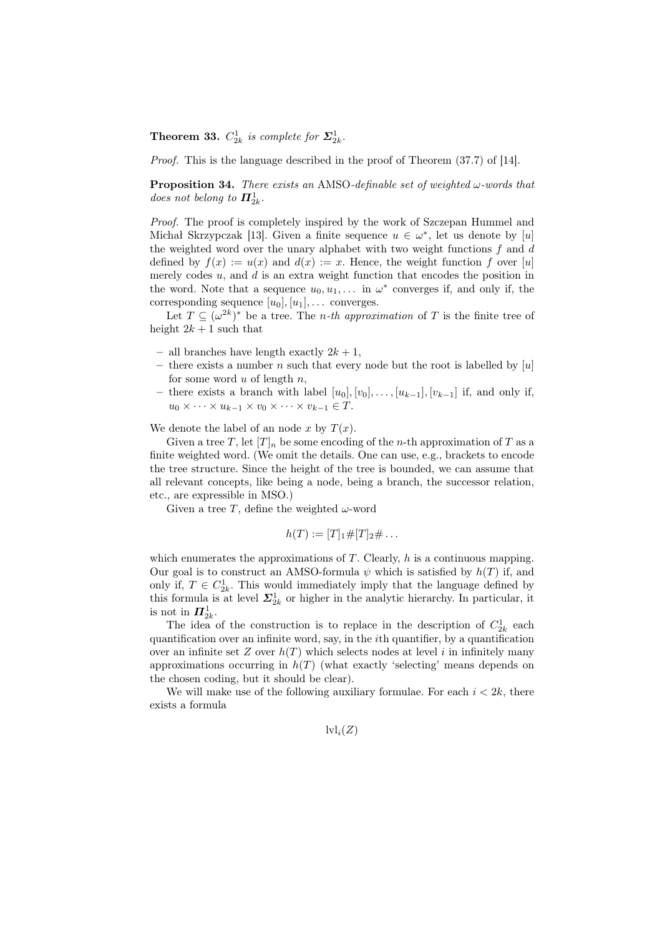**Theorem 33.**  $C_{2k}^1$  is complete for  $\Sigma_{2k}^1$ .

Proof. This is the language described in the proof of Theorem (37.7) of [14].

**Proposition 34.** There exists an AMSO-definable set of weighted  $\omega$ -words that does not belong to  $\mathbf{\Pi}^1_{2k}$ .

Proof. The proof is completely inspired by the work of Szczepan Hummel and Michał Skrzypczak [13]. Given a finite sequence  $u \in \omega^*$ , let us denote by [u] the weighted word over the unary alphabet with two weight functions  $f$  and  $d$ defined by  $f(x) := u(x)$  and  $d(x) := x$ . Hence, the weight function f over [u] merely codes  $u$ , and  $d$  is an extra weight function that encodes the position in the word. Note that a sequence  $u_0, u_1, \ldots$  in  $\omega^*$  converges if, and only if, the corresponding sequence  $[u_0], [u_1], \ldots$  converges.

Let  $T \subseteq (\omega^{2k})^*$  be a tree. The *n*-th approximation of T is the finite tree of height  $2k + 1$  such that

- all branches have length exactly  $2k + 1$ ,
- there exists a number n such that every node but the root is labelled by  $[u]$ for some word  $u$  of length  $n$ ,
- there exists a branch with label  $[u_0], [v_0], \ldots, [u_{k-1}], [v_{k-1}]$  if, and only if,  $u_0 \times \cdots \times u_{k-1} \times v_0 \times \cdots \times v_{k-1} \in T$ .

We denote the label of an node x by  $T(x)$ .

Given a tree T, let  $[T]_n$  be some encoding of the n-th approximation of T as a finite weighted word. (We omit the details. One can use, e.g., brackets to encode the tree structure. Since the height of the tree is bounded, we can assume that all relevant concepts, like being a node, being a branch, the successor relation, etc., are expressible in MSO.)

Given a tree T, define the weighted  $\omega$ -word

$$
h(T):=[T]_1\#[T]_2\#\ldots
$$

which enumerates the approximations of T. Clearly,  $h$  is a continuous mapping. Our goal is to construct an AMSO-formula  $\psi$  which is satisfied by  $h(T)$  if, and only if,  $T \in C_{2k}^1$ . This would immediately imply that the language defined by this formula is at level  $\Sigma^1_{2k}$  or higher in the analytic hierarchy. In particular, it is not in  $\boldsymbol{\Pi}_{2k}^1$ .

The idea of the construction is to replace in the description of  $C_{2k}^1$  each quantification over an infinite word, say, in the ith quantifier, by a quantification over an infinite set Z over  $h(T)$  which selects nodes at level i in infinitely many approximations occurring in  $h(T)$  (what exactly 'selecting' means depends on the chosen coding, but it should be clear).

We will make use of the following auxiliary formulae. For each  $i < 2k$ , there exists a formula

 $\text{lvl}_i(Z)$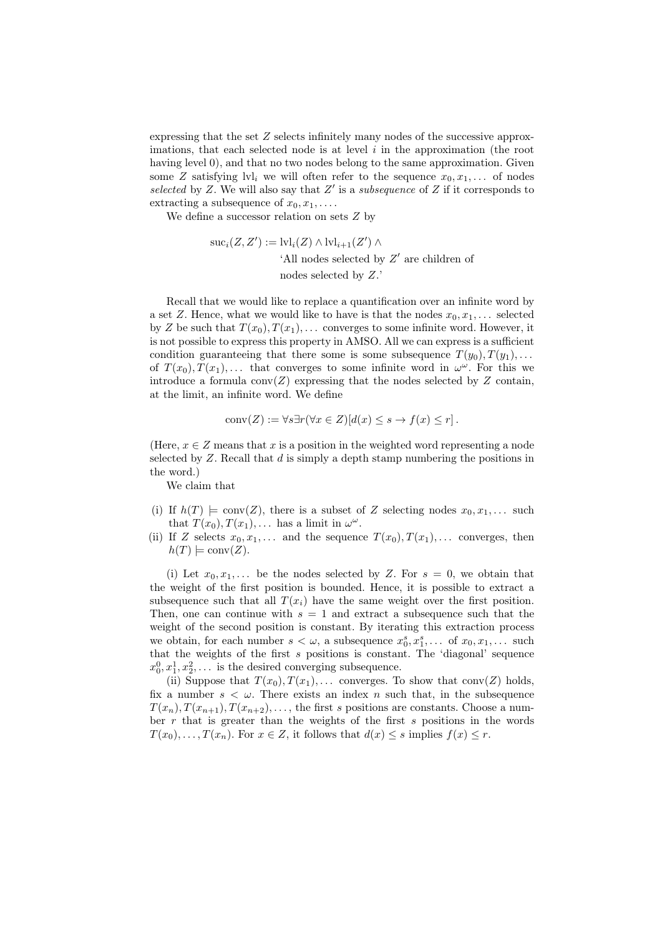expressing that the set Z selects infinitely many nodes of the successive approximations, that each selected node is at level  $i$  in the approximation (the root having level 0), and that no two nodes belong to the same approximation. Given some Z satisfying  $\mathrm{lvl}_i$  we will often refer to the sequence  $x_0, x_1, \ldots$  of nodes selected by  $Z$ . We will also say that  $Z'$  is a subsequence of  $Z$  if it corresponds to extracting a subsequence of  $x_0, x_1, \ldots$ .

We define a successor relation on sets  $Z$  by

$$
\text{succ}_i(Z, Z') := \text{lvl}_i(Z) \land \text{lvl}_{i+1}(Z') \land
$$
  
'All nodes selected by Z' are children of  
nodes selected by Z.'

Recall that we would like to replace a quantification over an infinite word by a set Z. Hence, what we would like to have is that the nodes  $x_0, x_1, \ldots$  selected by Z be such that  $T(x_0), T(x_1), \ldots$  converges to some infinite word. However, it is not possible to express this property in AMSO. All we can express is a sufficient condition guaranteeing that there some is some subsequence  $T(y_0), T(y_1), \ldots$ of  $T(x_0), T(x_1), \ldots$  that converges to some infinite word in  $\omega^{\omega}$ . For this we introduce a formula  $conv(Z)$  expressing that the nodes selected by  $Z$  contain, at the limit, an infinite word. We define

$$
conv(Z) := \forall s \exists r (\forall x \in Z) [d(x) \le s \to f(x) \le r].
$$

(Here,  $x \in Z$  means that x is a position in the weighted word representing a node selected by  $Z$ . Recall that  $d$  is simply a depth stamp numbering the positions in the word.)

We claim that

- (i) If  $h(T) \models \text{conv}(Z)$ , there is a subset of Z selecting nodes  $x_0, x_1, \ldots$  such that  $T(x_0), T(x_1), \ldots$  has a limit in  $\omega^{\omega}$ .
- (ii) If Z selects  $x_0, x_1, \ldots$  and the sequence  $T(x_0), T(x_1), \ldots$  converges, then  $h(T) \models \text{conv}(Z)$ .

(i) Let  $x_0, x_1, \ldots$  be the nodes selected by Z. For  $s = 0$ , we obtain that the weight of the first position is bounded. Hence, it is possible to extract a subsequence such that all  $T(x_i)$  have the same weight over the first position. Then, one can continue with  $s = 1$  and extract a subsequence such that the weight of the second position is constant. By iterating this extraction process we obtain, for each number  $s < \omega$ , a subsequence  $x_0^s, x_1^s, \ldots$  of  $x_0, x_1, \ldots$  such that the weights of the first  $s$  positions is constant. The 'diagonal' sequence  $x_0^0, x_1^1, x_2^2, \ldots$  is the desired converging subsequence.

(ii) Suppose that  $T(x_0), T(x_1), \ldots$  converges. To show that conv(Z) holds, fix a number  $s < \omega$ . There exists an index n such that, in the subsequence  $T(x_n), T(x_{n+1}), T(x_{n+2}), \ldots$ , the first s positions are constants. Choose a number  $r$  that is greater than the weights of the first  $s$  positions in the words  $T(x_0), \ldots, T(x_n)$ . For  $x \in Z$ , it follows that  $d(x) \leq s$  implies  $f(x) \leq r$ .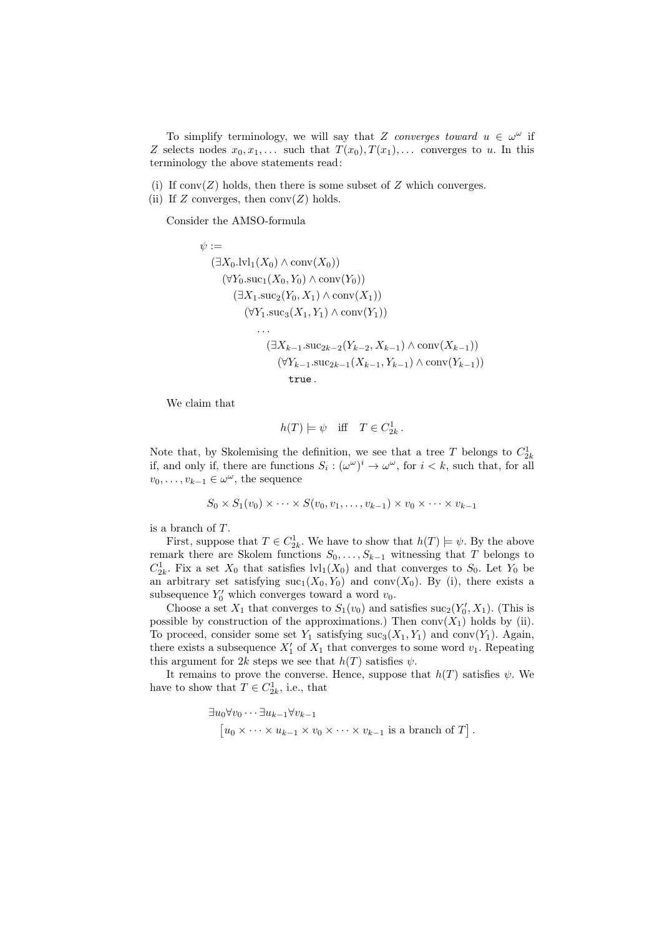To simplify terminology, we will say that Z converges toward  $u \in \omega^{\omega}$  if Z selects nodes  $x_0, x_1, \ldots$  such that  $T(x_0), T(x_1), \ldots$  converges to u. In this terminology the above statements read:

- (i) If conv $(Z)$  holds, then there is some subset of Z which converges.
- (ii) If  $Z$  converges, then conv $(Z)$  holds.

Consider the AMSO-formula

$$
\psi :=
$$
\n
$$
(\exists X_0.\text{lvl}_1(X_0) \land \text{conv}(X_0))
$$
\n
$$
(\forall Y_0.\text{succ}_1(X_0, Y_0) \land \text{conv}(Y_0))
$$
\n
$$
(\exists X_1.\text{succ}_2(Y_0, X_1) \land \text{conv}(X_1))
$$
\n
$$
(\forall Y_1.\text{succ}_3(X_1, Y_1) \land \text{conv}(Y_1))
$$
\n
$$
\dots
$$
\n
$$
(\exists X_{k-1}.\text{succ}_{2k-2}(Y_{k-2}, X_{k-1}) \land \text{conv}(X_{k-1}))
$$
\n
$$
(\forall Y_{k-1}.\text{succ}_{2k-1}(X_{k-1}, Y_{k-1}) \land \text{conv}(Y_{k-1}))
$$
\n
$$
\text{true.}
$$

We claim that

$$
h(T) \models \psi \quad \text{iff} \quad T \in C_{2k}^1 \, .
$$

Note that, by Skolemising the definition, we see that a tree T belongs to  $C_{2k}^1$ if, and only if, there are functions  $S_i : (\omega^\omega)^i \to \omega^\omega$ , for  $i < k$ , such that, for all  $v_0, \ldots, v_{k-1} \in \omega^\omega$ , the sequence

$$
S_0 \times S_1(v_0) \times \cdots \times S(v_0, v_1, \ldots, v_{k-1}) \times v_0 \times \cdots \times v_{k-1}
$$

is a branch of T.

First, suppose that  $T \in C_{2k}^1$ . We have to show that  $h(T) \models \psi$ . By the above remark there are Skolem functions  $S_0, \ldots, S_{k-1}$  witnessing that T belongs to  $C_{2k}^1$ . Fix a set  $X_0$  that satisfies  $\text{lvl}_1(X_0)$  and that converges to  $S_0$ . Let  $Y_0$  be an arbitrary set satisfying  $\text{succ}_1(X_0, Y_0)$  and  $\text{conv}(X_0)$ . By (i), there exists a subsequence  $Y'_0$  which converges toward a word  $v_0$ .

Choose a set  $X_1$  that converges to  $S_1(v_0)$  and satisfies  $\operatorname{suc}_2(Y'_0, X_1)$ . (This is possible by construction of the approximations.) Then  $conv(X_1)$  holds by (ii). To proceed, consider some set  $Y_1$  satisfying suc<sub>3</sub>( $X_1, Y_1$ ) and conv( $Y_1$ ). Again, there exists a subsequence  $X'_1$  of  $X_1$  that converges to some word  $v_1$ . Repeating this argument for 2k steps we see that  $h(T)$  satisfies  $\psi$ .

It remains to prove the converse. Hence, suppose that  $h(T)$  satisfies  $\psi$ . We have to show that  $T \in C_{2k}^1$ , i.e., that

$$
\exists u_0 \forall v_0 \cdots \exists u_{k-1} \forall v_{k-1}
$$
  

$$
[u_0 \times \cdots \times u_{k-1} \times v_0 \times \cdots \times v_{k-1} \text{ is a branch of } T].
$$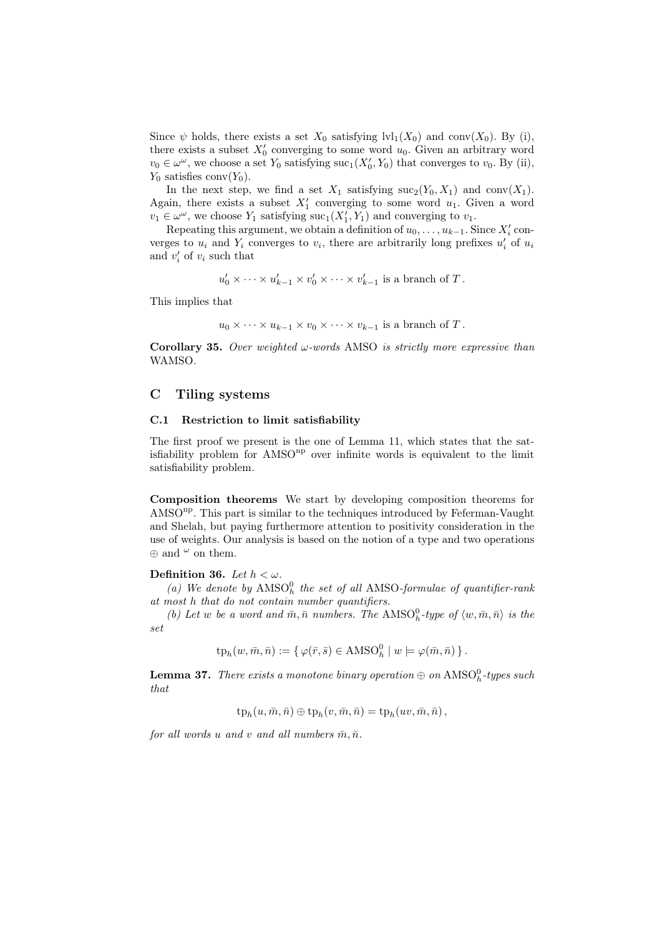Since  $\psi$  holds, there exists a set  $X_0$  satisfying  $\text{lvl}_1(X_0)$  and conv $(X_0)$ . By (i), there exists a subset  $X'_0$  converging to some word  $u_0$ . Given an arbitrary word  $v_0 \in \omega^{\omega}$ , we choose a set  $Y_0$  satisfying suc<sub>1</sub>( $X'_0, Y_0$ ) that converges to  $v_0$ . By (ii),  $Y_0$  satisfies conv $(Y_0)$ .

In the next step, we find a set  $X_1$  satisfying  $\text{suc}_2(Y_0, X_1)$  and  $\text{conv}(X_1)$ . Again, there exists a subset  $X'_1$  converging to some word  $u_1$ . Given a word  $v_1 \in \omega^{\omega}$ , we choose  $Y_1$  satisfying  $\text{succ}_1(X'_1, Y_1)$  and converging to  $v_1$ .

Repeating this argument, we obtain a definition of  $u_0, \ldots, u_{k-1}$ . Since  $X_i'$  converges to  $u_i$  and  $Y_i$  converges to  $v_i$ , there are arbitrarily long prefixes  $u'_i$  of  $u_i$ and  $v_i'$  of  $v_i$  such that

$$
u'_0 \times \cdots \times u'_{k-1} \times v'_0 \times \cdots \times v'_{k-1}
$$
 is a branch of T.

This implies that

 $u_0 \times \cdots \times u_{k-1} \times v_0 \times \cdots \times v_{k-1}$  is a branch of T.

**Corollary 35.** Over weighted  $\omega$ -words AMSO is strictly more expressive than WAMSO.

## C Tiling systems

#### C.1 Restriction to limit satisfiability

The first proof we present is the one of Lemma 11, which states that the satisfiability problem for AMSO<sup>np</sup> over infinite words is equivalent to the limit satisfiability problem.

Composition theorems We start by developing composition theorems for AMSO<sup>np</sup>. This part is similar to the techniques introduced by Feferman-Vaught and Shelah, but paying furthermore attention to positivity consideration in the use of weights. Our analysis is based on the notion of a type and two operations  $\oplus$  and  $^\omega$  on them.

#### Definition 36. Let  $h < \omega$ .

(a) We denote by  $AMSO<sub>h</sub><sup>0</sup>$  the set of all AMSO-formulae of quantifier-rank at most h that do not contain number quantifiers.

(b) Let w be a word and  $\bar{m}, \bar{n}$  numbers. The AMSO<sub>h</sub><sup>-type</sup> of  $\langle w, \bar{m}, \bar{n} \rangle$  is the set

$$
\mathrm{tp}_h(w, \bar{m}, \bar{n}) := \{ \varphi(\bar{r}, \bar{s}) \in \mathrm{AMSO}_h^0 \mid w \models \varphi(\bar{m}, \bar{n}) \}.
$$

**Lemma 37.** There exists a monotone binary operation  $\oplus$  on  $\mathrm{AMSO}_h^0$ -types such that

 $\mathrm{tp}_h(u, \bar{m}, \bar{n}) \oplus \mathrm{tp}_h(v, \bar{m}, \bar{n}) = \mathrm{tp}_h(uv, \bar{m}, \bar{n}),$ 

for all words u and v and all numbers  $\bar{m}, \bar{n}$ .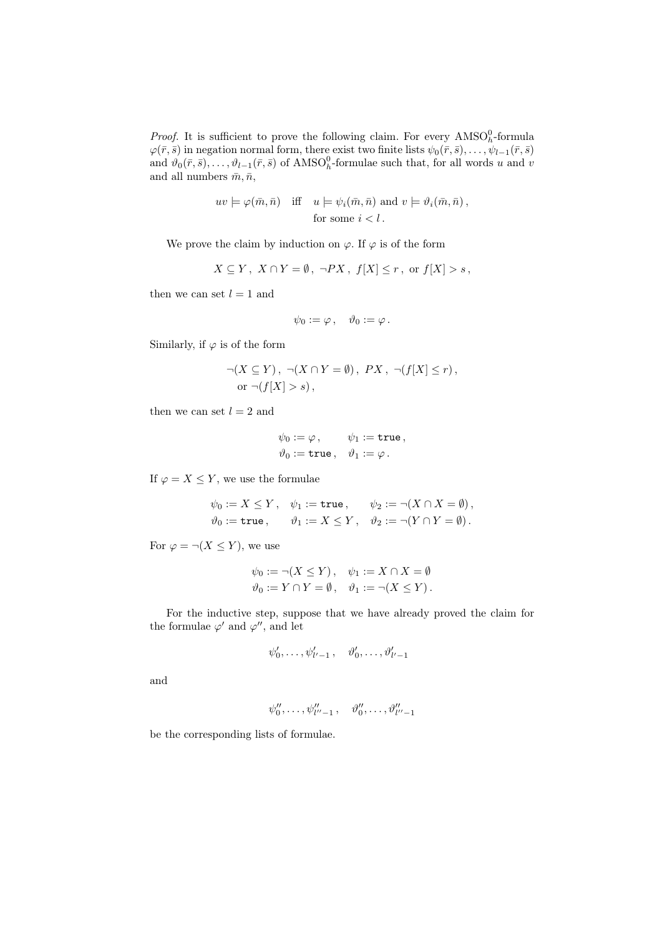*Proof.* It is sufficient to prove the following claim. For every  $AMSO<sub>h</sub><sup>0</sup>$ -formula  $\varphi(\bar{r},\bar{s})$  in negation normal form, there exist two finite lists  $\psi_0(\bar{r},\bar{s}), \ldots, \psi_{l-1}(\bar{r},\bar{s})$ and  $\vartheta_0(\bar{r}, \bar{s}), \ldots, \vartheta_{l-1}(\bar{r}, \bar{s})$  of AMSO<sub>h</sub>-formulae such that, for all words u and v and all numbers  $\bar{m}, \bar{n},$ 

$$
uv \models \varphi(\bar{m}, \bar{n})
$$
 iff  $u \models \psi_i(\bar{m}, \bar{n})$  and  $v \models \vartheta_i(\bar{m}, \bar{n})$ ,  
for some  $i < l$ .

We prove the claim by induction on  $\varphi$ . If  $\varphi$  is of the form

$$
X \subseteq Y, \ X \cap Y = \emptyset, \ \neg PX, \ f[X] \le r, \text{ or } f[X] > s,
$$

then we can set  $l = 1$  and

$$
\psi_0:=\varphi\,,\quad \vartheta_0:=\varphi\,.
$$

Similarly, if  $\varphi$  is of the form

$$
\neg(X \subseteq Y), \neg(X \cap Y = \emptyset), PX, \neg(f[X] \le r),
$$
  
or 
$$
\neg(f[X] > s),
$$

then we can set  $l = 2$  and

$$
\psi_0 := \varphi, \qquad \psi_1 := \mathtt{true}\,,
$$
  

$$
\vartheta_0 := \mathtt{true}\,, \quad \vartheta_1 := \varphi\,.
$$

If  $\varphi = X \leq Y$ , we use the formulae

$$
\psi_0 := X \le Y, \quad \psi_1 := \mathtt{true}\,, \qquad \psi_2 := \neg(X \cap X = \emptyset)\,,
$$
  

$$
\vartheta_0 := \mathtt{true}\,, \qquad \vartheta_1 := X \le Y\,, \quad \vartheta_2 := \neg(Y \cap Y = \emptyset)\,.
$$

For  $\varphi = \neg(X \leq Y)$ , we use

$$
\psi_0 := \neg(X \le Y), \quad \psi_1 := X \cap X = \emptyset
$$
  

$$
\vartheta_0 := Y \cap Y = \emptyset, \quad \vartheta_1 := \neg(X \le Y).
$$

For the inductive step, suppose that we have already proved the claim for the formulae  $\varphi'$  and  $\varphi''$ , and let

$$
\psi'_0, \ldots, \psi'_{l'-1}, \quad \vartheta'_0, \ldots, \vartheta'_{l'-1}
$$

and

$$
\psi''_0, \ldots, \psi''_{l''-1}, \quad \vartheta''_0, \ldots, \vartheta''_{l''-1}
$$

be the corresponding lists of formulae.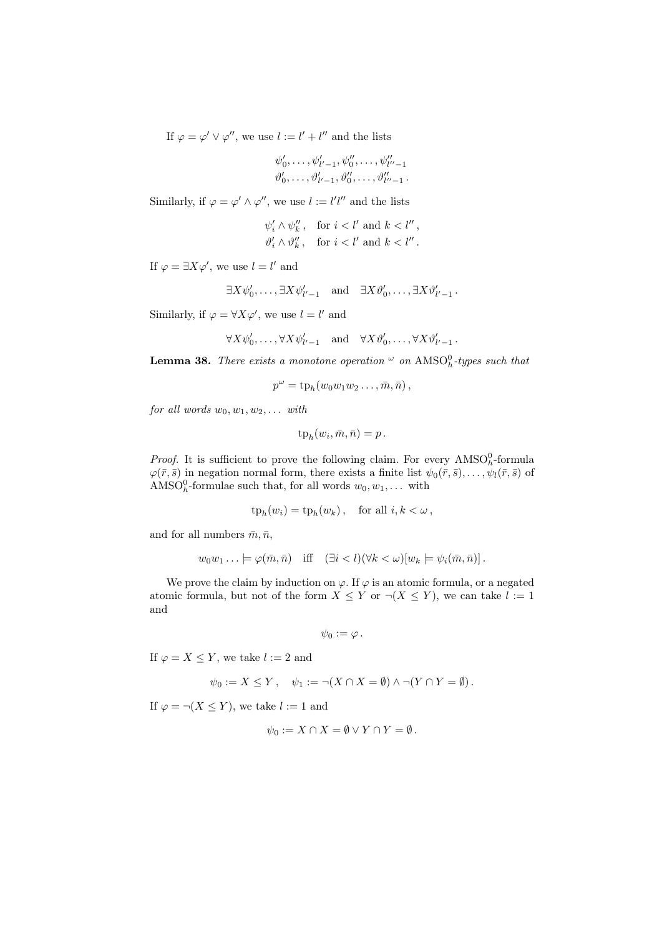If  $\varphi = \varphi' \vee \varphi''$ , we use  $l := l' + l''$  and the lists

$$
\psi'_0, \ldots, \psi'_{l'-1}, \psi''_0, \ldots, \psi''_{l'-1}
$$
  
 $\theta'_0, \ldots, \theta'_{l'-1}, \theta''_0, \ldots, \theta''_{l'-1}$ .

Similarly, if  $\varphi = \varphi' \wedge \varphi''$ , we use  $l := l'l''$  and the lists

$$
\begin{aligned} &\psi_i'\wedge\psi_k'',\quad\text{for }i
$$

If  $\varphi = \exists X \varphi'$ , we use  $l = l'$  and

$$
\exists X \psi'_0, \dots, \exists X \psi'_{l'-1} \text{ and } \exists X \vartheta'_0, \dots, \exists X \vartheta'_{l'-1}.
$$

Similarly, if  $\varphi = \forall X \varphi'$ , we use  $l = l'$  and

$$
\forall X \psi_0', \dots, \forall X \psi_{l'-1}' \quad \text{and} \quad \forall X \vartheta_0', \dots, \forall X \vartheta_{l'-1}'.
$$

**Lemma 38.** There exists a monotone operation  $\omega$  on  $AMSO<sub>h</sub><sup>0</sup>$ -types such that

$$
p^{\omega} = \text{tp}_h(w_0 w_1 w_2 \dots, \bar{m}, \bar{n}),
$$

for all words  $w_0, w_1, w_2, \ldots$  with

$$
\operatorname{tp}_h(w_i, \bar{m}, \bar{n}) = p.
$$

*Proof.* It is sufficient to prove the following claim. For every  $AMSO<sub>h</sub><sup>0</sup>$ -formula  $\varphi(\bar{r}, \bar{s})$  in negation normal form, there exists a finite list  $\psi_0(\bar{r}, \bar{s}), \ldots, \psi_l(\bar{r}, \bar{s})$  of AMSO<sup>0</sup><sub>*h*</sub>-formulae such that, for all words  $w_0, w_1, \ldots$  with

$$
\text{tp}_h(w_i) = \text{tp}_h(w_k), \quad \text{for all } i, k < \omega \,,
$$

and for all numbers  $\bar{m}, \bar{n}$ ,

$$
w_0 w_1 ... \models \varphi(\bar{m}, \bar{n})
$$
 iff  $(\exists i < l)(\forall k < \omega)[w_k \models \psi_i(\bar{m}, \bar{n})].$ 

We prove the claim by induction on  $\varphi$ . If  $\varphi$  is an atomic formula, or a negated atomic formula, but not of the form  $X \leq Y$  or  $\neg(X \leq Y)$ , we can take  $l := 1$ and

$$
\psi_0:=\varphi\,.
$$

If  $\varphi = X \leq Y$ , we take  $l := 2$  and

$$
\psi_0 := X \leq Y \,, \quad \psi_1 := \neg(X \cap X = \emptyset) \land \neg(Y \cap Y = \emptyset).
$$

If  $\varphi = \neg(X \leq Y)$ , we take  $l := 1$  and

$$
\psi_0 := X \cap X = \emptyset \vee Y \cap Y = \emptyset.
$$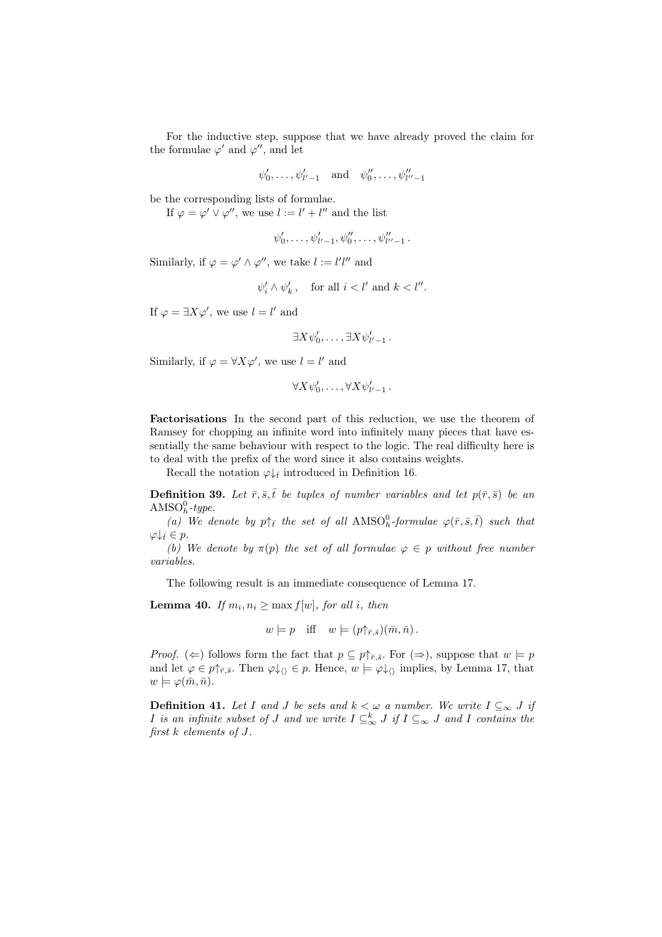For the inductive step, suppose that we have already proved the claim for the formulae  $\varphi'$  and  $\varphi''$ , and let

$$
\psi'_0, \ldots, \psi'_{l'-1}
$$
 and  $\psi''_0, \ldots, \psi''_{l'-1}$ 

be the corresponding lists of formulae.

If  $\varphi = \varphi' \vee \varphi''$ , we use  $l := l' + l''$  and the list

$$
\psi'_0, \ldots, \psi'_{l'-1}, \psi''_0, \ldots, \psi''_{l''-1}
$$
.

Similarly, if  $\varphi = \varphi' \wedge \varphi''$ , we take  $l := l'l''$  and

$$
\psi_i' \wedge \psi_k', \quad \text{for all } i < l' \text{ and } k < l''.
$$

If  $\varphi = \exists X \varphi'$ , we use  $l = l'$  and

$$
\exists X \psi_0', \ldots, \exists X \psi_{l'-1}'.
$$

Similarly, if  $\varphi = \forall X \varphi'$ , we use  $l = l'$  and

$$
\forall X \psi_0', \ldots, \forall X \psi_{l'-1}'.
$$

Factorisations In the second part of this reduction, we use the theorem of Ramsey for chopping an infinite word into infinitely many pieces that have essentially the same behaviour with respect to the logic. The real difficulty here is to deal with the prefix of the word since it also contains weights.

Recall the notation  $\varphi \downarrow_{\bar{t}}$  introduced in Definition 16.

**Definition 39.** Let  $\bar{r}, \bar{s}, \bar{t}$  be tuples of number variables and let  $p(\bar{r}, \bar{s})$  be an  $\mathrm{AMSO}_h^0$ -type.

(a) We denote by  $p\uparrow_{\bar{t}}$  the set of all  $\text{AMSO}_h^0$ -formulae  $\varphi(\bar{r},\bar{s},\bar{t})$  such that  $\varphi\downarrow_{\bar{t}} \in p.$ 

(b) We denote by  $\pi(p)$  the set of all formulae  $\varphi \in p$  without free number variables.

The following result is an immediate consequence of Lemma 17.

**Lemma 40.** If  $m_i, n_i \ge \max f[w]$ , for all i, then

$$
w \models p
$$
 iff  $w \models (p \uparrow_{\bar{r},\bar{s}})(\bar{m}, \bar{n}).$ 

*Proof.* ( $\Leftarrow$ ) follows form the fact that  $p \subseteq p \uparrow_{\bar{r}, \bar{s}}$ . For  $(\Rightarrow)$ , suppose that  $w \models p$ and let  $\varphi \in p\uparrow_{\bar{r},\bar{s}}$ . Then  $\varphi\downarrow_{\langle\rangle} \in p$ . Hence,  $w \models \varphi\downarrow_{\langle\rangle}$  implies, by Lemma 17, that  $w \models \varphi(\bar{m}, \bar{n}).$ 

**Definition 41.** Let I and J be sets and  $k < \omega$  a number. We write  $I \subseteq_{\infty} J$  if *I* is an infinite subset of *J* and we write  $I \subseteq_{\infty}^k J$  if  $I \subseteq_{\infty} J$  and *I* contains the first k elements of J.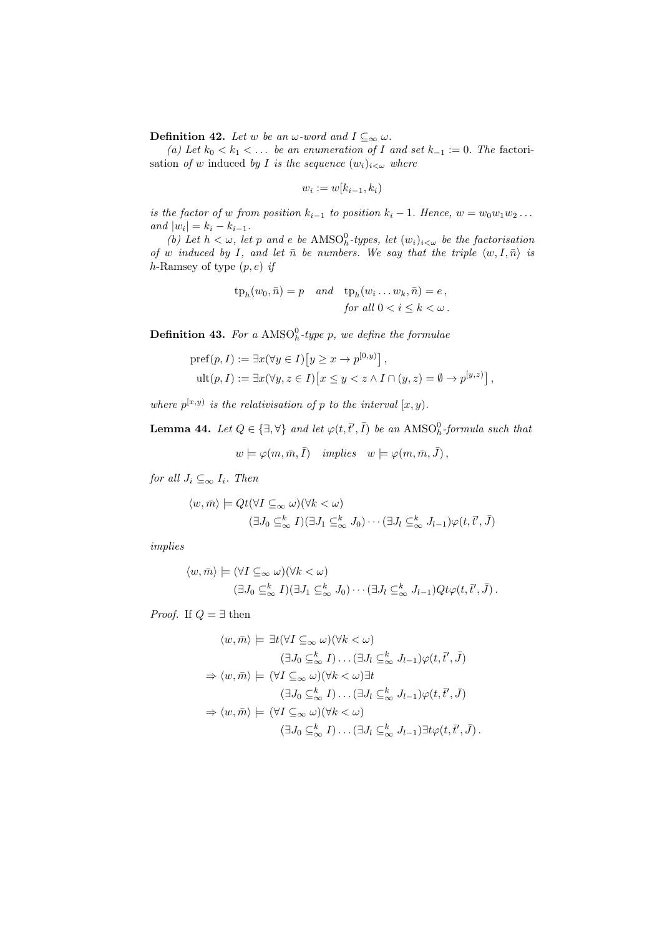**Definition 42.** Let w be an  $\omega$ -word and  $I \subseteq_{\infty} \omega$ .

(a) Let  $k_0 < k_1 < \ldots$  be an enumeration of I and set  $k_{-1} := 0$ . The factorisation of w induced by I is the sequence  $(w_i)_{i \leq \omega}$  where

$$
w_i := w[k_{i-1}, k_i)
$$

is the factor of w from position  $k_{i-1}$  to position  $k_i-1$ . Hence,  $w = w_0w_1w_2 \ldots$ and  $|w_i| = k_i - k_{i-1}$ .

(b) Let  $h < \omega$ , let p and e be  $\mathrm{AMSO}_h^0$ -types, let  $(w_i)_{i < \omega}$  be the factorisation of w induced by I, and let  $\bar{n}$  be numbers. We say that the triple  $\langle w, I, \bar{n} \rangle$  is h-Ramsey of type  $(p, e)$  if

$$
\text{tp}_h(w_0, \bar{n}) = p \quad and \quad \text{tp}_h(w_i \dots w_k, \bar{n}) = e,
$$
\n
$$
\text{for all } 0 < i \le k < \omega.
$$

**Definition 43.** For a  $AMSO<sub>h</sub><sup>0</sup>$ -type p, we define the formulae

$$
\begin{aligned} \operatorname{pref}(p,I) &:= \exists x (\forall y \in I) \big[ y \ge x \to p^{[0,y)} \big] \,, \\ \operatorname{ult}(p,I) &:= \exists x (\forall y, z \in I) \big[ x \le y < z \land I \cap (y,z) = \emptyset \to p^{[y,z)} \big] \,, \end{aligned}
$$

where  $p^{(x,y)}$  is the relativisation of p to the interval  $(x, y)$ .

**Lemma 44.** Let  $Q \in \{\exists, \forall\}$  and let  $\varphi(t, \bar{t}', \bar{I})$  be an AMSO $^0_h$ -formula such that

 $w \models \varphi(m, \bar{m}, \bar{I})$  implies  $w \models \varphi(m, \bar{m}, \bar{J}),$ 

for all  $J_i \subseteq_{\infty} I_i$ . Then

$$
\langle w, \bar{m} \rangle \models Qt(\forall I \subseteq_{\infty} \omega)(\forall k < \omega)
$$
  

$$
(\exists J_0 \subseteq_{\infty}^k I)(\exists J_1 \subseteq_{\infty}^k J_0) \cdots (\exists J_l \subseteq_{\infty}^k J_{l-1}) \varphi(t, \bar{t}', \bar{J})
$$

implies

$$
\langle w, \bar{m} \rangle \models (\forall I \subseteq_{\infty} \omega)(\forall k < \omega)
$$
  

$$
(\exists J_0 \subseteq_{\infty}^k I)(\exists J_1 \subseteq_{\infty}^k J_0) \cdots (\exists J_l \subseteq_{\infty}^k J_{l-1}) Q t \varphi(t, \bar{t}', \bar{J}).
$$

*Proof.* If  $Q = \exists$  then

$$
\langle w, \bar{m} \rangle \models \exists t (\forall I \subseteq_{\infty} \omega)(\forall k < \omega)
$$
  
\n
$$
(\exists J_0 \subseteq_{\infty}^k I) \dots (\exists J_l \subseteq_{\infty}^k J_{l-1}) \varphi(t, \bar{t}', \bar{J})
$$
  
\n
$$
\Rightarrow \langle w, \bar{m} \rangle \models (\forall I \subseteq_{\infty} \omega)(\forall k < \omega) \exists t
$$
  
\n
$$
(\exists J_0 \subseteq_{\infty}^k I) \dots (\exists J_l \subseteq_{\infty}^k J_{l-1}) \varphi(t, \bar{t}', \bar{J})
$$
  
\n
$$
\Rightarrow \langle w, \bar{m} \rangle \models (\forall I \subseteq_{\infty} \omega)(\forall k < \omega)
$$
  
\n
$$
(\exists J_0 \subseteq_{\infty}^k I) \dots (\exists J_l \subseteq_{\infty}^k J_{l-1}) \exists t \varphi(t, \bar{t}', \bar{J}).
$$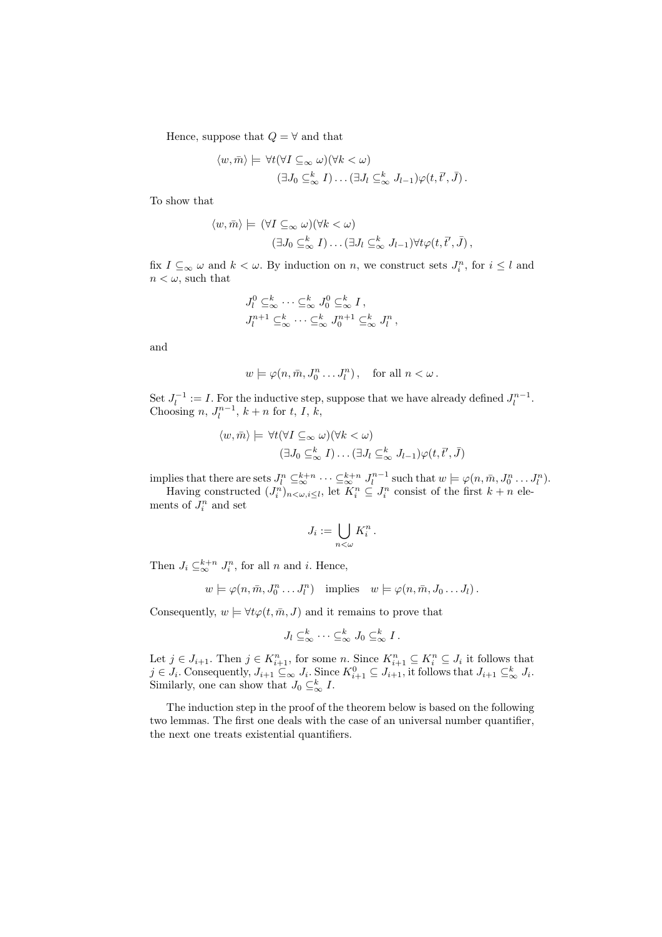Hence, suppose that  $Q = \forall$  and that

$$
\langle w, \bar{m} \rangle \models \forall t (\forall I \subseteq_{\infty} \omega) (\forall k < \omega)
$$
  

$$
(\exists J_0 \subseteq_{\infty}^k I) \dots (\exists J_l \subseteq_{\infty}^k J_{l-1}) \varphi(t, \bar{t}', \bar{J}).
$$

To show that

$$
\langle w, \bar{m} \rangle \models (\forall I \subseteq_{\infty} \omega)(\forall k < \omega)
$$
  

$$
(\exists J_0 \subseteq_{\infty}^k I) \dots (\exists J_l \subseteq_{\infty}^k J_{l-1}) \forall t \varphi(t, \bar{t}', \bar{J}),
$$

fix  $I \subseteq_{\infty} \omega$  and  $k < \omega$ . By induction on n, we construct sets  $J_i^n$ , for  $i \leq l$  and  $n < \omega$ , such that

,

$$
J_l^0 \subseteq_{\infty}^k \cdots \subseteq_{\infty}^k J_0^0 \subseteq_{\infty}^k I,
$$
  

$$
J_l^{n+1} \subseteq_{\infty}^k \cdots \subseteq_{\infty}^k J_0^{n+1} \subseteq_{\infty}^k J_l^n
$$

and

$$
w \models \varphi(n, \bar{m}, J_0^n \dots J_l^n), \text{ for all } n < \omega.
$$

Set  $J_l^{-1} := I$ . For the inductive step, suppose that we have already defined  $J_l^{n-1}$ . Choosing n,  $J_l^{n-1}$ ,  $k + n$  for t, I,  $k$ ,

$$
\langle w, \bar{m} \rangle \models \forall t (\forall I \subseteq_{\infty} \omega) (\forall k < \omega)
$$
  

$$
(\exists J_0 \subseteq_{\infty}^k I) \dots (\exists J_l \subseteq_{\infty}^k J_{l-1}) \varphi(t, \bar{t}', \bar{J})
$$

implies that there are sets  $J_l^n \subseteq_{\infty}^{k+n} \cdots \subseteq_{\infty}^{k+n} J_l^{n-1}$  such that  $w \models \varphi(n, \bar{m}, J_0^n \ldots J_l^n)$ .

Having constructed  $(J_i^n)_{n \lt \omega, i \leq l}$ , let  $K_i^n \subseteq J_i^n$  consist of the first  $k + n$  elements of  $J_i^n$  and set

$$
J_i := \bigcup_{n < \omega} K_i^n \, .
$$

Then  $J_i \subseteq_{\infty}^{k+n} J_i^n$ , for all n and i. Hence,

$$
w \models \varphi(n, \bar{m}, J_0^n \dots J_l^n)
$$
 implies  $w \models \varphi(n, \bar{m}, J_0 \dots J_l)$ .

Consequently,  $w \models \forall t\varphi(t, \bar{m}, J)$  and it remains to prove that

$$
J_l \subseteq_{\infty}^k \cdots \subseteq_{\infty}^k J_0 \subseteq_{\infty}^k I.
$$

Let  $j \in J_{i+1}$ . Then  $j \in K_{i+1}^n$ , for some n. Since  $K_{i+1}^n \subseteq K_i^n \subseteq J_i$  it follows that  $j \in J_i$ . Consequently,  $J_{i+1} \subseteq_{\infty} J_i$ . Since  $K_{i+1}^0 \subseteq J_{i+1}$ , it follows that  $J_{i+1} \subseteq_{\infty}^k J_i$ . Similarly, one can show that  $J_0 \subseteq_{\infty}^k I$ .

The induction step in the proof of the theorem below is based on the following two lemmas. The first one deals with the case of an universal number quantifier, the next one treats existential quantifiers.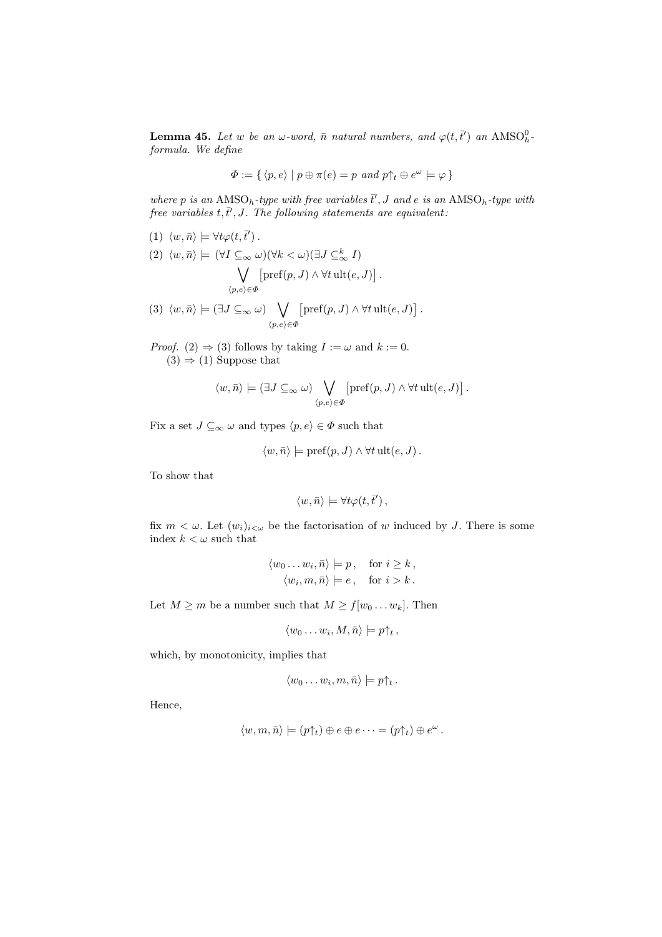**Lemma 45.** Let w be an  $\omega$ -word,  $\bar{n}$  natural numbers, and  $\varphi(t, \bar{t}')$  an  $\text{AMSO}_{h}^{0}$ formula. We define

$$
\Phi := \{ \langle p, e \rangle \mid p \oplus \pi(e) = p \text{ and } p \uparrow_t \oplus e^{\omega} \models \varphi \}
$$

where p is an  $AMSO_h$ -type with free variables  $\bar{t}', J$  and e is an  $AMSO_h$ -type with free variables  $t, \bar{t}', J$ . The following statements are equivalent:

(1) 
$$
\langle w, \bar{n} \rangle \models \forall t \varphi(t, \bar{t}')
$$
.  
\n(2)  $\langle w, \bar{n} \rangle \models (\forall I \subseteq_{\infty} \omega)(\forall k < \omega)(\exists J \subseteq_{\infty}^k I)$   
\n $\bigvee_{\langle p, e \rangle \in \Phi} [\text{pref}(p, J) \wedge \forall t \text{ult}(e, J)]$ .

$$
(3) \langle w, \bar{n} \rangle \models (\exists J \subseteq_{\infty} \omega) \bigvee_{\langle p, e \rangle \in \Phi} [\text{pref}(p, J) \wedge \forall t \text{ult}(e, J)].
$$

*Proof.* (2)  $\Rightarrow$  (3) follows by taking  $I := \omega$  and  $k := 0$ .  $(3) \Rightarrow (1)$  Suppose that

$$
\langle w, \bar{n} \rangle \models (\exists J \subseteq_{\infty} \omega) \bigvee_{\langle p, e \rangle \in \Phi} [\text{pref}(p, J) \wedge \forall t \, \text{ult}(e, J)].
$$

Fix a set  $J \subseteq_{\infty} \omega$  and types  $\langle p, e \rangle \in \Phi$  such that

$$
\langle w, \bar{n} \rangle \models \text{pref}(p, J) \land \forall t \, \text{ult}(e, J).
$$

To show that

$$
\langle w,\bar{n}\rangle \models \forall t\varphi(t,\bar{t}'),
$$

fix  $m < \omega$ . Let  $(w_i)_{i < \omega}$  be the factorisation of w induced by J. There is some index  $k<\omega$  such that

$$
\langle w_0 \dots w_i, \bar{n} \rangle \models p, \quad \text{for } i \ge k,
$$
  

$$
\langle w_i, m, \bar{n} \rangle \models e, \quad \text{for } i > k.
$$

Let  $M \ge m$  be a number such that  $M \ge f[w_0 \dots w_k]$ . Then

$$
\langle w_0 \ldots w_i, M, \bar{n} \rangle \models p \uparrow_t,
$$

which, by monotonicity, implies that

$$
\langle w_0 \ldots w_i, m, \bar{n} \rangle \models p \uparrow_t.
$$

Hence,

$$
\langle w,m,\bar{n}\rangle \models (p\!\!\uparrow_t)\oplus e\oplus e\cdots = (p\!\!\uparrow_t)\oplus e^\omega.
$$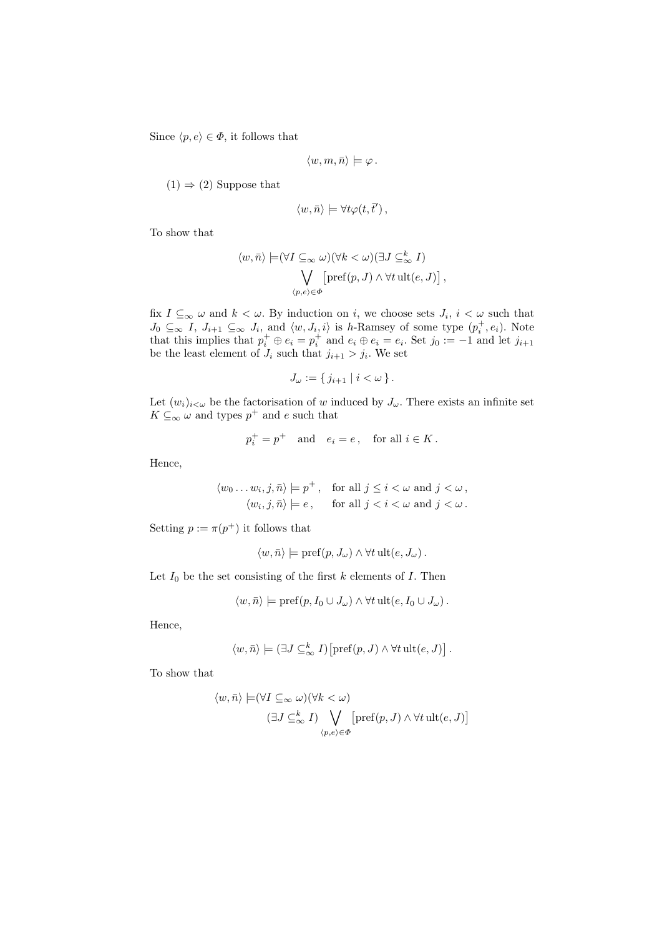Since  $\langle p, e \rangle \in \Phi$ , it follows that

$$
\langle w, m, \bar{n} \rangle \models \varphi.
$$

 $(1) \Rightarrow (2)$  Suppose that

$$
\langle w,\bar{n}\rangle \models \forall t\varphi(t,\bar{t}'),
$$

To show that

$$
\langle w, \bar{n} \rangle \models (\forall I \subseteq_{\infty} \omega) (\forall k < \omega) (\exists J \subseteq_{\infty}^{k} I)
$$

$$
\bigvee_{\langle p, e \rangle \in \Phi} [\text{pref}(p, J) \wedge \forall t \text{ult}(e, J)],
$$

fix  $I \subseteq_{\infty} \omega$  and  $k < \omega$ . By induction on i, we choose sets  $J_i$ ,  $i < \omega$  such that  $J_0 \subseteq_{\infty} I$ ,  $J_{i+1} \subseteq_{\infty} J_i$ , and  $\langle w, J_i, i \rangle$  is h-Ramsey of some type  $(p_i^+, e_i)$ . Note that this implies that  $p_i^+ \oplus e_i = p_i^+$  and  $e_i \oplus e_i = e_i$ . Set  $j_0 := -1$  and let  $j_{i+1}$ be the least element of  $J_i$  such that  $j_{i+1} > j_i$ . We set

$$
J_{\omega} := \{ j_{i+1} \mid i < \omega \}.
$$

Let  $(w_i)_{i\leq \omega}$  be the factorisation of w induced by  $J_{\omega}$ . There exists an infinite set  $K \subseteq_{\infty} \omega$  and types  $p^+$  and e such that

$$
p_i^+ = p^+ \quad \text{and} \quad e_i = e \,, \quad \text{for all } i \in K \,.
$$

Hence,

$$
\langle w_0 \dots w_i, j, \bar{n} \rangle \models p^+, \quad \text{for all } j \le i < \omega \text{ and } j < \omega,
$$
  

$$
\langle w_i, j, \bar{n} \rangle \models e, \quad \text{for all } j < i < \omega \text{ and } j < \omega.
$$

Setting  $p := \pi(p^+)$  it follows that

$$
\langle w, \bar{n} \rangle \models \text{pref}(p, J_{\omega}) \land \forall t \, \text{ult}(e, J_{\omega}).
$$

Let  $I_0$  be the set consisting of the first k elements of I. Then

$$
\langle w, \bar{n} \rangle \models \text{pref}(p, I_0 \cup J_\omega) \land \forall t \, \text{ult}(e, I_0 \cup J_\omega).
$$

Hence,

$$
\langle w, \bar{n} \rangle \models (\exists J \subseteq_{\infty}^k I) [\text{pref}(p, J) \land \forall t \, \text{ult}(e, J)].
$$

To show that

$$
\langle w, \bar{n} \rangle \models (\forall I \subseteq_{\infty} \omega) (\forall k < \omega)
$$
  

$$
(\exists J \subseteq_{\infty}^{k} I) \bigvee_{\langle p, e \rangle \in \Phi} [\text{pref}(p, J) \land \forall t \text{ult}(e, J)]
$$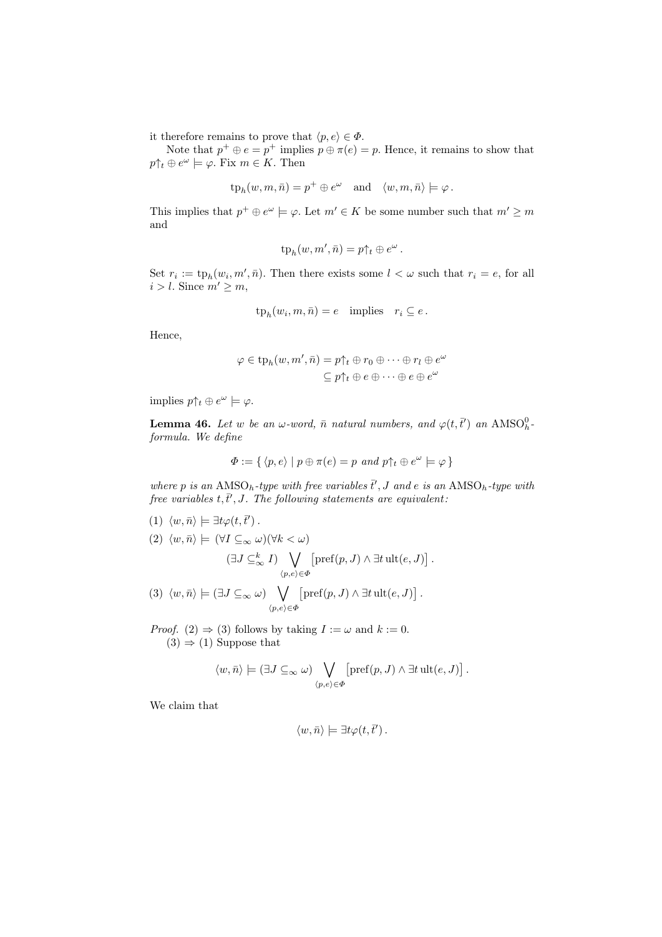it therefore remains to prove that  $\langle p, e \rangle \in \Phi$ .

Note that  $p^+ \oplus e = p^+$  implies  $p \oplus \pi(e) = p$ . Hence, it remains to show that  $p \uparrow_t \oplus e^{\omega} \models \varphi$ . Fix  $m \in K$ . Then

$$
\text{tp}_h(w, m, \bar{n}) = p^+ \oplus e^{\omega}
$$
 and  $\langle w, m, \bar{n} \rangle \models \varphi$ .

This implies that  $p^+ \oplus e^{\omega} \models \varphi$ . Let  $m' \in K$  be some number such that  $m' \geq m$ and

$$
\operatorname{tp}_h(w,m',\bar{n}) = p {\uparrow}_t \oplus e^{\omega}.
$$

Set  $r_i := \text{tp}_h(w_i, m', \bar{n})$ . Then there exists some  $l < \omega$  such that  $r_i = e$ , for all  $i > l$ . Since  $m' \geq m$ ,

$$
\text{tp}_h(w_i, m, \bar{n}) = e \quad \text{implies} \quad r_i \subseteq e \, .
$$

Hence,

$$
\varphi \in \mathrm{tp}_h(w, m', \bar{n}) = p \uparrow_t \oplus r_0 \oplus \cdots \oplus r_l \oplus e^{\omega} \subseteq p \uparrow_t \oplus e \oplus \cdots \oplus e \oplus e^{\omega}
$$

implies  $p\uparrow_t \oplus e^{\omega} \models \varphi$ .

**Lemma 46.** Let w be an  $\omega$ -word,  $\bar{n}$  natural numbers, and  $\varphi(t, \bar{t}')$  an  $\text{AMSO}_{h}^{0}$ formula. We define

$$
\Phi := \{ \langle p, e \rangle \mid p \oplus \pi(e) = p \text{ and } p \uparrow_t \oplus e^{\omega} \models \varphi \}
$$

where p is an  $AMSO_h$ -type with free variables  $\bar{t}', J$  and e is an  $AMSO_h$ -type with free variables  $t, \bar{t}', J$ . The following statements are equivalent:

(1) 
$$
\langle w, \bar{n} \rangle \models \exists t \varphi(t, \bar{t}')
$$
.  
\n(2)  $\langle w, \bar{n} \rangle \models (\forall I \subseteq_{\infty} \omega)(\forall k < \omega)$   
\n $(\exists J \subseteq_{\infty}^{k} I) \bigvee_{\langle p, e \rangle \in \Phi} [\text{pref}(p, J) \land \exists t \text{ult}(e, J)]$ .  
\n(3)  $\langle w, \bar{n} \rangle \models (\exists J \subseteq_{\infty} \omega) \bigvee_{\langle p, e \rangle \in \Phi} [\text{pref}(p, J) \land \exists t \text{ult}(e, J)]$ .

*Proof.* (2)  $\Rightarrow$  (3) follows by taking  $I := \omega$  and  $k := 0$ .  $(3) \Rightarrow (1)$  Suppose that

$$
\langle w, \bar{n} \rangle \models (\exists J \subseteq_{\infty} \omega) \bigvee_{\langle p, e \rangle \in \Phi} [\text{pref}(p, J) \wedge \exists t \, \text{ult}(e, J)].
$$

We claim that

$$
\langle w,\bar{n}\rangle \models \exists t\varphi(t,\bar{t}').
$$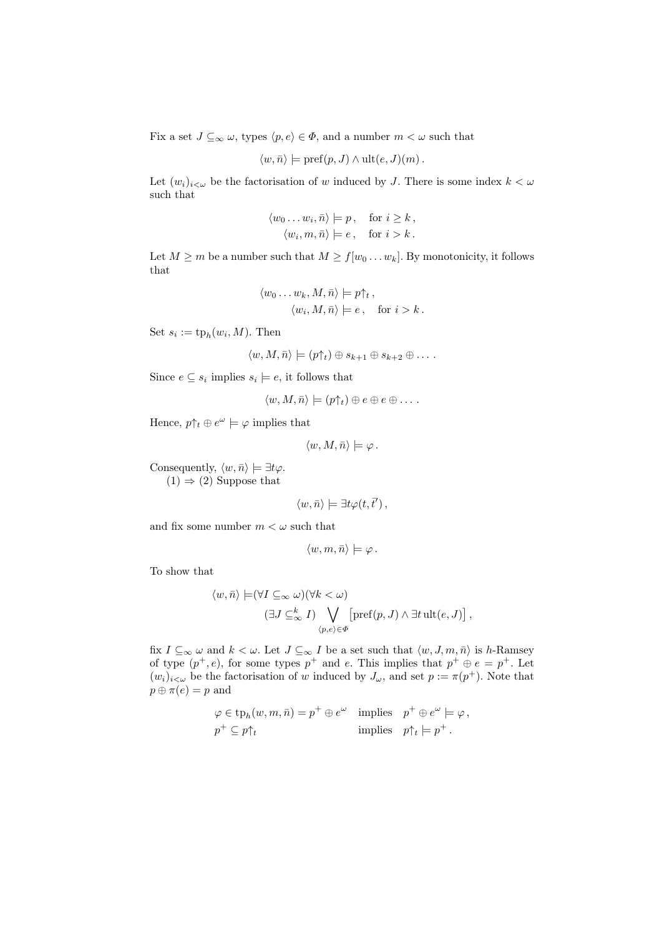Fix a set  $J \subseteq_{\infty} \omega$ , types  $\langle p, e \rangle \in \Phi$ , and a number  $m < \omega$  such that

$$
\langle w, \bar{n} \rangle \models \text{pref}(p, J) \land \text{ult}(e, J)(m).
$$

Let  $(w_i)_{i\leq \omega}$  be the factorisation of w induced by J. There is some index  $k < \omega$ such that

$$
\langle w_0 \dots w_i, \bar{n} \rangle \models p, \quad \text{for } i \ge k,
$$
  

$$
\langle w_i, m, \bar{n} \rangle \models e, \quad \text{for } i > k.
$$

Let  $M \ge m$  be a number such that  $M \ge f[w_0 \dots w_k]$ . By monotonicity, it follows that

$$
\langle w_0 \dots w_k, M, \bar{n} \rangle \models p \uparrow_t,
$$
  

$$
\langle w_i, M, \bar{n} \rangle \models e, \text{ for } i > k.
$$

Set  $s_i := \text{tp}_h(w_i, M)$ . Then

$$
\langle w, M, \bar{n} \rangle \models (p \uparrow_t) \oplus s_{k+1} \oplus s_{k+2} \oplus \ldots
$$

Since  $e \subseteq s_i$  implies  $s_i \models e$ , it follows that

$$
\langle w, M, \bar{n} \rangle \models (p \uparrow_t) \oplus e \oplus e \oplus \ldots
$$

Hence,  $p\uparrow_t \oplus e^{\omega} \models \varphi$  implies that

$$
\langle w, M, \bar{n} \rangle \models \varphi.
$$

Consequently,  $\langle w, \bar{n} \rangle \models \exists t\varphi$ .  $(1) \Rightarrow (2)$  Suppose that

$$
\langle w,\bar{n}\rangle \models \exists t\varphi(t,\bar{t}'),
$$

and fix some number  $m<\omega$  such that

$$
\langle w, m, \bar{n} \rangle \models \varphi.
$$

To show that

$$
\langle w, \bar{n} \rangle \models (\forall I \subseteq_{\infty} \omega)(\forall k < \omega)
$$
  

$$
(\exists J \subseteq_{\infty}^{k} I) \bigvee_{\langle p, e \rangle \in \Phi} [\text{pref}(p, J) \land \exists t \text{ult}(e, J)],
$$

fix  $I \subseteq_{\infty} \omega$  and  $k < \omega$ . Let  $J \subseteq_{\infty} I$  be a set such that  $\langle w, J, m, \bar{n} \rangle$  is h-Ramsey of type  $(p^+, e)$ , for some types  $p^+$  and e. This implies that  $p^+ \oplus e = p^+$ . Let  $(w_i)_{i\leq\omega}$  be the factorisation of w induced by  $J_{\omega}$ , and set  $p := \pi(p^+)$ . Note that  $p \oplus \pi(e) = p$  and

$$
\varphi \in \operatorname{tp}_h(w, m, \bar{n}) = p^+ \oplus e^{\omega} \quad \text{implies} \quad p^+ \oplus e^{\omega} \models \varphi,
$$
  

$$
p^+ \subseteq p {\uparrow}_t \qquad \text{implies} \quad p {\uparrow}_t \models p^+.
$$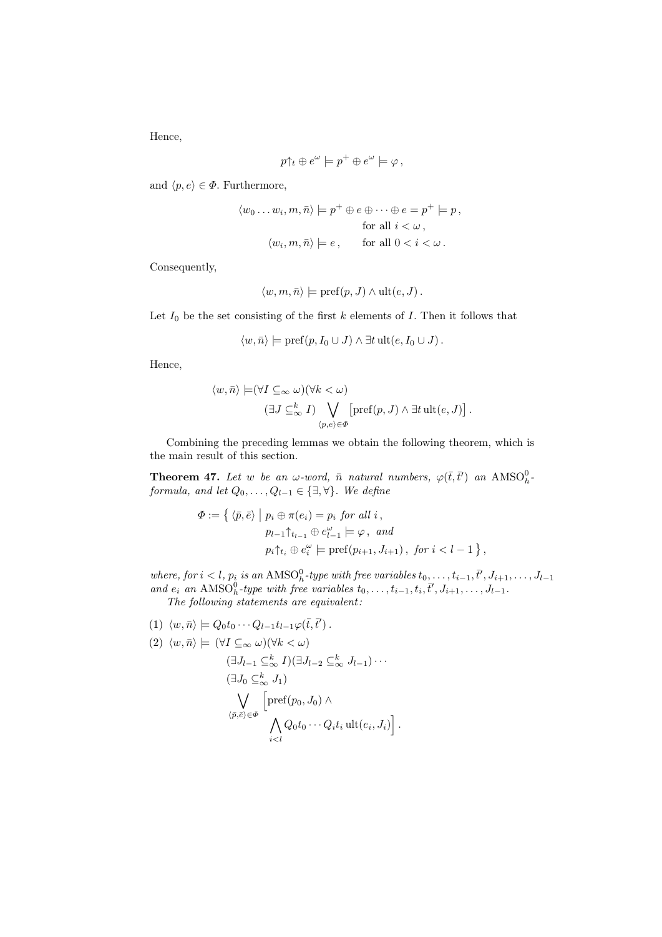Hence,

$$
p\hspace{0.5pt}\uparrow_t \oplus e^\omega \models p^+ \oplus e^\omega \models \varphi\,,
$$

and  $\langle p, e \rangle \in \Phi$ . Furthermore,

$$
\langle w_0 \dots w_i, m, \bar{n} \rangle \models p^+ \oplus e \oplus \dots \oplus e = p^+ \models p,
$$
  
for all  $i < \omega$ ,  

$$
\langle w_i, m, \bar{n} \rangle \models e, \quad \text{for all } 0 < i < \omega.
$$

Consequently,

$$
\langle w, m, \bar{n} \rangle \models \text{pref}(p, J) \land \text{ult}(e, J).
$$

Let  $I_0$  be the set consisting of the first  $k$  elements of  $I$ . Then it follows that

$$
\langle w, \bar{n} \rangle \models \text{pref}(p, I_0 \cup J) \land \exists t \, \text{ult}(e, I_0 \cup J).
$$

Hence,

$$
\langle w, \bar{n} \rangle \models (\forall I \subseteq_{\infty} \omega)(\forall k < \omega)
$$

$$
(\exists J \subseteq_{\infty}^{k} I) \bigvee_{\langle p, e \rangle \in \Phi} [\text{pref}(p, J) \wedge \exists t \, \text{ult}(e, J)].
$$

Combining the preceding lemmas we obtain the following theorem, which is the main result of this section.

**Theorem 47.** Let w be an  $\omega$ -word,  $\bar{n}$  natural numbers,  $\varphi(\bar{t}, \bar{t}')$  an  $\text{AMSO}_{h}^{0}$ formula, and let  $Q_0, \ldots, Q_{l-1} \in \{\exists, \forall\}$ . We define

$$
\Phi := \{ \langle \bar{p}, \bar{e} \rangle \mid p_i \oplus \pi(e_i) = p_i \text{ for all } i, p_{l-1} \uparrow_{t_{l-1}} \oplus e_{l-1}^{\omega} \models \varphi, \text{ and } p_i \uparrow_{t_i} \oplus e_i^{\omega} \models \text{pref}(p_{i+1}, J_{i+1}), \text{ for } i < l-1 \},
$$

where, for  $i < l$ ,  $p_i$  is an AMSO $_h^0$ -type with free variables  $t_0, \ldots, t_{i-1}, t', J_{i+1}, \ldots, J_{l-1}$ and  $e_i$  an AMSO $_h^0$ -type with free variables  $t_0, \ldots, t_{i-1}, t_i, \bar{t}', J_{i+1}, \ldots, J_{l-1}$ . The following statements are equivalent:

.

$$
(1) \langle w, \bar{n} \rangle \models Q_0 t_0 \cdots Q_{l-1} t_{l-1} \varphi(\bar{t}, \bar{t}').
$$
  
\n
$$
(2) \langle w, \bar{n} \rangle \models (\forall I \subseteq_{\infty} \omega)(\forall k < \omega)
$$
  
\n
$$
(\exists J_{l-1} \subseteq_{\infty}^k I)(\exists J_{l-2} \subseteq_{\infty}^k J_{l-1}) \cdots
$$
  
\n
$$
(\exists J_0 \subseteq_{\infty}^k J_1)
$$
  
\n
$$
\bigvee_{\langle \bar{p}, \bar{e} \rangle \in \Phi} \left[ \text{pref}(p_0, J_0) \land \bigwedge_{i < l} Q_0 t_0 \cdots Q_i t_i \text{ ult}(e_i, J_i) \right]
$$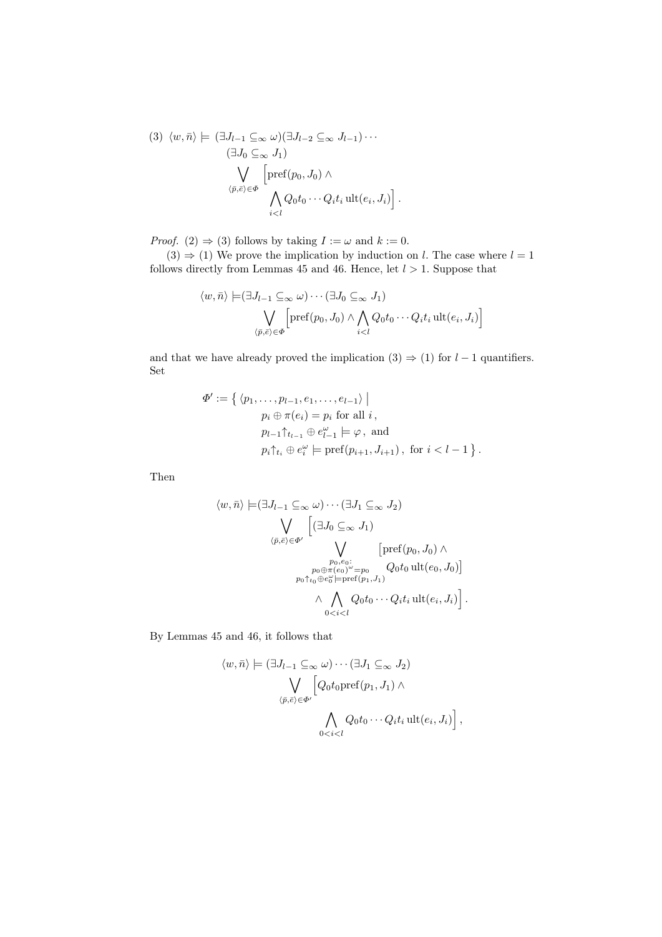$$
(3) \langle w, \bar{n} \rangle \models (\exists J_{l-1} \subseteq_{\infty} \omega)(\exists J_{l-2} \subseteq_{\infty} J_{l-1}) \cdots \n(\exists J_0 \subseteq_{\infty} J_1) \n\bigvee_{\langle \bar{p}, \bar{e} \rangle \in \Phi} \left[ \text{pref}(p_0, J_0) \wedge \n\bigwedge_{i < l} Q_0 t_0 \cdots Q_i t_i \text{ult}(e_i, J_i) \right].
$$

*Proof.* (2)  $\Rightarrow$  (3) follows by taking  $I := \omega$  and  $k := 0$ .

 $(3) \Rightarrow (1)$  We prove the implication by induction on l. The case where  $l = 1$ follows directly from Lemmas 45 and 46. Hence, let  $l > 1$ . Suppose that

$$
\langle w, \bar{n} \rangle \models (\exists J_{l-1} \subseteq_{\infty} \omega) \cdots (\exists J_0 \subseteq_{\infty} J_1)
$$

$$
\bigvee_{\langle \bar{p}, \bar{e} \rangle \in \Phi} \left[ \text{pref}(p_0, J_0) \land \bigwedge_{i < l} Q_0 t_0 \cdots Q_i t_i \text{ ult}(e_i, J_i) \right]
$$

and that we have already proved the implication  $(3) \Rightarrow (1)$  for  $l-1$  quantifiers. Set

$$
\Phi' := \{ \langle p_1, \dots, p_{l-1}, e_1, \dots, e_{l-1} \rangle \mid
$$
  
\n
$$
p_i \oplus \pi(e_i) = p_i \text{ for all } i,
$$
  
\n
$$
p_{l-1} \uparrow_{t_{l-1}} \oplus e_{l-1}^{\omega} \models \varphi, \text{ and}
$$
  
\n
$$
p_i \uparrow_{t_i} \oplus e_i^{\omega} \models \text{pref}(p_{i+1}, J_{i+1}), \text{ for } i < l-1 \}.
$$

Then

$$
\langle w, \bar{n} \rangle \models (\exists J_{l-1} \subseteq_{\infty} \omega) \cdots (\exists J_1 \subseteq_{\infty} J_2)
$$

$$
\bigvee_{\langle \bar{p}, \bar{e} \rangle \in \Phi'} \left[ (\exists J_0 \subseteq_{\infty} J_1) \right]
$$

$$
\bigvee_{\substack{p_0, e_0:\\p_0 \oplus \pi(e_0) \omega = p_0 \\ p_0 \uparrow t_0 \oplus e_0^{\omega} = \text{pref}(p_1, J_1)}} \left[ \text{pref}(p_0, J_0) \wedge \right]
$$

$$
\bigvee_{p_0 \uparrow t_0 \oplus e_0^{\omega} = \text{pref}(p_1, J_1)} Q_0 t_0 \text{ ult}(e_0, J_0) \right].
$$

By Lemmas 45 and 46, it follows that

$$
\langle w, \bar{n} \rangle \models (\exists J_{l-1} \subseteq_{\infty} \omega) \cdots (\exists J_1 \subseteq_{\infty} J_2)
$$

$$
\bigvee_{(\bar{p}, \bar{e}) \in \Phi'} \left[ Q_0 t_0 \text{pref}(p_1, J_1) \wedge \bigwedge_{0 < i < l} Q_0 t_0 \cdots Q_i t_i \text{ult}(e_i, J_i) \right],
$$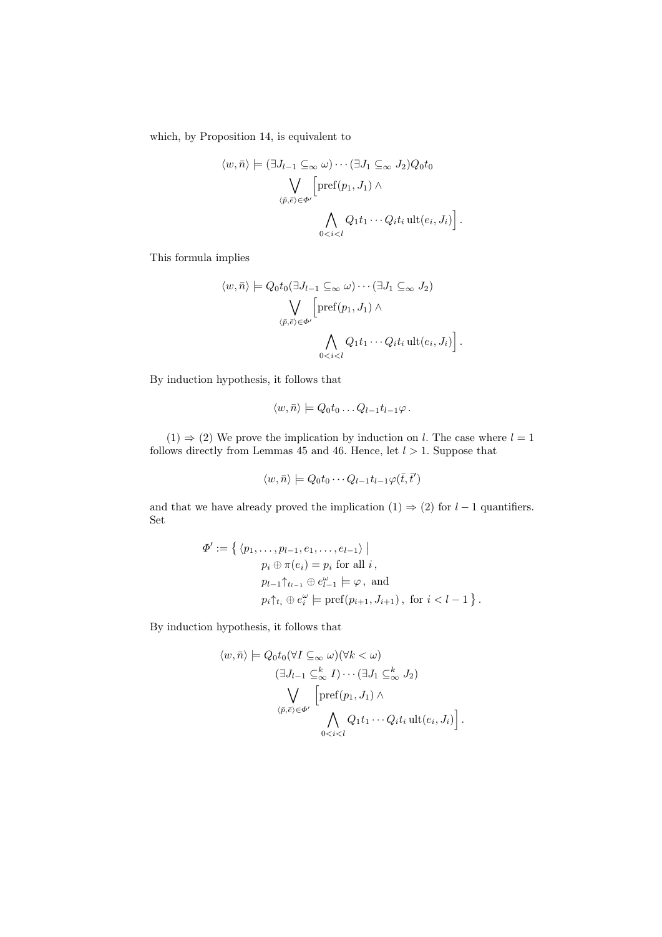which, by Proposition 14, is equivalent to

$$
\langle w, \bar{n} \rangle \models (\exists J_{l-1} \subseteq_{\infty} \omega) \cdots (\exists J_1 \subseteq_{\infty} J_2) Q_0 t_0
$$

$$
\bigvee_{\langle \bar{p}, \bar{e} \rangle \in \Phi'} \left[ \text{pref}(p_1, J_1) \land \right.
$$

$$
\bigwedge_{0 < i < l} Q_1 t_1 \cdots Q_i t_i \text{ ult}(e_i, J_i) \right].
$$

This formula implies

$$
\langle w, \bar{n} \rangle \models Q_0 t_0 (\exists J_{l-1} \subseteq_{\infty} \omega) \cdots (\exists J_1 \subseteq_{\infty} J_2)
$$

$$
\bigvee_{\langle \bar{p}, \bar{e} \rangle \in \Phi'} \left[ \text{pref}(p_1, J_1) \wedge \right.
$$

$$
\bigwedge_{0 < i < l} Q_1 t_1 \cdots Q_i t_i \text{ ult}(e_i, J_i) \right].
$$

By induction hypothesis, it follows that

$$
\langle w,\bar{n}\rangle \models Q_0t_0\ldots Q_{l-1}t_{l-1}\varphi.
$$

 $(1) \Rightarrow (2)$  We prove the implication by induction on l. The case where  $l = 1$ follows directly from Lemmas 45 and 46. Hence, let  $l > 1$ . Suppose that

$$
\langle w, \bar{n} \rangle \models Q_0 t_0 \cdots Q_{l-1} t_{l-1} \varphi(\bar{t}, \bar{t}')
$$

and that we have already proved the implication  $(1) \Rightarrow (2)$  for  $l-1$  quantifiers. Set

$$
\Phi' := \{ \langle p_1, \dots, p_{l-1}, e_1, \dots, e_{l-1} \rangle \mid
$$
  
\n
$$
p_i \oplus \pi(e_i) = p_i \text{ for all } i,
$$
  
\n
$$
p_{l-1} \uparrow_{t_{l-1}} \oplus e_{l-1}^{\omega} \models \varphi, \text{ and}
$$
  
\n
$$
p_i \uparrow_{t_i} \oplus e_i^{\omega} \models \text{pref}(p_{i+1}, J_{i+1}), \text{ for } i < l-1 \}.
$$

By induction hypothesis, it follows that

$$
\langle w, \bar{n} \rangle \models Q_0 t_0 \langle \forall I \subseteq_{\infty} \omega \rangle (\forall k < \omega)
$$
  

$$
(\exists J_{l-1} \subseteq_{\infty}^k I) \cdots (\exists J_1 \subseteq_{\infty}^k J_2)
$$
  

$$
\bigvee_{\langle \bar{p}, \bar{e} \rangle \in \Phi'} \left[ \text{pref}(p_1, J_1) \wedge \bigwedge_{0 < i < l} Q_1 t_1 \cdots Q_i t_i \text{ ult}(e_i, J_i) \right].
$$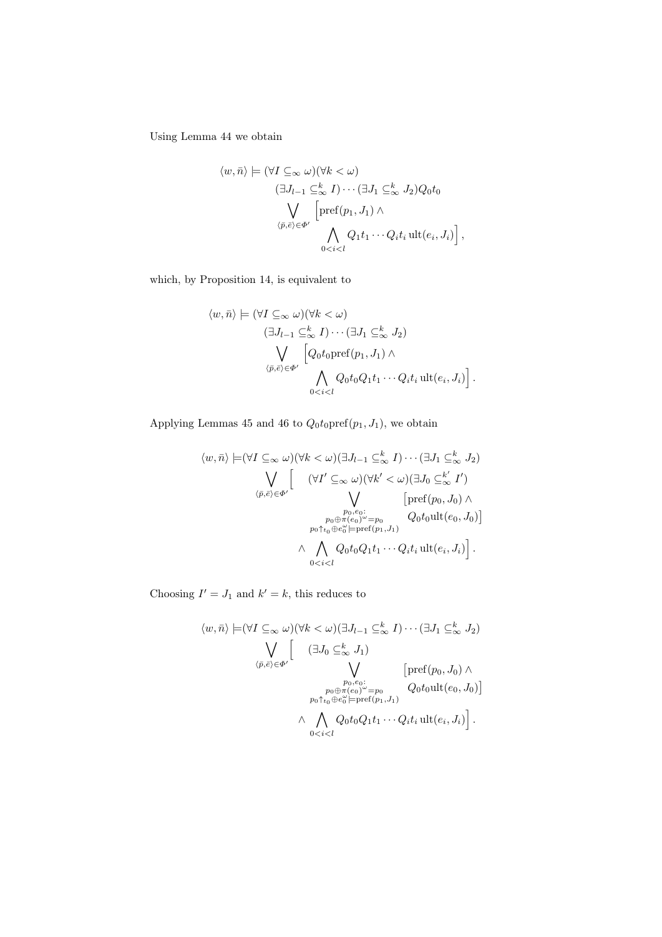Using Lemma 44 we obtain

$$
\langle w, \bar{n} \rangle \models (\forall I \subseteq_{\infty} \omega)(\forall k < \omega)
$$
  

$$
(\exists J_{l-1} \subseteq_{\infty}^{k} I) \cdots (\exists J_1 \subseteq_{\infty}^{k} J_2) Q_0 t_0
$$
  

$$
\bigvee_{\langle \bar{p}, \bar{e} \rangle \in \Phi'} \left[ \text{pref}(p_1, J_1) \wedge \bigwedge_{0 < i < l} Q_1 t_1 \cdots Q_i t_i \text{ ult}(e_i, J_i) \right],
$$

which, by Proposition 14, is equivalent to

$$
\langle w, \bar{n} \rangle \models (\forall I \subseteq_{\infty} \omega)(\forall k < \omega)
$$
  

$$
(\exists J_{l-1} \subseteq_{\infty}^{k} I) \cdots (\exists J_1 \subseteq_{\infty}^{k} J_2)
$$
  

$$
\bigvee_{\langle \bar{p}, \bar{e} \rangle \in \Phi'} \left[ Q_0 t_0 \text{pref}(p_1, J_1) \wedge \bigwedge_{\langle \bar{p}, \bar{e} \rangle \in \Phi'} Q_0 t_0 Q_1 t_1 \cdots Q_i t_i \text{ult}(e_i, J_i) \right].
$$

Applying Lemmas 45 and 46 to  $Q_0t_0\text{pref}(p_1,J_1)$ , we obtain

hw, n¯i |=(∀I ⊆<sup>∞</sup> ω)(∀k < ω)(∃Jl−<sup>1</sup> ⊆ k <sup>∞</sup> I)· · ·(∃J<sup>1</sup> ⊆ k <sup>∞</sup> J2) \_ hp, ¯ e¯i∈Φ<sup>0</sup> h (∀I <sup>0</sup> ⊆<sup>∞</sup> ω)(∀k <sup>0</sup> < ω)(∃J<sup>0</sup> ⊆ k 0 <sup>∞</sup> I 0 ) \_ p0,e0: p0⊕π(e0) <sup>ω</sup>=p<sup>0</sup> p0↑t0⊕e ω 0 |=pref(p1,J1) pref(p0, J0) ∧ Q0t0ult(e0, J0) ∧ ^ 0<i<l Q0t0Q1t<sup>1</sup> · · · Qit<sup>i</sup> ult(e<sup>i</sup> , Ji) i .

Choosing  $I' = J_1$  and  $k' = k$ , this reduces to

$$
\langle w, \bar{n} \rangle \models (\forall I \subseteq_{\infty} \omega)(\forall k < \omega)(\exists J_{l-1} \subseteq_{\infty}^k I) \cdots (\exists J_1 \subseteq_{\infty}^k J_2)
$$
\n
$$
\bigvee_{\langle \bar{p}, \bar{e} \rangle \in \Phi'} \left[ \begin{array}{c} (\exists J_0 \subseteq_{\infty}^k J_1) \\ \bigvee_{\substack{p_0, e_0:\\p_0 \oplus \pi(e_0)^\omega = p_0, \\ p_0 \uparrow_{t_0} \oplus e_0^\omega \models \text{pref}(p_1, J_1)}} \left[ \text{pref}(p_0, J_0) \wedge \right. \\ \text{pref}(e_0)^\omega = p_0 \quad Q_0 t_0 \text{ult}(e_0, J_0) \right] \\ \text{pot}_{t_0} \oplus e_0^\omega \models \text{pref}(p_1, J_1) \\ \wedge \bigwedge_{0 < i < l} Q_0 t_0 Q_1 t_1 \cdots Q_i t_i \text{ult}(e_i, J_i) \right]. \end{array}
$$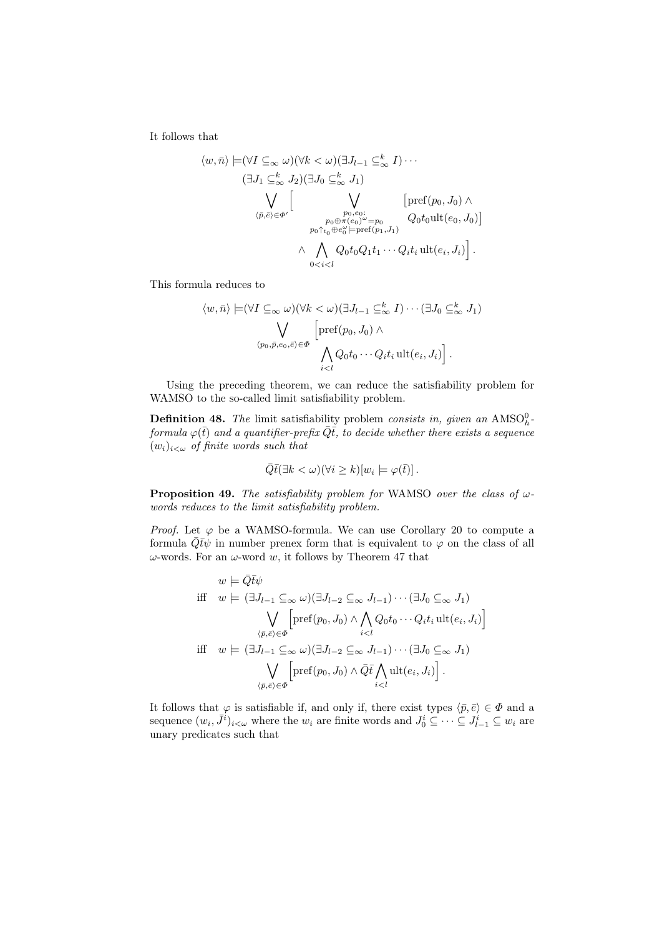It follows that

$$
\langle w, \bar{n} \rangle \models (\forall I \subseteq_{\infty} \omega)(\forall k < \omega)(\exists J_{l-1} \subseteq_{\infty}^{k} I) \cdots
$$
\n
$$
(\exists J_{1} \subseteq_{\infty}^{k} J_{2})(\exists J_{0} \subseteq_{\infty}^{k} J_{1})
$$
\n
$$
\bigvee_{\langle \bar{p}, \bar{e} \rangle \in \Phi'} \Bigg[ \bigvee_{\substack{p_{0}, e_{0}: \\ p_{0} \in \pi(e_{0})^{\omega} = p_{0} \\ p_{0} \uparrow t_{0} \oplus e_{0}^{\omega} \models \text{pref}(p_{1}, J_{1})}} \bigotimes_{\substack{Q_{0}t_{0} \text{ult}(e_{0}, J_{0}) \\ \wedge \bigwedge_{0 < i < l}} Q_{0}t_{0} Q_{1} t_{1} \cdots Q_{i} t_{i} \text{ult}(e_{i}, J_{i}) \bigg].
$$

This formula reduces to

$$
\langle w, \bar{n} \rangle \models (\forall I \subseteq_{\infty} \omega)(\forall k < \omega)(\exists J_{l-1} \subseteq_{\infty}^{k} I) \cdots (\exists J_0 \subseteq_{\infty}^{k} J_1)
$$
\n
$$
\bigvee_{\langle p_0, \bar{p}, e_0, \bar{e} \rangle \in \Phi} \left[ \text{pref}(p_0, J_0) \land \bigwedge_{i < l} Q_0 t_0 \cdots Q_i t_i \text{ult}(e_i, J_i) \right].
$$

Using the preceding theorem, we can reduce the satisfiability problem for WAMSO to the so-called limit satisfiability problem.

**Definition 48.** The limit satisfiability problem consists in, given an  $AMSO<sub>h</sub><sup>0</sup>$ . formula  $\varphi(\bar{t})$  and a quantifier-prefix  $\bar{Q}\bar{t}$ , to decide whether there exists a sequence  $(w_i)_{i < \omega}$  of finite words such that

$$
\overline{Q}\overline{t}(\exists k < \omega)(\forall i \ge k)[w_i \models \varphi(\overline{t})].
$$

**Proposition 49.** The satisfiability problem for WAMSO over the class of  $\omega$ words reduces to the limit satisfiability problem.

*Proof.* Let  $\varphi$  be a WAMSO-formula. We can use Corollary 20 to compute a formula  $\overline{Q}t\psi$  in number prenex form that is equivalent to  $\varphi$  on the class of all ω-words. For an ω-word w, it follows by Theorem 47 that

$$
w \models \overline{Q}\overline{t}\psi
$$
  
iff 
$$
w \models (\exists J_{l-1} \subseteq_{\infty} \omega)(\exists J_{l-2} \subseteq_{\infty} J_{l-1}) \cdots (\exists J_0 \subseteq_{\infty} J_1)
$$

$$
\bigvee_{\substack{\langle \overline{p}, \overline{e} \rangle \in \Phi}} \left[ \text{pref}(p_0, J_0) \land \bigwedge_{i < l} Q_0 t_0 \cdots Q_i t_i \text{ ult}(e_i, J_i) \right]
$$
  
iff 
$$
w \models (\exists J_{l-1} \subseteq_{\infty} \omega)(\exists J_{l-2} \subseteq_{\infty} J_{l-1}) \cdots (\exists J_0 \subseteq_{\infty} J_1)
$$

$$
\bigvee_{\substack{\langle \overline{p}, \overline{e} \rangle \in \Phi}} \left[ \text{pref}(p_0, J_0) \land \overline{Q}\overline{t} \bigwedge_{i < l} \text{ult}(e_i, J_i) \right].
$$

It follows that  $\varphi$  is satisfiable if, and only if, there exist types  $\langle \bar{p}, \bar{e} \rangle \in \Phi$  and a sequence  $(w_i, \bar{J}^i)_{i\leq \omega}$  where the  $w_i$  are finite words and  $J^i_0 \subseteq \cdots \subseteq J^i_{l-1} \subseteq w_i$  are unary predicates such that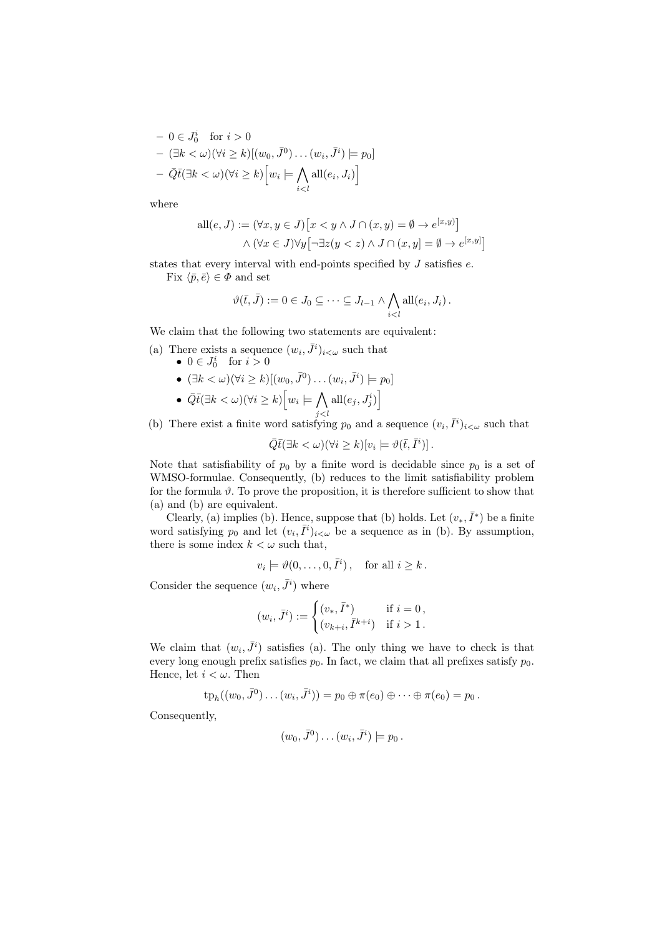$$
- 0 \in J_0^i \quad \text{for } i > 0
$$
  
-  $(\exists k < \omega)(\forall i \ge k)[(w_0, \bar{J}^0) \dots (w_i, \bar{J}^i) \models p_0]$   
-  $\bar{Q}\bar{t}(\exists k < \omega)(\forall i \ge k) [w_i \models \bigwedge_{i < l} all(e_i, J_i)]$ 

where

$$
\text{all}(e, J) := (\forall x, y \in J) [x < y \land J \cap (x, y) = \emptyset \to e^{[x, y)}]
$$
\n
$$
\land (\forall x \in J) \forall y [\neg \exists z (y < z) \land J \cap (x, y] = \emptyset \to e^{[x, y]}]
$$

states that every interval with end-points specified by  $J$  satisfies  $e$ .

Fix  $\langle \bar{p}, \bar{e} \rangle \in \Phi$  and set

$$
\vartheta(\bar{t},\bar{J}) := 0 \in J_0 \subseteq \cdots \subseteq J_{l-1} \wedge \bigwedge_{i < l} \text{all}(e_i, J_i).
$$

We claim that the following two statements are equivalent:

- (a) There exists a sequence  $(w_i, \bar{J}^i)_{i \lt \omega}$  such that
	- $0 \in J_0^i$  for  $i > 0$
	- $(\exists k < \omega)(\forall i \ge k)[(w_0, \bar{J}^0) \dots (w_i, \bar{J}^i) \models p_0]$
	- $\overline{Q}\overline{t}(\exists k < \omega)(\forall i \ge k)[w_i \models \bigwedge$  $j$ <l all $(e_j, J_j^i)$

(b) There exist a finite word satisfying  $p_0$  and a sequence  $(v_i, \bar{I}^i)_{i \leq \omega}$  such that

$$
\overline{Q}\overline{t}(\exists k < \omega)(\forall i \ge k)[v_i \models \vartheta(\overline{t}, \overline{I}^i)].
$$

Note that satisfiability of  $p_0$  by a finite word is decidable since  $p_0$  is a set of WMSO-formulae. Consequently, (b) reduces to the limit satisfiability problem for the formula  $\vartheta$ . To prove the proposition, it is therefore sufficient to show that (a) and (b) are equivalent.

Clearly, (a) implies (b). Hence, suppose that (b) holds. Let  $(v_*, \bar{I}^*)$  be a finite word satisfying  $p_0$  and let  $(v_i, \overline{I}^i)_{i < \omega}$  be a sequence as in (b). By assumption, there is some index  $k < \omega$  such that,

$$
v_i \models \vartheta(0,\ldots,0,\overline{I}^i)
$$
, for all  $i \geq k$ .

Consider the sequence  $(w_i, \bar{J}^i)$  where

$$
(w_i, \bar{J}^i) := \begin{cases} (v_*, \bar{I}^*) & \text{if } i = 0, \\ (v_{k+i}, \bar{I}^{k+i}) & \text{if } i > 1. \end{cases}
$$

We claim that  $(w_i, \bar{J}^i)$  satisfies (a). The only thing we have to check is that every long enough prefix satisfies  $p_0$ . In fact, we claim that all prefixes satisfy  $p_0$ . Hence, let  $i < \omega$ . Then

$$
\operatorname{tp}_h((w_0,\bar{J}^0)\dots(w_i,\bar{J}^i))=p_0\oplus \pi(e_0)\oplus\dots\oplus \pi(e_0)=p_0\,.
$$

Consequently,

$$
(w_0, \bar{J}^0) \dots (w_i, \bar{J}^i) \models p_0.
$$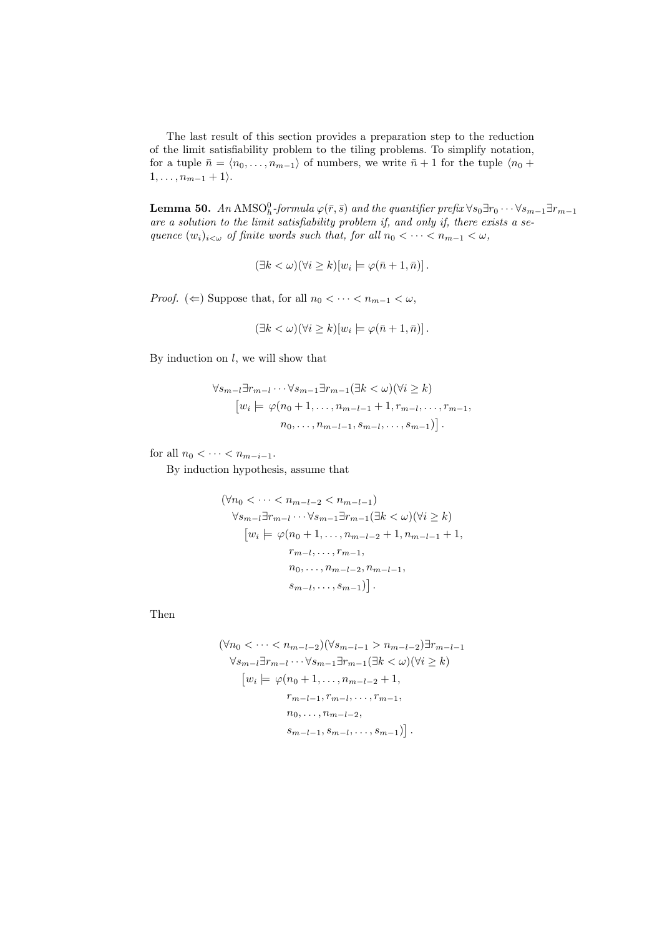The last result of this section provides a preparation step to the reduction of the limit satisfiability problem to the tiling problems. To simplify notation, for a tuple  $\bar{n} = \langle n_0, \ldots, n_{m-1} \rangle$  of numbers, we write  $\bar{n}+1$  for the tuple  $\langle n_0 +$  $1, \ldots, n_{m-1} + 1$ .

**Lemma 50.** An AMSO $_h^0$ -formula  $\varphi(\bar{r},\bar{s})$  and the quantifier prefix  $\forall s_0 \exists r_0 \cdots \forall s_{m-1} \exists r_{m-1}$ are a solution to the limit satisfiability problem if, and only if, there exists a sequence  $(w_i)_{i < \omega}$  of finite words such that, for all  $n_0 < \cdots < n_{m-1} < \omega$ ,

$$
(\exists k < \omega)(\forall i \ge k)[w_i \models \varphi(\bar{n} + 1, \bar{n})].
$$

*Proof.* ( $\Leftarrow$ ) Suppose that, for all  $n_0 < \cdots < n_{m-1} < \omega$ ,

$$
(\exists k < \omega)(\forall i \ge k)[w_i \models \varphi(\bar{n} + 1, \bar{n})].
$$

By induction on  $l$ , we will show that

$$
\forall s_{m-l} \exists r_{m-l} \cdots \forall s_{m-1} \exists r_{m-1} (\exists k < \omega)(\forall i \geq k)
$$

$$
[w_i \models \varphi(n_0+1, \dots, n_{m-l-1}+1, r_{m-l}, \dots, r_{m-1},
$$

$$
n_0, \dots, n_{m-l-1}, s_{m-l}, \dots, s_{m-1})].
$$

for all  $n_0 < \cdots < n_{m-i-1}$ .

By induction hypothesis, assume that

$$
(\forall n_0 < \cdots < n_{m-l-2} < n_{m-l-1})
$$
  
\n
$$
\forall s_{m-l} \exists r_{m-l} \cdots \forall s_{m-1} \exists r_{m-1} (\exists k < \omega)(\forall i \ge k)
$$
  
\n
$$
[w_i \models \varphi(n_0 + 1, \dots, n_{m-l-2} + 1, n_{m-l-1} + 1, n_{m-l-1} + 1, n_{m-l}, \dots, n_{m-l-2}, n_{m-l-1}, n_0, \dots, n_{m-l-2}, n_{m-l-1}, n_{m-l-1}, n_{m-l-1}, \dots, n_{m-1})].
$$

Then

$$
(\forall n_0 < \cdots < n_{m-l-2})(\forall s_{m-l-1} > n_{m-l-2}) \exists r_{m-l-1}
$$
  
\n
$$
\forall s_{m-l} \exists r_{m-l} \cdots \forall s_{m-1} \exists r_{m-1} (\exists k < \omega)(\forall i \ge k)
$$
  
\n
$$
[w_i] \models \varphi(n_0 + 1, \dots, n_{m-l-2} + 1,
$$
  
\n
$$
r_{m-l-1}, r_{m-l}, \dots, r_{m-1},
$$
  
\n
$$
n_0, \dots, n_{m-l-2},
$$
  
\n
$$
s_{m-l-1}, s_{m-l}, \dots, s_{m-1})].
$$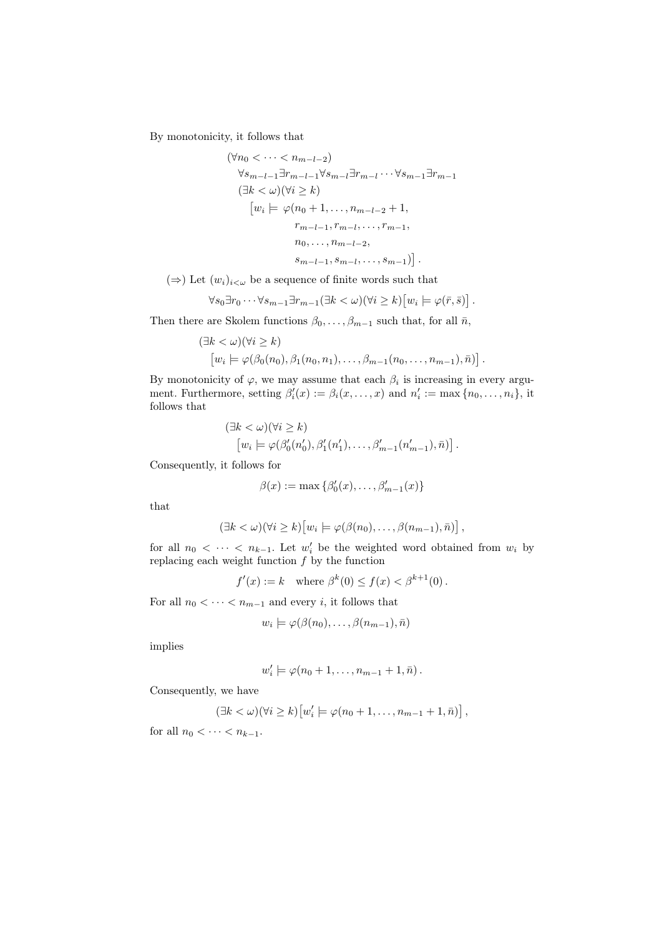By monotonicity, it follows that

$$
(\forall n_0 < \cdots < n_{m-l-2})
$$
  
\n
$$
\forall s_{m-l-1} \exists r_{m-l-1} \forall s_{m-l} \exists r_{m-l} \cdots \forall s_{m-1} \exists r_{m-1}
$$
  
\n
$$
(\exists k < \omega)(\forall i \ge k)
$$
  
\n
$$
[w_i \models \varphi(n_0 + 1, \dots, n_{m-l-2} + 1, \dots, r_{m-1}, \dots, r_{m-1}, \dots, n_0, \dots, n_{m-l-2}, \dots, n_{m-l-1}, s_{m-l}, \dots, s_{m-1})].
$$

(⇒) Let  $(w_i)_{i \leq \omega}$  be a sequence of finite words such that

$$
\forall s_0 \exists r_0 \cdots \forall s_{m-1} \exists r_{m-1} (\exists k < \omega)(\forall i \ge k) [w_i \models \varphi(\bar{r}, \bar{s})].
$$

Then there are Skolem functions  $\beta_0, \ldots, \beta_{m-1}$  such that, for all  $\bar{n}$ ,

$$
(\exists k < \omega)(\forall i \ge k)
$$
  
\n
$$
[w_i \models \varphi(\beta_0(n_0), \beta_1(n_0, n_1), \dots, \beta_{m-1}(n_0, \dots, n_{m-1}), \overline{n})].
$$

By monotonicity of  $\varphi$ , we may assume that each  $\beta_i$  is increasing in every argument. Furthermore, setting  $\beta_i'(x) := \beta_i(x, \ldots, x)$  and  $n'_i := \max\{n_0, \ldots, n_i\}$ , it follows that

$$
(\exists k < \omega)(\forall i \ge k)
$$
  
\n
$$
[w_i \models \varphi(\beta'_0(n'_0), \beta'_1(n'_1), \dots, \beta'_{m-1}(n'_{m-1}), \bar{n})].
$$

Consequently, it follows for

$$
\beta(x) := \max \{ \beta'_0(x), \dots, \beta'_{m-1}(x) \}
$$

that

$$
(\exists k < \omega)(\forall i \ge k) [w_i \models \varphi(\beta(n_0), \dots, \beta(n_{m-1}), \bar{n})],
$$

for all  $n_0 < \cdots < n_{k-1}$ . Let  $w'_i$  be the weighted word obtained from  $w_i$  by replacing each weight function  $f$  by the function

$$
f'(x) := k
$$
 where  $\beta^k(0) \le f(x) < \beta^{k+1}(0)$ .

For all  $n_0 < \cdots < n_{m-1}$  and every *i*, it follows that

$$
w_i \models \varphi(\beta(n_0), \dots, \beta(n_{m-1}), \bar{n})
$$

implies

$$
w'_{i} \models \varphi(n_0+1,\ldots,n_{m-1}+1,\bar{n}).
$$

Consequently, we have

$$
(\exists k < \omega)(\forall i \ge k) \big[ w'_i \models \varphi(n_0 + 1, \dots, n_{m-1} + 1, \bar{n}) \big],
$$

for all  $n_0 < \cdots < n_{k-1}$ .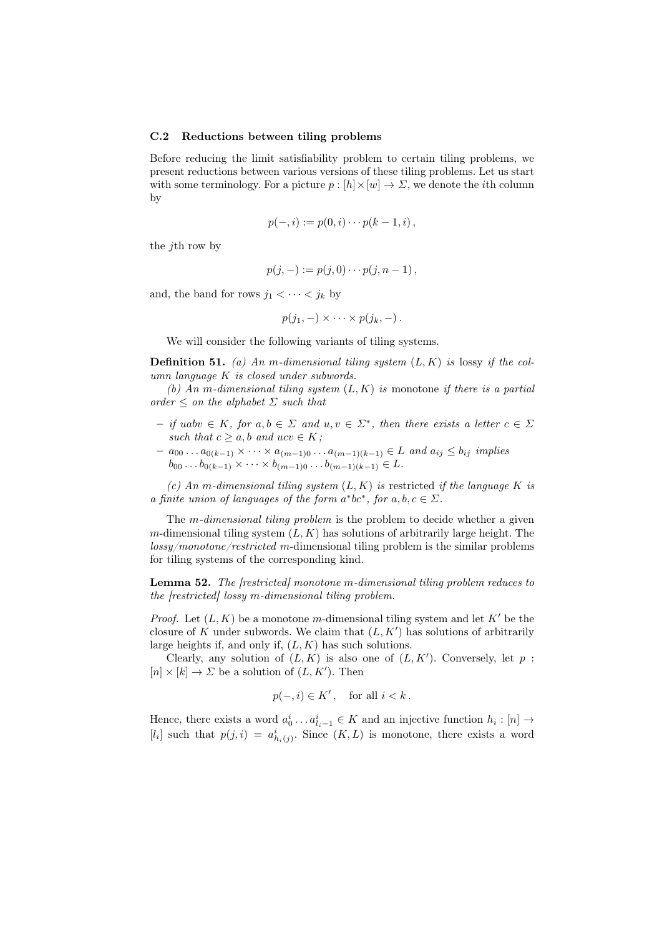#### C.2 Reductions between tiling problems

Before reducing the limit satisfiability problem to certain tiling problems, we present reductions between various versions of these tiling problems. Let us start with some terminology. For a picture  $p : [h] \times [w] \to \Sigma$ , we denote the *i*th column by

$$
p(-,i) := p(0,i) \cdots p(k-1,i) ,
$$

the jth row by

$$
p(j,-) := p(j,0) \cdots p(j,n-1) ,
$$

and, the band for rows  $j_1 < \cdots < j_k$  by

$$
p(j_1,-)\times\cdots\times p(j_k,-).
$$

We will consider the following variants of tiling systems.

**Definition 51.** (a) An m-dimensional tiling system  $(L, K)$  is lossy if the column language K is closed under subwords.

(b) An m-dimensional tiling system  $(L, K)$  is monotone if there is a partial order  $\leq$  on the alphabet  $\Sigma$  such that

- $-$  if uabv ∈ K, for a, b ∈  $\Sigma$  and  $u, v \in \Sigma^*$ , then there exists a letter  $c \in \Sigma$ such that  $c \geq a$ , b and  $ucv \in K$ ;
- $a_{00} \ldots a_{0(k-1)} \times \cdots \times a_{(m-1)0} \ldots a_{(m-1)(k-1)} \in L$  and  $a_{ij} \leq b_{ij}$  implies  $b_{00} \ldots b_{0(k-1)} \times \cdots \times b_{(m-1)0} \ldots b_{(m-1)(k-1)} \in L.$

(c) An m-dimensional tiling system  $(L, K)$  is restricted if the language K is a finite union of languages of the form  $a^*bc^*$ , for  $a, b, c \in \Sigma$ .

The *m*-dimensional tiling problem is the problem to decide whether a given m-dimensional tiling system  $(L, K)$  has solutions of arbitrarily large height. The lossy/monotone/restricted m-dimensional tiling problem is the similar problems for tiling systems of the corresponding kind.

Lemma 52. The [restricted] monotone m-dimensional tiling problem reduces to the [restricted] lossy m-dimensional tiling problem.

*Proof.* Let  $(L, K)$  be a monotone m-dimensional tiling system and let K' be the closure of K under subwords. We claim that  $(L, K')$  has solutions of arbitrarily large heights if, and only if,  $(L, K)$  has such solutions.

Clearly, any solution of  $(L, K)$  is also one of  $(L, K')$ . Conversely, let p:  $[n] \times [k] \rightarrow \Sigma$  be a solution of  $(L, K')$ . Then

$$
p(-,i) \in K', \quad \text{for all } i < k \, .
$$

Hence, there exists a word  $a_0^i \dots a_{l_i-1}^i \in K$  and an injective function  $h_i : [n] \to$ [l<sub>i</sub>] such that  $p(j,i) = a_{h_i(j)}^i$ . Since  $(K, L)$  is monotone, there exists a word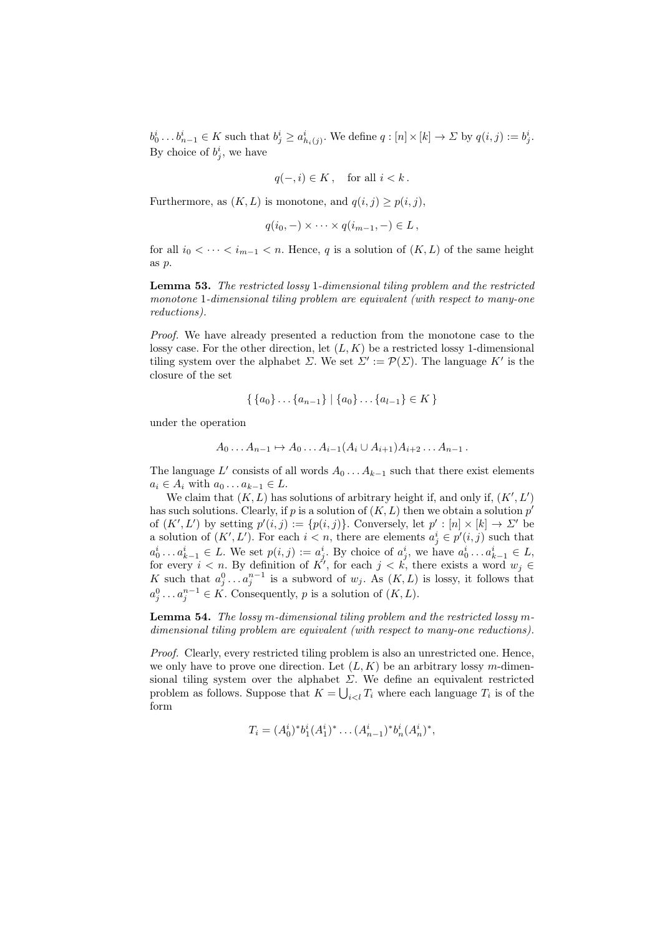$b_0^i \ldots b_{n-1}^i \in K$  such that  $b_j^i \ge a_{h_i(j)}^i$ . We define  $q : [n] \times [k] \to \Sigma$  by  $q(i, j) := b_j^i$ . By choice of  $b_j^i$ , we have

$$
q(-,i) \in K, \quad \text{for all } i < k \, .
$$

Furthermore, as  $(K, L)$  is monotone, and  $q(i, j) \geq p(i, j)$ ,

$$
q(i_0,-)\times\cdots\times q(i_{m-1},-)\in L\,,
$$

for all  $i_0 < \cdots < i_{m-1} < n$ . Hence, q is a solution of  $(K, L)$  of the same height as p.

Lemma 53. The restricted lossy 1-dimensional tiling problem and the restricted monotone 1-dimensional tiling problem are equivalent (with respect to many-one reductions).

Proof. We have already presented a reduction from the monotone case to the lossy case. For the other direction, let  $(L, K)$  be a restricted lossy 1-dimensional tiling system over the alphabet  $\Sigma$ . We set  $\Sigma' := \mathcal{P}(\Sigma)$ . The language K' is the closure of the set

$$
\{\{a_0\}\dots\{a_{n-1}\}\mid \{a_0\}\dots\{a_{l-1}\}\in K\}
$$

under the operation

$$
A_0 \dots A_{n-1} \mapsto A_0 \dots A_{i-1} (A_i \cup A_{i+1}) A_{i+2} \dots A_{n-1}.
$$

The language  $L'$  consists of all words  $A_0 \ldots A_{k-1}$  such that there exist elements  $a_i \in A_i$  with  $a_0 \dots a_{k-1} \in L$ .

We claim that  $(K, L)$  has solutions of arbitrary height if, and only if,  $(K', L')$ has such solutions. Clearly, if p is a solution of  $(K, L)$  then we obtain a solution p' of  $(K', L')$  by setting  $p'(i, j) := \{p(i, j)\}\.$  Conversely, let  $p' : [n] \times [k] \to \Sigma'$  be a solution of  $(K', L')$ . For each  $i < n$ , there are elements  $a_j^i \in p'(i, j)$  such that  $a_0^i \ldots a_{k-1}^i \in L$ . We set  $p(i,j) := a_j^i$ . By choice of  $a_j^i$ , we have  $a_0^i \ldots a_{k-1}^i \in L$ , for every  $i < n$ . By definition of  $K'$ , for each  $j < k$ , there exists a word  $w_j \in$ K such that  $a_j^0 \dots a_j^{n-1}$  is a subword of  $w_j$ . As  $(K, L)$  is lossy, it follows that  $a_j^0 \dots a_j^{n-1} \in K$ . Consequently, p is a solution of  $(K, L)$ .

**Lemma 54.** The lossy m-dimensional tiling problem and the restricted lossy mdimensional tiling problem are equivalent (with respect to many-one reductions).

Proof. Clearly, every restricted tiling problem is also an unrestricted one. Hence, we only have to prove one direction. Let  $(L, K)$  be an arbitrary lossy m-dimensional tiling system over the alphabet  $\Sigma$ . We define an equivalent restricted problem as follows. Suppose that  $K = \bigcup_{i < l} T_i$  where each language  $T_i$  is of the form

$$
T_i = (A_0^i)^* b_1^i (A_1^i)^* \dots (A_{n-1}^i)^* b_n^i (A_n^i)^*,
$$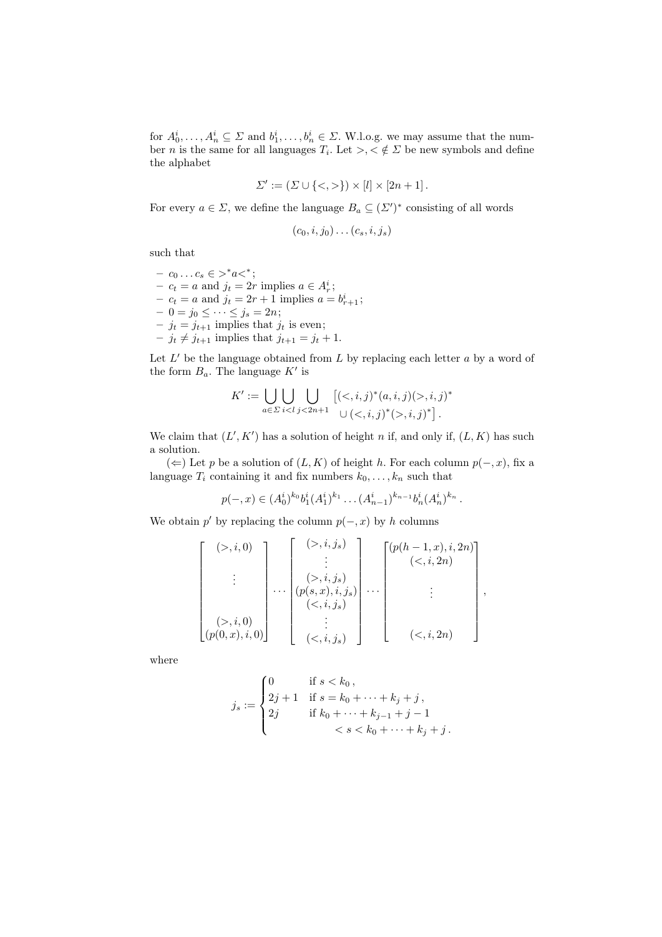for  $A_0^i, \ldots, A_n^i \subseteq \Sigma$  and  $b_1^i, \ldots, b_n^i \in \Sigma$ . W.l.o.g. we may assume that the number *n* is the same for all languages  $T_i$ . Let  $\geq, \leq \notin \Sigma$  be new symbols and define the alphabet

$$
\Sigma' := (\Sigma \cup \{<,>\}) \times [l] \times [2n+1].
$$

For every  $a \in \Sigma$ , we define the language  $B_a \subseteq (\Sigma')^*$  consisting of all words

$$
(c_0,i,j_0)\dots(c_s,i,j_s)
$$

such that

 $- c_0 \ldots c_s \in >^* a <^*;$  $-c_t = a$  and  $j_t = 2r$  implies  $a \in A_r^i$ ;  $-c_t = a$  and  $j_t = 2r + 1$  implies  $a = b_{r+1}^i$ ;  $- 0 = j_0 \leq \cdots \leq j_s = 2n;$ –  $j_t = j_{t+1}$  implies that  $j_t$  is even; –  $j_t \neq j_{t+1}$  implies that  $j_{t+1} = j_t + 1$ .

Let  $L'$  be the language obtained from  $L$  by replacing each letter  $a$  by a word of the form  $B_a$ . The language  $K'$  is

$$
K' := \bigcup_{a \in \Sigma} \bigcup_{i < l} \bigcup_{j < 2n+1} \left[ ( < , i, j)^*(a, i, j) < , i, j)^* \right].
$$

We claim that  $(L', K')$  has a solution of height n if, and only if,  $(L, K)$  has such a solution.

(←) Let p be a solution of  $(L, K)$  of height h. For each column  $p(-, x)$ , fix a language  $T_i$  containing it and fix numbers  $k_0, \ldots, k_n$  such that

$$
p(-,x) \in (A_0^i)^{k_0} b_1^i (A_1^i)^{k_1} \dots (A_{n-1}^i)^{k_{n-1}} b_n^i (A_n^i)^{k_n}.
$$

We obtain p' by replacing the column  $p(-, x)$  by h columns

$$
\begin{bmatrix}\n(z, i, 0) \\
\vdots \\
(z, i, 0) \\
(z, i, 0) \\
(p(0, x), i, 0)\n\end{bmatrix}\n\cdots\n\begin{bmatrix}\n(z, i, j_s) \\
\vdots \\
(z, i, j_s) \\
(z, i, j_s)\n\end{bmatrix}\n\cdots\n\begin{bmatrix}\n(p(h-1, x), i, 2n) \\
(i, i, 2n) \\
\vdots \\
(i, j_s)\n\end{bmatrix}
$$

,

where

$$
j_s := \begin{cases} 0 & \text{if } s < k_0, \\ 2j+1 & \text{if } s = k_0 + \dots + k_j + j, \\ 2j & \text{if } k_0 + \dots + k_{j-1} + j - 1 \\ & < s < k_0 + \dots + k_j + j \end{cases}.
$$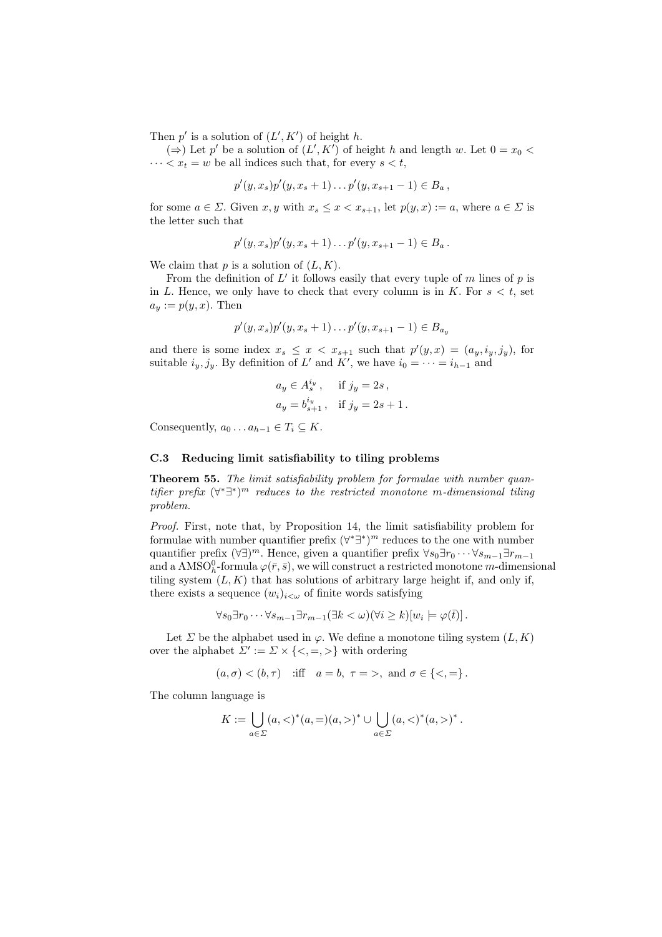Then  $p'$  is a solution of  $(L', K')$  of height h.

(⇒) Let p' be a solution of  $(L', K')$  of height h and length w. Let  $0 = x_0$  <  $\cdots < x_t = w$  be all indices such that, for every  $s < t$ ,

$$
p'(y, x_s)p'(y, x_s + 1) \dots p'(y, x_{s+1} - 1) \in B_a,
$$

for some  $a \in \Sigma$ . Given  $x, y$  with  $x_s \leq x < x_{s+1}$ , let  $p(y, x) := a$ , where  $a \in \Sigma$  is the letter such that

$$
p'(y, x_s)p'(y, x_s + 1) \dots p'(y, x_{s+1} - 1) \in B_a.
$$

We claim that p is a solution of  $(L, K)$ .

From the definition of  $L'$  it follows easily that every tuple of m lines of p is in L. Hence, we only have to check that every column is in K. For  $s < t$ , set  $a_y := p(y, x)$ . Then

$$
p'(y, x_s)p'(y, x_s + 1) \dots p'(y, x_{s+1} - 1) \in B_{a_y}
$$

and there is some index  $x_s \leq x < x_{s+1}$  such that  $p'(y,x) = (a_y, i_y, j_y)$ , for suitable  $i_y, j_y$ . By definition of L' and K', we have  $i_0 = \cdots = i_{h-1}$  and

$$
a_y \in A_s^{i_y}
$$
, if  $j_y = 2s$ ,  
\n $a_y = b_{s+1}^{i_y}$ , if  $j_y = 2s + 1$ .

Consequently,  $a_0 \ldots a_{h-1} \in T_i \subseteq K$ .

#### C.3 Reducing limit satisfiability to tiling problems

Theorem 55. The limit satisfiability problem for formulae with number quantifier prefix  $(\forall^*\exists^*)^m$  reduces to the restricted monotone m-dimensional tiling problem.

Proof. First, note that, by Proposition 14, the limit satisfiability problem for formulae with number quantifier prefix  $(\forall^*\exists^*)^m$  reduces to the one with number quantifier prefix  $(\forall \exists)^m$ . Hence, given a quantifier prefix  $\forall s_0 \exists r_0 \cdots \forall s_{m-1} \exists r_{m-1}$ and a  $\mathrm{AMSO}_h^0\text{-formula } \varphi(\bar{r},\bar{s}),$  we will construct a restricted monotone  $m\text{-dimensional}$ tiling system  $(L, K)$  that has solutions of arbitrary large height if, and only if, there exists a sequence  $(w_i)_{i\leq \omega}$  of finite words satisfying

$$
\forall s_0 \exists r_0 \cdots \forall s_{m-1} \exists r_{m-1} (\exists k < \omega)(\forall i \ge k)[w_i \models \varphi(\overline{t})].
$$

Let  $\Sigma$  be the alphabet used in  $\varphi$ . We define a monotone tiling system  $(L, K)$ over the alphabet  $\Sigma' := \Sigma \times \{ \lt, , = , \gt\}$  with ordering

$$
(a, \sigma) < (b, \tau)
$$
 iff  $a = b, \tau = \gt$ , and  $\sigma \in \{<, =\}$ .

The column language is

$$
K := \bigcup_{a \in \Sigma} (a, \langle \rangle^* (a, =) (a, \rangle)^* \cup \bigcup_{a \in \Sigma} (a, \langle \rangle^* (a, \rangle)^* .
$$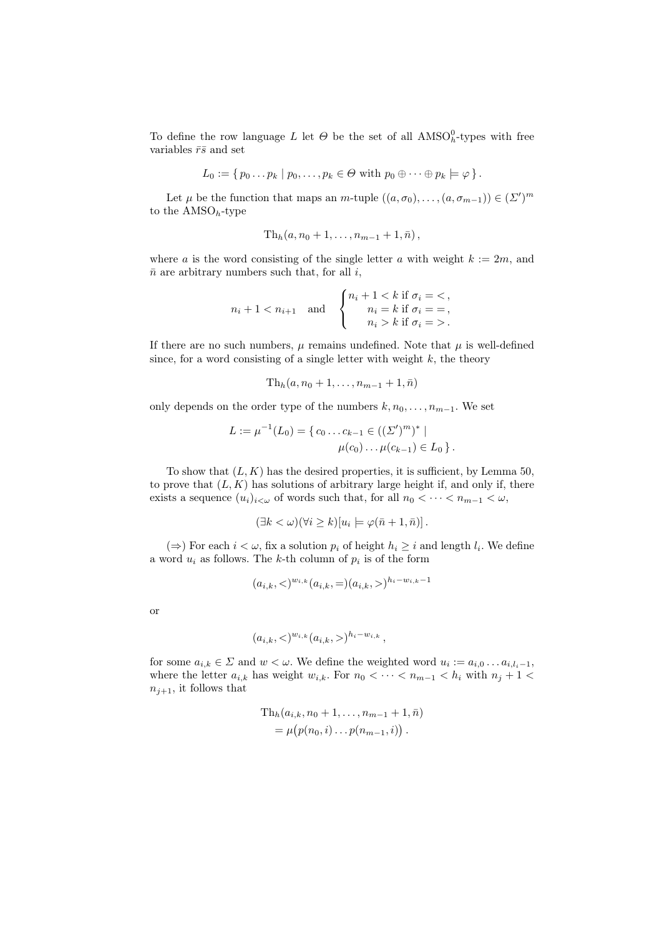To define the row language L let  $\Theta$  be the set of all  $AMSO_h^0$ -types with free variables  $\bar{r}\bar{s}$  and set

$$
L_0 := \{p_0 \dots p_k \mid p_0, \dots, p_k \in \Theta \text{ with } p_0 \oplus \dots \oplus p_k \models \varphi \}.
$$

Let  $\mu$  be the function that maps an m-tuple  $((a, \sigma_0), \ldots, (a, \sigma_{m-1})) \in (\Sigma')^m$ to the  $AMSO<sub>h</sub>$ -type

$$
Th_h(a, n_0+1, \ldots, n_{m-1}+1, \bar{n}),
$$

where a is the word consisting of the single letter a with weight  $k := 2m$ , and  $\bar{n}$  are arbitrary numbers such that, for all  $i,$ 

$$
n_i + 1 < n_{i+1} \quad \text{and} \quad\n \begin{cases}\n n_i + 1 < k \text{ if } \sigma_i = \lt;, \\
 n_i = k \text{ if } \sigma_i = \gt;, \\
 n_i > k \text{ if } \sigma_i = \gt. \n\end{cases}
$$

If there are no such numbers,  $\mu$  remains undefined. Note that  $\mu$  is well-defined since, for a word consisting of a single letter with weight  $k$ , the theory

$$
\mathrm{Th}_h(a, n_0+1, \ldots, n_{m-1}+1, \bar{n})
$$

only depends on the order type of the numbers  $k, n_0, \ldots, n_{m-1}$ . We set

$$
L := \mu^{-1}(L_0) = \{ c_0 \dots c_{k-1} \in ((\Sigma')^{m})^* \mid \mu(c_0) \dots \mu(c_{k-1}) \in L_0 \}.
$$

To show that  $(L, K)$  has the desired properties, it is sufficient, by Lemma 50, to prove that  $(L, K)$  has solutions of arbitrary large height if, and only if, there exists a sequence  $(u_i)_{i\leq \omega}$  of words such that, for all  $n_0 < \cdots < n_{m-1} < \omega$ ,

$$
(\exists k < \omega)(\forall i \ge k)[u_i \models \varphi(\bar{n} + 1, \bar{n})].
$$

(⇒) For each  $i < \omega$ , fix a solution  $p_i$  of height  $h_i \geq i$  and length  $l_i$ . We define a word  $u_i$  as follows. The k-th column of  $p_i$  is of the form

$$
(a_{i,k},<)^{w_{i,k}}(a_{i,k},=)(a_{i,k},>)^{h_i-w_{i,k}-1}
$$

or

$$
(a_{i,k}, <)^{w_{i,k}} (a_{i,k},>)^{h_i - w_{i,k}},
$$

for some  $a_{i,k} \in \Sigma$  and  $w < \omega$ . We define the weighted word  $u_i := a_{i,0} \dots a_{i,l_i-1}$ , where the letter  $a_{i,k}$  has weight  $w_{i,k}$ . For  $n_0 < \cdots < n_{m-1} < h_i$  with  $n_j + 1 <$  $n_{i+1}$ , it follows that

Th<sub>h</sub>
$$
(a_{i,k}, n_0 + 1, ..., n_{m-1} + 1, \bar{n})
$$
  
=  $\mu(p(n_0, i) ... p(n_{m-1}, i))$ .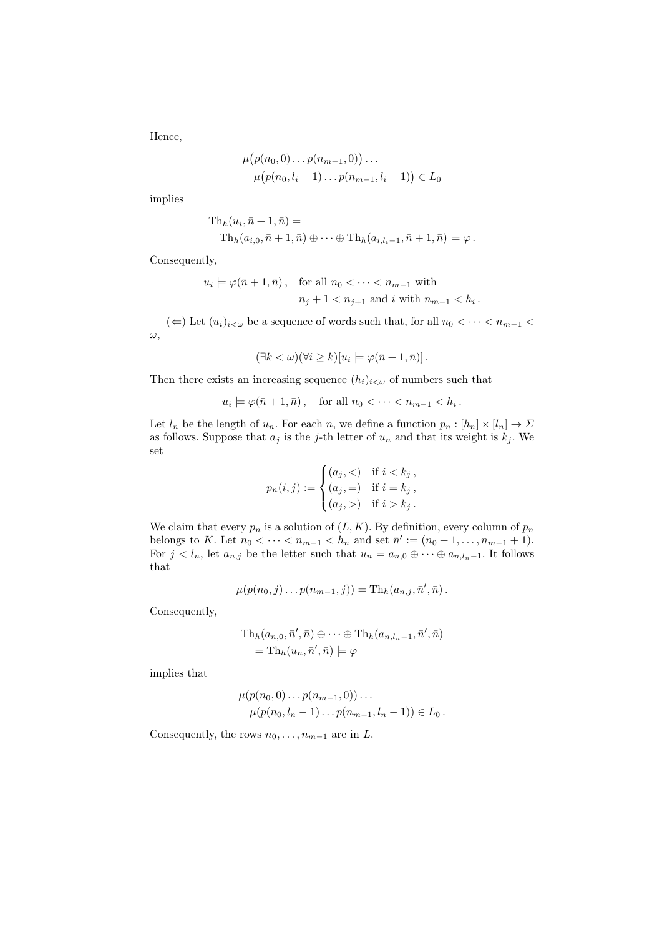Hence,

$$
\mu(p(n_0, 0) \dots p(n_{m-1}, 0)) \dots \n\mu(p(n_0, l_i - 1) \dots p(n_{m-1}, l_i - 1)) \in L_0
$$

implies

$$
\mathrm{Th}_{h}(u_{i}, \bar{n}+1, \bar{n}) =
$$
  
\n
$$
\mathrm{Th}_{h}(a_{i,0}, \bar{n}+1, \bar{n}) \oplus \cdots \oplus \mathrm{Th}_{h}(a_{i,l_{i}-1}, \bar{n}+1, \bar{n}) \models \varphi.
$$

Consequently,

$$
u_i \models \varphi(\bar{n}+1, \bar{n}), \quad \text{for all } n_0 < \cdots < n_{m-1} \text{ with}
$$
\n
$$
n_j + 1 < n_{j+1} \text{ and } i \text{ with } n_{m-1} < h_i \, .
$$

(←) Let  $(u_i)_{i\leq \omega}$  be a sequence of words such that, for all  $n_0 < \cdots < n_{m-1} <$  $\omega,$ 

$$
(\exists k < \omega)(\forall i \ge k)[u_i \models \varphi(\bar{n} + 1, \bar{n})].
$$

Then there exists an increasing sequence  $(h_i)_{i\lt\omega}$  of numbers such that

 $u_i \models \varphi(\bar{n}+1, \bar{n}), \quad \text{for all } n_0 < \cdots < n_{m-1} < h_i.$ 

Let  $l_n$  be the length of  $u_n$ . For each  $n$ , we define a function  $p_n : [h_n] \times [l_n] \to \Sigma$ as follows. Suppose that  $a_j$  is the j-th letter of  $u_n$  and that its weight is  $k_j$ . We set

$$
p_n(i,j) := \begin{cases} (a_j, <) & \text{if } i < k_j, \\ (a_j, =) & \text{if } i = k_j, \\ (a_j, >) & \text{if } i > k_j. \end{cases}
$$

We claim that every  $p_n$  is a solution of  $(L, K)$ . By definition, every column of  $p_n$ belongs to K. Let  $n_0 < \cdots < n_{m-1} < h_n$  and set  $\bar{n}' := (n_0 + 1, \dots, n_{m-1} + 1)$ . For  $j < l_n$ , let  $a_{n,j}$  be the letter such that  $u_n = a_{n,0} \oplus \cdots \oplus a_{n,l_n-1}$ . It follows that

$$
\mu(p(n_0, j) \dots p(n_{m-1}, j)) = \text{Th}_h(a_{n,j}, \bar{n}', \bar{n}).
$$

Consequently,

$$
\mathrm{Th}_h(a_{n,0}, \bar{n}', \bar{n}) \oplus \cdots \oplus \mathrm{Th}_h(a_{n,l_n-1}, \bar{n}', \bar{n})
$$
  
=  $\mathrm{Th}_h(u_n, \bar{n}', \bar{n}) \models \varphi$ 

implies that

$$
\mu(p(n_0,0)\dots p(n_{m-1},0))\dots \n\mu(p(n_0,l_n-1)\dots p(n_{m-1},l_n-1)) \in L_0.
$$

Consequently, the rows  $n_0, \ldots, n_{m-1}$  are in L.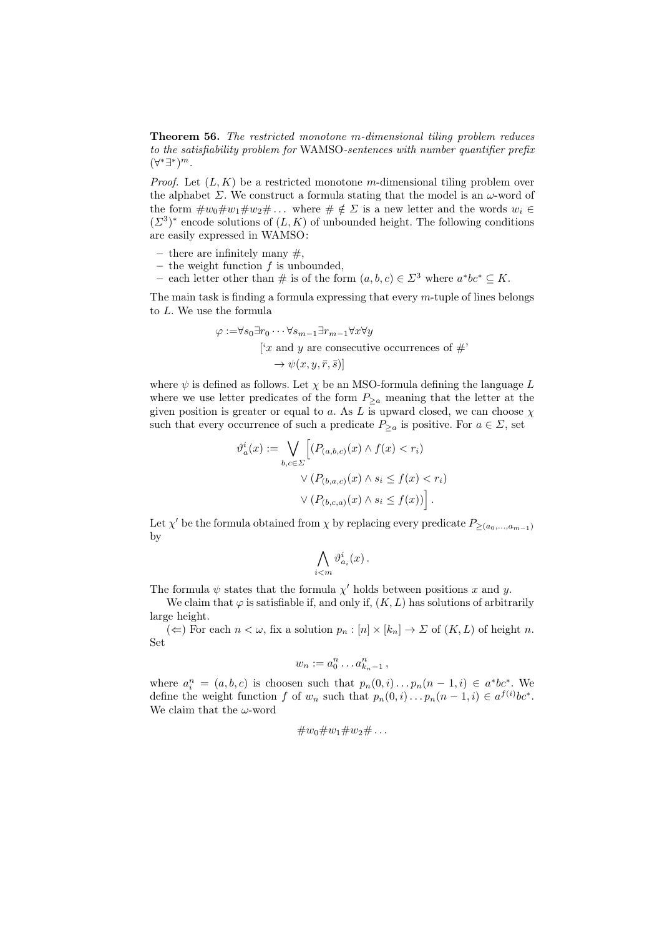Theorem 56. The restricted monotone m-dimensional tiling problem reduces to the satisfiability problem for WAMSO-sentences with number quantifier prefix  $(\forall^*\exists^*)^m.$ 

*Proof.* Let  $(L, K)$  be a restricted monotone m-dimensional tiling problem over the alphabet  $\Sigma$ . We construct a formula stating that the model is an  $\omega$ -word of the form  $\#w_0\#w_1\#w_2\#\dots$  where  $\#\notin\Sigma$  is a new letter and the words  $w_i \in$  $(\Sigma^3)^*$  encode solutions of  $(L, K)$  of unbounded height. The following conditions are easily expressed in WAMSO:

- there are infinitely many  $\#$ ,
- the weight function  $f$  is unbounded,
- each letter other than  $#$  is of the form  $(a, b, c) \in \Sigma^3$  where  $a^*bc^* \subseteq K$ .

The main task is finding a formula expressing that every  $m$ -tuple of lines belongs to L. We use the formula

$$
\varphi := \forall s_0 \exists r_0 \cdots \forall s_{m-1} \exists r_{m-1} \forall x \forall y
$$
  
['x and y are consecutive occurrences of #'  

$$
\rightarrow \psi(x, y, \bar{r}, \bar{s})]
$$

where  $\psi$  is defined as follows. Let  $\chi$  be an MSO-formula defining the language L where we use letter predicates of the form  $P_{\geq a}$  meaning that the letter at the given position is greater or equal to a. As L is upward closed, we can choose  $\chi$ such that every occurrence of such a predicate  $P_{\geq a}$  is positive. For  $a \in \Sigma$ , set

$$
\vartheta_a^i(x) := \bigvee_{b,c \in \Sigma} \Big[ (P_{(a,b,c)}(x) \wedge f(x) < r_i) \times (P_{(b,a,c)}(x) \wedge s_i \le f(x) < r_i) \times (P_{(b,c,a)}(x) \wedge s_i \le f(x)) \Big].
$$

Let  $\chi'$  be the formula obtained from  $\chi$  by replacing every predicate  $P_{\geq (a_0,...,a_{m-1})}$ by

$$
\bigwedge_{i
$$

The formula  $\psi$  states that the formula  $\chi'$  holds between positions x and y.

We claim that  $\varphi$  is satisfiable if, and only if,  $(K, L)$  has solutions of arbitrarily large height.

(←) For each  $n < \omega$ , fix a solution  $p_n : [n] \times [k_n] \to \Sigma$  of  $(K, L)$  of height n. Set

$$
w_n := a_0^n \dots a_{k_n-1}^n,
$$

where  $a_i^n = (a, b, c)$  is choosen such that  $p_n(0, i) \dots p_n(n - 1, i) \in a^*bc^*$ . We define the weight function f of  $w_n$  such that  $p_n(0,i) \dots p_n(n-1,i) \in a^{f(i)}bc^*$ . We claim that the  $\omega$ -word

$$
\#w_0\#w_1\#w_2\#\dots
$$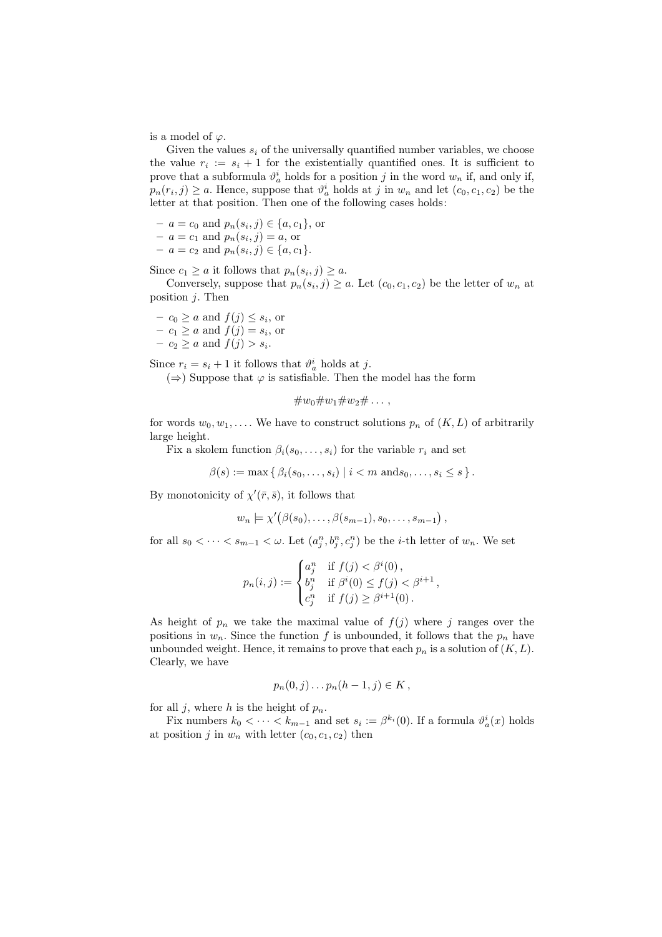is a model of  $\varphi$ .

Given the values  $s_i$  of the universally quantified number variables, we choose the value  $r_i := s_i + 1$  for the existentially quantified ones. It is sufficient to prove that a subformula  $\theta_a^i$  holds for a position j in the word  $w_n$  if, and only if,  $p_n(r_i, j) \ge a$ . Hence, suppose that  $\vartheta_a^i$  holds at j in  $w_n$  and let  $(c_0, c_1, c_2)$  be the letter at that position. Then one of the following cases holds:

```
- a = c_0 \text{ and } p_n(s_i, j) \in \{a, c_1\}, \text{ or }-a = c_1 and p_n(s_i, j) = a, or
- a = c_2 \text{ and } p_n(s_i, j) \in \{a, c_1\}.
```
Since  $c_1 \geq a$  it follows that  $p_n(s_i, j) \geq a$ .

Conversely, suppose that  $p_n(s_i, j) \geq a$ . Let  $(c_0, c_1, c_2)$  be the letter of  $w_n$  at position  $j$ . Then

 $- c_0 \ge a$  and  $f(j) \le s_i$ , or  $-c_1 \geq a$  and  $f(j) = s_i$ , or  $- c_2 \geq a$  and  $f(j) > s_i$ .

Since  $r_i = s_i + 1$  it follows that  $\vartheta_a^i$  holds at j.

 $(\Rightarrow)$  Suppose that  $\varphi$  is satisfiable. Then the model has the form

$$
\#w_0\#w_1\#w_2\#\ldots,
$$

for words  $w_0, w_1, \ldots$ . We have to construct solutions  $p_n$  of  $(K, L)$  of arbitrarily large height.

Fix a skolem function  $\beta_i(s_0,\ldots,s_i)$  for the variable  $r_i$  and set

$$
\beta(s) := \max \{ \beta_i(s_0, \ldots, s_i) \mid i < m \text{ and } s_0, \ldots, s_i \leq s \}.
$$

By monotonicity of  $\chi'(\bar{r}, \bar{s})$ , it follows that

$$
w_n \models \chi'(\beta(s_0), \ldots, \beta(s_{m-1}), s_0, \ldots, s_{m-1}),
$$

for all  $s_0 < \cdots < s_{m-1} < \omega$ . Let  $(a_j^n, b_j^n, c_j^n)$  be the *i*-th letter of  $w_n$ . We set

$$
p_n(i,j) := \begin{cases} a_j^n & \text{if } f(j) < \beta^i(0), \\ b_j^n & \text{if } \beta^i(0) \le f(j) < \beta^{i+1}, \\ c_j^n & \text{if } f(j) \ge \beta^{i+1}(0). \end{cases}
$$

As height of  $p_n$  we take the maximal value of  $f(j)$  where j ranges over the positions in  $w_n$ . Since the function f is unbounded, it follows that the  $p_n$  have unbounded weight. Hence, it remains to prove that each  $p_n$  is a solution of  $(K, L)$ . Clearly, we have

$$
p_n(0,j)\ldots p_n(h-1,j)\in K\,,
$$

for all j, where h is the height of  $p_n$ .

Fix numbers  $k_0 < \cdots < k_{m-1}$  and set  $s_i := \beta^{k_i}(0)$ . If a formula  $\vartheta_a^i(x)$  holds at position j in  $w_n$  with letter  $(c_0, c_1, c_2)$  then